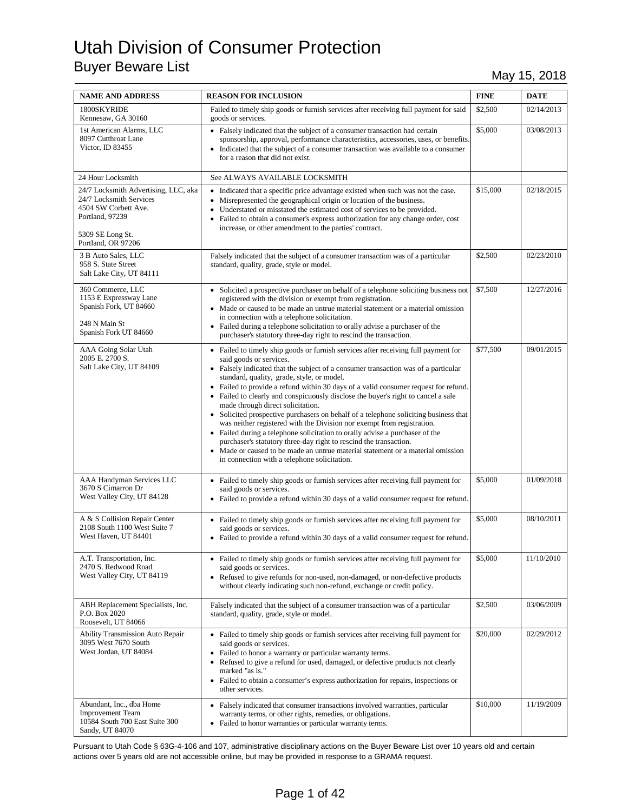| <b>NAME AND ADDRESS</b>                                                                                                                              | <b>REASON FOR INCLUSION</b>                                                                                                                                                                                                                                                                                                                                                                                                                                                                                                                                                                                                                                                                                                                                                                                                                                                                                                  | <b>FINE</b> | <b>DATE</b> |
|------------------------------------------------------------------------------------------------------------------------------------------------------|------------------------------------------------------------------------------------------------------------------------------------------------------------------------------------------------------------------------------------------------------------------------------------------------------------------------------------------------------------------------------------------------------------------------------------------------------------------------------------------------------------------------------------------------------------------------------------------------------------------------------------------------------------------------------------------------------------------------------------------------------------------------------------------------------------------------------------------------------------------------------------------------------------------------------|-------------|-------------|
| 1800SKYRIDE<br>Kennesaw, GA 30160                                                                                                                    | Failed to timely ship goods or furnish services after receiving full payment for said<br>goods or services.                                                                                                                                                                                                                                                                                                                                                                                                                                                                                                                                                                                                                                                                                                                                                                                                                  | \$2,500     | 02/14/2013  |
| 1st American Alarms, LLC<br>8097 Cutthroat Lane<br>Victor, ID 83455                                                                                  | • Falsely indicated that the subject of a consumer transaction had certain<br>sponsorship, approval, performance characteristics, accessories, uses, or benefits.<br>• Indicated that the subject of a consumer transaction was available to a consumer<br>for a reason that did not exist.                                                                                                                                                                                                                                                                                                                                                                                                                                                                                                                                                                                                                                  | \$5,000     | 03/08/2013  |
| 24 Hour Locksmith                                                                                                                                    | See ALWAYS AVAILABLE LOCKSMITH                                                                                                                                                                                                                                                                                                                                                                                                                                                                                                                                                                                                                                                                                                                                                                                                                                                                                               |             |             |
| 24/7 Locksmith Advertising, LLC, aka<br>24/7 Locksmith Services<br>4504 SW Corbett Ave.<br>Portland, 97239<br>5309 SE Long St.<br>Portland, OR 97206 | • Indicated that a specific price advantage existed when such was not the case.<br>• Misrepresented the geographical origin or location of the business.<br>• Understated or misstated the estimated cost of services to be provided.<br>• Failed to obtain a consumer's express authorization for any change order, cost<br>increase, or other amendment to the parties' contract.                                                                                                                                                                                                                                                                                                                                                                                                                                                                                                                                          | \$15,000    | 02/18/2015  |
| 3 B Auto Sales, LLC<br>958 S. State Street<br>Salt Lake City, UT 84111                                                                               | Falsely indicated that the subject of a consumer transaction was of a particular<br>standard, quality, grade, style or model.                                                                                                                                                                                                                                                                                                                                                                                                                                                                                                                                                                                                                                                                                                                                                                                                | \$2,500     | 02/23/2010  |
| 360 Commerce, LLC<br>1153 E Expressway Lane<br>Spanish Fork, UT 84660<br>248 N Main St<br>Spanish Fork UT 84660                                      | • Solicited a prospective purchaser on behalf of a telephone soliciting business not<br>registered with the division or exempt from registration.<br>• Made or caused to be made an untrue material statement or a material omission<br>in connection with a telephone solicitation.<br>• Failed during a telephone solicitation to orally advise a purchaser of the<br>purchaser's statutory three-day right to rescind the transaction.                                                                                                                                                                                                                                                                                                                                                                                                                                                                                    | \$7,500     | 12/27/2016  |
| AAA Going Solar Utah<br>2005 E. 2700 S.<br>Salt Lake City, UT 84109                                                                                  | • Failed to timely ship goods or furnish services after receiving full payment for<br>said goods or services.<br>• Falsely indicated that the subject of a consumer transaction was of a particular<br>standard, quality, grade, style, or model.<br>• Failed to provide a refund within 30 days of a valid consumer request for refund.<br>• Failed to clearly and conspicuously disclose the buyer's right to cancel a sale<br>made through direct solicitation.<br>• Solicited prospective purchasers on behalf of a telephone soliciting business that<br>was neither registered with the Division nor exempt from registration.<br>• Failed during a telephone solicitation to orally advise a purchaser of the<br>purchaser's statutory three-day right to rescind the transaction.<br>• Made or caused to be made an untrue material statement or a material omission<br>in connection with a telephone solicitation. | \$77,500    | 09/01/2015  |
| AAA Handyman Services LLC<br>3670 S Cimarron Dr<br>West Valley City, UT 84128                                                                        | • Failed to timely ship goods or furnish services after receiving full payment for<br>said goods or services.<br>• Failed to provide a refund within 30 days of a valid consumer request for refund.                                                                                                                                                                                                                                                                                                                                                                                                                                                                                                                                                                                                                                                                                                                         | \$5,000     | 01/09/2018  |
| A & S Collision Repair Center<br>2108 South 1100 West Suite 7<br>West Haven, UT 84401                                                                | • Failed to timely ship goods or furnish services after receiving full payment for<br>said goods or services.<br>• Failed to provide a refund within 30 days of a valid consumer request for refund.                                                                                                                                                                                                                                                                                                                                                                                                                                                                                                                                                                                                                                                                                                                         | \$5,000     | 08/10/2011  |
| A.T. Transportation, Inc.<br>2470 S. Redwood Road<br>West Valley City, UT 84119                                                                      | • Failed to timely ship goods or furnish services after receiving full payment for<br>said goods or services.<br>• Refused to give refunds for non-used, non-damaged, or non-defective products<br>without clearly indicating such non-refund, exchange or credit policy.                                                                                                                                                                                                                                                                                                                                                                                                                                                                                                                                                                                                                                                    | \$5,000     | 11/10/2010  |
| ABH Replacement Specialists, Inc.<br>P.O. Box 2020<br>Roosevelt, UT 84066                                                                            | Falsely indicated that the subject of a consumer transaction was of a particular<br>standard, quality, grade, style or model.                                                                                                                                                                                                                                                                                                                                                                                                                                                                                                                                                                                                                                                                                                                                                                                                | \$2,500     | 03/06/2009  |
| <b>Ability Transmission Auto Repair</b><br>3095 West 7670 South<br>West Jordan, UT 84084                                                             | • Failed to timely ship goods or furnish services after receiving full payment for<br>said goods or services.<br>• Failed to honor a warranty or particular warranty terms.<br>Refused to give a refund for used, damaged, or defective products not clearly<br>$\bullet$<br>marked "as is."<br>• Failed to obtain a consumer's express authorization for repairs, inspections or<br>other services.                                                                                                                                                                                                                                                                                                                                                                                                                                                                                                                         | \$20,000    | 02/29/2012  |
| Abundant, Inc., dba Home<br><b>Improvement Team</b><br>10584 South 700 East Suite 300<br>Sandy, UT 84070                                             | • Falsely indicated that consumer transactions involved warranties, particular<br>warranty terms, or other rights, remedies, or obligations.<br>• Failed to honor warranties or particular warranty terms.                                                                                                                                                                                                                                                                                                                                                                                                                                                                                                                                                                                                                                                                                                                   | \$10,000    | 11/19/2009  |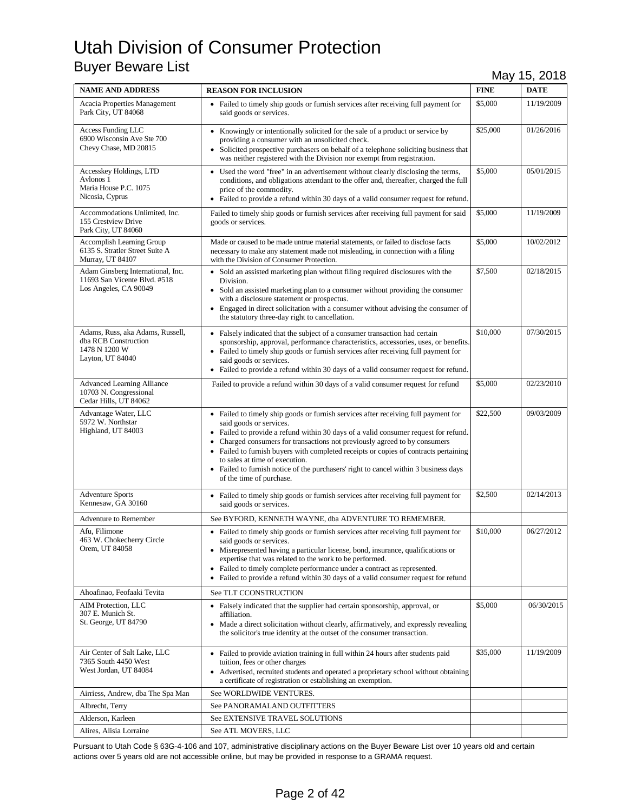| <b>NAME AND ADDRESS</b>                                                                       | <b>REASON FOR INCLUSION</b>                                                                                                                                                                                                                                                                                                                                                                                                                                                                                                                 | <b>FINE</b> | <b>DATE</b> |
|-----------------------------------------------------------------------------------------------|---------------------------------------------------------------------------------------------------------------------------------------------------------------------------------------------------------------------------------------------------------------------------------------------------------------------------------------------------------------------------------------------------------------------------------------------------------------------------------------------------------------------------------------------|-------------|-------------|
| <b>Acacia Properties Management</b><br>Park City, UT 84068                                    | • Failed to timely ship goods or furnish services after receiving full payment for<br>said goods or services.                                                                                                                                                                                                                                                                                                                                                                                                                               | \$5,000     | 11/19/2009  |
| <b>Access Funding LLC</b><br>6900 Wisconsin Ave Ste 700<br>Chevy Chase, MD 20815              | • Knowingly or intentionally solicited for the sale of a product or service by<br>providing a consumer with an unsolicited check.<br>• Solicited prospective purchasers on behalf of a telephone soliciting business that<br>was neither registered with the Division nor exempt from registration.                                                                                                                                                                                                                                         | \$25,000    | 01/26/2016  |
| Accesskey Holdings, LTD<br>Avlonos 1<br>Maria House P.C. 1075<br>Nicosia, Cyprus              | • Used the word "free" in an advertisement without clearly disclosing the terms,<br>conditions, and obligations attendant to the offer and, thereafter, charged the full<br>price of the commodity.<br>• Failed to provide a refund within 30 days of a valid consumer request for refund.                                                                                                                                                                                                                                                  | \$5,000     | 05/01/2015  |
| Accommodations Unlimited, Inc.<br>155 Crestview Drive<br>Park City, UT 84060                  | Failed to timely ship goods or furnish services after receiving full payment for said<br>goods or services.                                                                                                                                                                                                                                                                                                                                                                                                                                 | \$5,000     | 11/19/2009  |
| <b>Accomplish Learning Group</b><br>6135 S. Stratler Street Suite A<br>Murray, UT 84107       | Made or caused to be made untrue material statements, or failed to disclose facts<br>necessary to make any statement made not misleading, in connection with a filing<br>with the Division of Consumer Protection.                                                                                                                                                                                                                                                                                                                          | \$5,000     | 10/02/2012  |
| Adam Ginsberg International, Inc.<br>11693 San Vicente Blvd. #518<br>Los Angeles, CA 90049    | • Sold an assisted marketing plan without filing required disclosures with the<br>Division.<br>• Sold an assisted marketing plan to a consumer without providing the consumer<br>with a disclosure statement or prospectus.<br>Engaged in direct solicitation with a consumer without advising the consumer of<br>the statutory three-day right to cancellation.                                                                                                                                                                            | \$7,500     | 02/18/2015  |
| Adams, Russ, aka Adams, Russell,<br>dba RCB Construction<br>1478 N 1200 W<br>Layton, UT 84040 | • Falsely indicated that the subject of a consumer transaction had certain<br>sponsorship, approval, performance characteristics, accessories, uses, or benefits.<br>• Failed to timely ship goods or furnish services after receiving full payment for<br>said goods or services.<br>• Failed to provide a refund within 30 days of a valid consumer request for refund.                                                                                                                                                                   | \$10,000    | 07/30/2015  |
| <b>Advanced Learning Alliance</b><br>10703 N. Congressional<br>Cedar Hills, UT 84062          | Failed to provide a refund within 30 days of a valid consumer request for refund                                                                                                                                                                                                                                                                                                                                                                                                                                                            | \$5,000     | 02/23/2010  |
| Advantage Water, LLC<br>5972 W. Northstar<br>Highland, UT 84003                               | • Failed to timely ship goods or furnish services after receiving full payment for<br>said goods or services.<br>• Failed to provide a refund within 30 days of a valid consumer request for refund.<br>Charged consumers for transactions not previously agreed to by consumers<br>$\bullet$<br>• Failed to furnish buyers with completed receipts or copies of contracts pertaining<br>to sales at time of execution.<br>• Failed to furnish notice of the purchasers' right to cancel within 3 business days<br>of the time of purchase. | \$22,500    | 09/03/2009  |
| <b>Adventure Sports</b><br>Kennesaw, GA 30160                                                 | • Failed to timely ship goods or furnish services after receiving full payment for<br>said goods or services.                                                                                                                                                                                                                                                                                                                                                                                                                               | \$2,500     | 02/14/2013  |
| <b>Adventure to Remember</b>                                                                  | See BYFORD, KENNETH WAYNE, dba ADVENTURE TO REMEMBER.                                                                                                                                                                                                                                                                                                                                                                                                                                                                                       |             |             |
| Afu, Filimone<br>463 W. Chokecherry Circle<br>Orem, UT 84058                                  | • Failed to timely ship goods or furnish services after receiving full payment for<br>said goods or services.<br>• Misrepresented having a particular license, bond, insurance, qualifications or<br>expertise that was related to the work to be performed.<br>• Failed to timely complete performance under a contract as represented.<br>Failed to provide a refund within 30 days of a valid consumer request for refund<br>٠                                                                                                           | \$10,000    | 06/27/2012  |
| Ahoafinao, Feofaaki Tevita                                                                    | See TLT CCONSTRUCTION                                                                                                                                                                                                                                                                                                                                                                                                                                                                                                                       |             |             |
| AIM Protection, LLC<br>307 E. Munich St.<br>St. George, UT 84790                              | • Falsely indicated that the supplier had certain sponsorship, approval, or<br>affiliation.<br>• Made a direct solicitation without clearly, affirmatively, and expressly revealing<br>the solicitor's true identity at the outset of the consumer transaction.                                                                                                                                                                                                                                                                             | \$5,000     | 06/30/2015  |
| Air Center of Salt Lake, LLC<br>7365 South 4450 West<br>West Jordan, UT 84084                 | • Failed to provide aviation training in full within 24 hours after students paid<br>tuition, fees or other charges<br>• Advertised, recruited students and operated a proprietary school without obtaining<br>a certificate of registration or establishing an exemption.                                                                                                                                                                                                                                                                  | \$35,000    | 11/19/2009  |
| Airriess, Andrew, dba The Spa Man                                                             | See WORLDWIDE VENTURES.                                                                                                                                                                                                                                                                                                                                                                                                                                                                                                                     |             |             |
| Albrecht, Terry                                                                               | See PANORAMALAND OUTFITTERS                                                                                                                                                                                                                                                                                                                                                                                                                                                                                                                 |             |             |
| Alderson, Karleen                                                                             | See EXTENSIVE TRAVEL SOLUTIONS                                                                                                                                                                                                                                                                                                                                                                                                                                                                                                              |             |             |
| Alires, Alisia Lorraine                                                                       | See ATL MOVERS, LLC                                                                                                                                                                                                                                                                                                                                                                                                                                                                                                                         |             |             |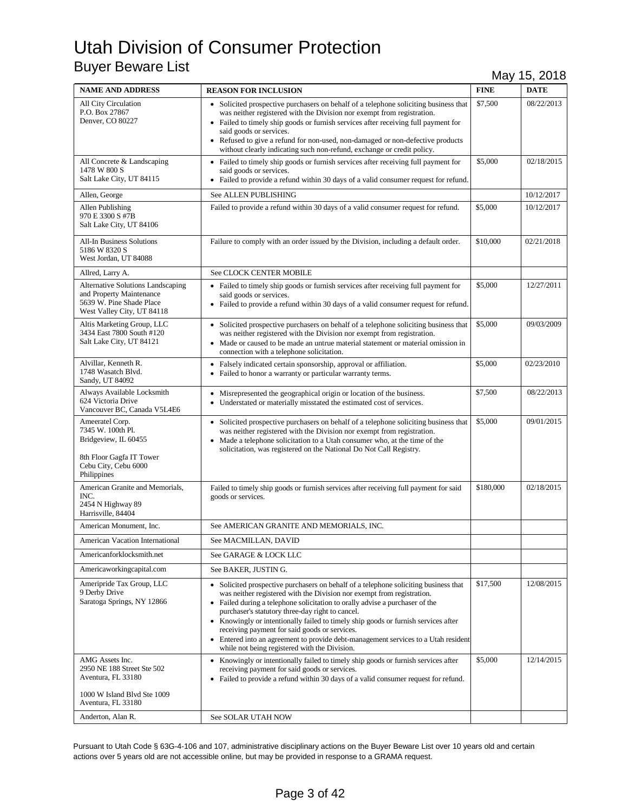| <b>NAME AND ADDRESS</b>                                                                                                         | <b>REASON FOR INCLUSION</b>                                                                                                                                                                                                                                                                                                                                                                                                                                                                                                                                                      | <b>FINE</b> | <b>DATE</b> |
|---------------------------------------------------------------------------------------------------------------------------------|----------------------------------------------------------------------------------------------------------------------------------------------------------------------------------------------------------------------------------------------------------------------------------------------------------------------------------------------------------------------------------------------------------------------------------------------------------------------------------------------------------------------------------------------------------------------------------|-------------|-------------|
| All City Circulation<br>P.O. Box 27867<br>Denver, CO 80227                                                                      | • Solicited prospective purchasers on behalf of a telephone soliciting business that<br>was neither registered with the Division nor exempt from registration.<br>• Failed to timely ship goods or furnish services after receiving full payment for<br>said goods or services.<br>• Refused to give a refund for non-used, non-damaged or non-defective products<br>without clearly indicating such non-refund, exchange or credit policy.                                                                                                                                      | \$7,500     | 08/22/2013  |
| All Concrete & Landscaping<br>1478 W 800 S<br>Salt Lake City, UT 84115                                                          | • Failed to timely ship goods or furnish services after receiving full payment for<br>said goods or services.<br>• Failed to provide a refund within 30 days of a valid consumer request for refund.                                                                                                                                                                                                                                                                                                                                                                             | \$5,000     | 02/18/2015  |
| Allen, George                                                                                                                   | See ALLEN PUBLISHING                                                                                                                                                                                                                                                                                                                                                                                                                                                                                                                                                             |             | 10/12/2017  |
| Allen Publishing<br>970 E 3300 S #7B<br>Salt Lake City, UT 84106                                                                | Failed to provide a refund within 30 days of a valid consumer request for refund.                                                                                                                                                                                                                                                                                                                                                                                                                                                                                                | \$5,000     | 10/12/2017  |
| All-In Business Solutions<br>5186 W 8320 S<br>West Jordan, UT 84088                                                             | Failure to comply with an order issued by the Division, including a default order.                                                                                                                                                                                                                                                                                                                                                                                                                                                                                               | \$10,000    | 02/21/2018  |
| Allred, Larry A.                                                                                                                | See CLOCK CENTER MOBILE                                                                                                                                                                                                                                                                                                                                                                                                                                                                                                                                                          |             |             |
| <b>Alternative Solutions Landscaping</b><br>and Property Maintenance<br>5639 W. Pine Shade Place<br>West Valley City, UT 84118  | • Failed to timely ship goods or furnish services after receiving full payment for<br>said goods or services.<br>• Failed to provide a refund within 30 days of a valid consumer request for refund.                                                                                                                                                                                                                                                                                                                                                                             | \$5,000     | 12/27/2011  |
| Altis Marketing Group, LLC<br>3434 East 7800 South #120<br>Salt Lake City, UT 84121                                             | • Solicited prospective purchasers on behalf of a telephone soliciting business that<br>was neither registered with the Division nor exempt from registration.<br>• Made or caused to be made an untrue material statement or material omission in<br>connection with a telephone solicitation.                                                                                                                                                                                                                                                                                  | \$5,000     | 09/03/2009  |
| Alvillar, Kenneth R.<br>1748 Wasatch Blvd.<br>Sandy, UT 84092                                                                   | • Falsely indicated certain sponsorship, approval or affiliation.<br>• Failed to honor a warranty or particular warranty terms.                                                                                                                                                                                                                                                                                                                                                                                                                                                  | \$5,000     | 02/23/2010  |
| Always Available Locksmith<br>624 Victoria Drive<br>Vancouver BC, Canada V5L4E6                                                 | • Misrepresented the geographical origin or location of the business.<br>• Understated or materially misstated the estimated cost of services.                                                                                                                                                                                                                                                                                                                                                                                                                                   | \$7,500     | 08/22/2013  |
| Ameeratel Corp.<br>7345 W. 100th Pl.<br>Bridgeview, IL 60455<br>8th Floor Gagfa IT Tower<br>Cebu City, Cebu 6000<br>Philippines | • Solicited prospective purchasers on behalf of a telephone soliciting business that<br>was neither registered with the Division nor exempt from registration.<br>• Made a telephone solicitation to a Utah consumer who, at the time of the<br>solicitation, was registered on the National Do Not Call Registry.                                                                                                                                                                                                                                                               | \$5,000     | 09/01/2015  |
| American Granite and Memorials,<br>INC.<br>2454 N Highway 89<br>Harrisville, 84404                                              | Failed to timely ship goods or furnish services after receiving full payment for said<br>goods or services.                                                                                                                                                                                                                                                                                                                                                                                                                                                                      | \$180,000   | 02/18/2015  |
| American Monument, Inc.                                                                                                         | See AMERICAN GRANITE AND MEMORIALS, INC.                                                                                                                                                                                                                                                                                                                                                                                                                                                                                                                                         |             |             |
| American Vacation International                                                                                                 | See MACMILLAN, DAVID                                                                                                                                                                                                                                                                                                                                                                                                                                                                                                                                                             |             |             |
| Americanforklocksmith.net                                                                                                       | See GARAGE & LOCK LLC                                                                                                                                                                                                                                                                                                                                                                                                                                                                                                                                                            |             |             |
| Americaworkingcapital.com                                                                                                       | See BAKER, JUSTIN G.                                                                                                                                                                                                                                                                                                                                                                                                                                                                                                                                                             |             |             |
| Ameripride Tax Group, LLC<br>9 Derby Drive<br>Saratoga Springs, NY 12866                                                        | • Solicited prospective purchasers on behalf of a telephone soliciting business that<br>was neither registered with the Division nor exempt from registration.<br>• Failed during a telephone solicitation to orally advise a purchaser of the<br>purchaser's statutory three-day right to cancel.<br>• Knowingly or intentionally failed to timely ship goods or furnish services after<br>receiving payment for said goods or services.<br>• Entered into an agreement to provide debt-management services to a Utah resident<br>while not being registered with the Division. | \$17,500    | 12/08/2015  |
| AMG Assets Inc.<br>2950 NE 188 Street Ste 502<br>Aventura, FL 33180<br>1000 W Island Blvd Ste 1009<br>Aventura, FL 33180        | • Knowingly or intentionally failed to timely ship goods or furnish services after<br>receiving payment for said goods or services.<br>• Failed to provide a refund within 30 days of a valid consumer request for refund.                                                                                                                                                                                                                                                                                                                                                       | \$5,000     | 12/14/2015  |
| Anderton, Alan R.                                                                                                               | See SOLAR UTAH NOW                                                                                                                                                                                                                                                                                                                                                                                                                                                                                                                                                               |             |             |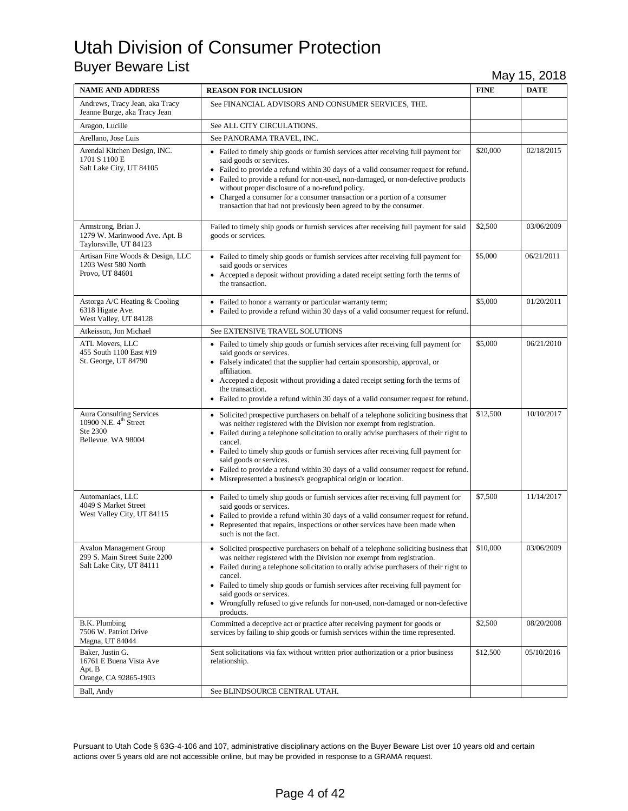| <b>NAME AND ADDRESS</b>                                                                         | <b>REASON FOR INCLUSION</b>                                                                                                                                                                                                                                                                                                                                                                                                                                                                                                                   | <b>FINE</b> | <b>DATE</b> |
|-------------------------------------------------------------------------------------------------|-----------------------------------------------------------------------------------------------------------------------------------------------------------------------------------------------------------------------------------------------------------------------------------------------------------------------------------------------------------------------------------------------------------------------------------------------------------------------------------------------------------------------------------------------|-------------|-------------|
| Andrews, Tracy Jean, aka Tracy<br>Jeanne Burge, aka Tracy Jean                                  | See FINANCIAL ADVISORS AND CONSUMER SERVICES, THE.                                                                                                                                                                                                                                                                                                                                                                                                                                                                                            |             |             |
| Aragon, Lucille                                                                                 | See ALL CITY CIRCULATIONS.                                                                                                                                                                                                                                                                                                                                                                                                                                                                                                                    |             |             |
| Arellano, Jose Luis                                                                             | See PANORAMA TRAVEL, INC.                                                                                                                                                                                                                                                                                                                                                                                                                                                                                                                     |             |             |
| Arendal Kitchen Design, INC.<br>1701 S 1100 E<br>Salt Lake City, UT 84105                       | • Failed to timely ship goods or furnish services after receiving full payment for<br>said goods or services.<br>• Failed to provide a refund within 30 days of a valid consumer request for refund.<br>Failed to provide a refund for non-used, non-damaged, or non-defective products<br>without proper disclosure of a no-refund policy.<br>• Charged a consumer for a consumer transaction or a portion of a consumer<br>transaction that had not previously been agreed to by the consumer.                                              | \$20,000    | 02/18/2015  |
| Armstrong, Brian J.<br>1279 W. Marinwood Ave. Apt. B<br>Taylorsville, UT 84123                  | Failed to timely ship goods or furnish services after receiving full payment for said<br>goods or services.                                                                                                                                                                                                                                                                                                                                                                                                                                   | \$2,500     | 03/06/2009  |
| Artisan Fine Woods & Design, LLC<br>1203 West 580 North<br>Provo, UT 84601                      | • Failed to timely ship goods or furnish services after receiving full payment for<br>said goods or services<br>• Accepted a deposit without providing a dated receipt setting forth the terms of<br>the transaction.                                                                                                                                                                                                                                                                                                                         | \$5,000     | 06/21/2011  |
| Astorga A/C Heating & Cooling<br>6318 Higate Ave.<br>West Valley, UT 84128                      | • Failed to honor a warranty or particular warranty term;<br>• Failed to provide a refund within 30 days of a valid consumer request for refund.                                                                                                                                                                                                                                                                                                                                                                                              | \$5,000     | 01/20/2011  |
| Atkeisson, Jon Michael                                                                          | See EXTENSIVE TRAVEL SOLUTIONS                                                                                                                                                                                                                                                                                                                                                                                                                                                                                                                |             |             |
| <b>ATL Movers, LLC</b><br>455 South 1100 East #19<br>St. George, UT 84790                       | • Failed to timely ship goods or furnish services after receiving full payment for<br>said goods or services.<br>• Falsely indicated that the supplier had certain sponsorship, approval, or<br>affiliation.<br>• Accepted a deposit without providing a dated receipt setting forth the terms of<br>the transaction.<br>• Failed to provide a refund within 30 days of a valid consumer request for refund.                                                                                                                                  | \$5,000     | 06/21/2010  |
| Aura Consulting Services<br>10900 N.E. 4 <sup>th</sup> Street<br>Ste 2300<br>Bellevue. WA 98004 | • Solicited prospective purchasers on behalf of a telephone soliciting business that<br>was neither registered with the Division nor exempt from registration.<br>• Failed during a telephone solicitation to orally advise purchasers of their right to<br>cancel.<br>• Failed to timely ship goods or furnish services after receiving full payment for<br>said goods or services.<br>• Failed to provide a refund within 30 days of a valid consumer request for refund.<br>• Misrepresented a business's geographical origin or location. | \$12,500    | 10/10/2017  |
| Automaniacs, LLC<br>4049 S Market Street<br>West Valley City, UT 84115                          | • Failed to timely ship goods or furnish services after receiving full payment for<br>said goods or services.<br>Failed to provide a refund within 30 days of a valid consumer request for refund.<br>Represented that repairs, inspections or other services have been made when<br>$\bullet$<br>such is not the fact.                                                                                                                                                                                                                       | \$7,500     | 11/14/2017  |
| <b>Avalon Management Group</b><br>299 S. Main Street Suite 2200<br>Salt Lake City, UT 84111     | • Solicited prospective purchasers on behalf of a telephone soliciting business that<br>was neither registered with the Division nor exempt from registration.<br>• Failed during a telephone solicitation to orally advise purchasers of their right to<br>cancel.<br>• Failed to timely ship goods or furnish services after receiving full payment for<br>said goods or services.<br>• Wrongfully refused to give refunds for non-used, non-damaged or non-defective<br>products.                                                          | \$10,000    | 03/06/2009  |
| B.K. Plumbing<br>7506 W. Patriot Drive<br>Magna, UT 84044                                       | Committed a deceptive act or practice after receiving payment for goods or<br>services by failing to ship goods or furnish services within the time represented.                                                                                                                                                                                                                                                                                                                                                                              | \$2,500     | 08/20/2008  |
| Baker, Justin G.<br>16761 E Buena Vista Ave<br>Apt. B<br>Orange, CA 92865-1903                  | Sent solicitations via fax without written prior authorization or a prior business<br>relationship.                                                                                                                                                                                                                                                                                                                                                                                                                                           | \$12,500    | 05/10/2016  |
| Ball, Andy                                                                                      | See BLINDSOURCE CENTRAL UTAH.                                                                                                                                                                                                                                                                                                                                                                                                                                                                                                                 |             |             |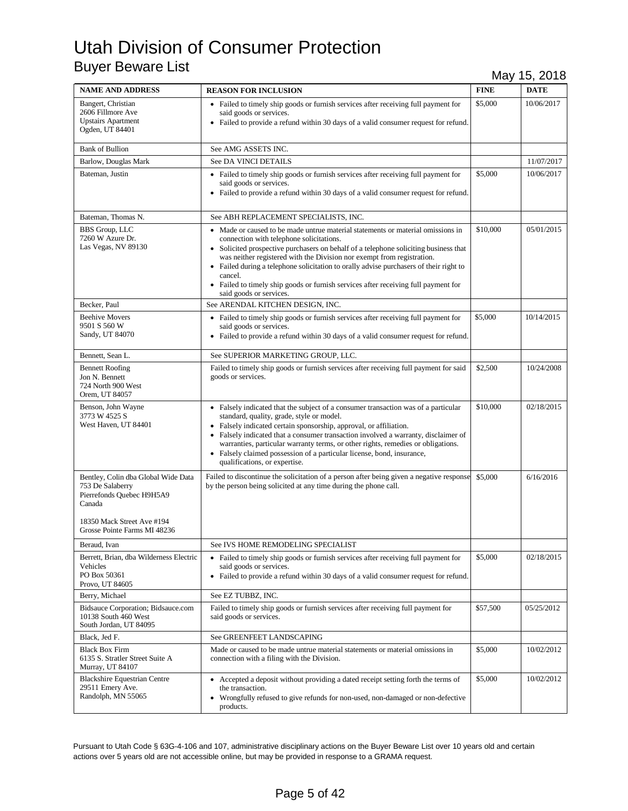| <b>NAME AND ADDRESS</b>                                                                                                                                      | <b>REASON FOR INCLUSION</b>                                                                                                                                                                                                                                                                                                                                                                                                                                                                                         | <b>FINE</b> | <b>DATE</b> |
|--------------------------------------------------------------------------------------------------------------------------------------------------------------|---------------------------------------------------------------------------------------------------------------------------------------------------------------------------------------------------------------------------------------------------------------------------------------------------------------------------------------------------------------------------------------------------------------------------------------------------------------------------------------------------------------------|-------------|-------------|
| Bangert, Christian<br>2606 Fillmore Ave<br><b>Upstairs Apartment</b><br>Ogden, UT 84401                                                                      | • Failed to timely ship goods or furnish services after receiving full payment for<br>said goods or services.<br>• Failed to provide a refund within 30 days of a valid consumer request for refund.                                                                                                                                                                                                                                                                                                                | \$5,000     | 10/06/2017  |
| <b>Bank of Bullion</b>                                                                                                                                       | See AMG ASSETS INC.                                                                                                                                                                                                                                                                                                                                                                                                                                                                                                 |             |             |
| Barlow, Douglas Mark                                                                                                                                         | See DA VINCI DETAILS                                                                                                                                                                                                                                                                                                                                                                                                                                                                                                |             | 11/07/2017  |
| Bateman, Justin                                                                                                                                              | • Failed to timely ship goods or furnish services after receiving full payment for<br>said goods or services.<br>• Failed to provide a refund within 30 days of a valid consumer request for refund.                                                                                                                                                                                                                                                                                                                | \$5,000     | 10/06/2017  |
| Bateman, Thomas N.                                                                                                                                           | See ABH REPLACEMENT SPECIALISTS, INC.                                                                                                                                                                                                                                                                                                                                                                                                                                                                               |             |             |
| <b>BBS</b> Group, LLC<br>7260 W Azure Dr.<br>Las Vegas, NV 89130                                                                                             | • Made or caused to be made untrue material statements or material omissions in<br>connection with telephone solicitations.<br>• Solicited prospective purchasers on behalf of a telephone soliciting business that<br>was neither registered with the Division nor exempt from registration.<br>• Failed during a telephone solicitation to orally advise purchasers of their right to<br>cancel.<br>• Failed to timely ship goods or furnish services after receiving full payment for<br>said goods or services. | \$10,000    | 05/01/2015  |
| Becker, Paul                                                                                                                                                 | See ARENDAL KITCHEN DESIGN, INC.                                                                                                                                                                                                                                                                                                                                                                                                                                                                                    |             |             |
| <b>Beehive Movers</b><br>9501 S 560 W<br>Sandy, UT 84070                                                                                                     | • Failed to timely ship goods or furnish services after receiving full payment for<br>said goods or services.<br>• Failed to provide a refund within 30 days of a valid consumer request for refund.                                                                                                                                                                                                                                                                                                                | \$5,000     | 10/14/2015  |
| Bennett, Sean L.                                                                                                                                             | See SUPERIOR MARKETING GROUP, LLC.                                                                                                                                                                                                                                                                                                                                                                                                                                                                                  |             |             |
| <b>Bennett Roofing</b><br>Jon N. Bennett<br>724 North 900 West<br>Orem, UT 84057                                                                             | Failed to timely ship goods or furnish services after receiving full payment for said<br>goods or services.                                                                                                                                                                                                                                                                                                                                                                                                         | \$2,500     | 10/24/2008  |
| Benson, John Wayne<br>3773 W 4525 S<br>West Haven, UT 84401                                                                                                  | • Falsely indicated that the subject of a consumer transaction was of a particular<br>standard, quality, grade, style or model.<br>• Falsely indicated certain sponsorship, approval, or affiliation.<br>• Falsely indicated that a consumer transaction involved a warranty, disclaimer of<br>warranties, particular warranty terms, or other rights, remedies or obligations.<br>• Falsely claimed possession of a particular license, bond, insurance,<br>qualifications, or expertise.                          | \$10,000    | 02/18/2015  |
| Bentley, Colin dba Global Wide Data<br>753 De Salaberry<br>Pierrefonds Quebec H9H5A9<br>Canada<br>18350 Mack Street Ave #194<br>Grosse Pointe Farms MI 48236 | Failed to discontinue the solicitation of a person after being given a negative response<br>by the person being solicited at any time during the phone call.                                                                                                                                                                                                                                                                                                                                                        | \$5,000     | 6/16/2016   |
| Beraud, Ivan                                                                                                                                                 | See IVS HOME REMODELING SPECIALIST                                                                                                                                                                                                                                                                                                                                                                                                                                                                                  |             |             |
| Berrett, Brian, dba Wilderness Electric<br>Vehicles<br>PO Box 50361<br>Provo, UT 84605                                                                       | • Failed to timely ship goods or furnish services after receiving full payment for<br>said goods or services.<br>• Failed to provide a refund within 30 days of a valid consumer request for refund.                                                                                                                                                                                                                                                                                                                | \$5,000     | 02/18/2015  |
| Berry, Michael                                                                                                                                               | See EZ TUBBZ, INC.                                                                                                                                                                                                                                                                                                                                                                                                                                                                                                  |             |             |
| Bidsauce Corporation; Bidsauce.com<br>10138 South 460 West<br>South Jordan, UT 84095                                                                         | Failed to timely ship goods or furnish services after receiving full payment for<br>said goods or services.                                                                                                                                                                                                                                                                                                                                                                                                         | \$57,500    | 05/25/2012  |
| Black, Jed F.                                                                                                                                                | See GREENFEET LANDSCAPING                                                                                                                                                                                                                                                                                                                                                                                                                                                                                           |             |             |
| <b>Black Box Firm</b><br>6135 S. Stratler Street Suite A<br>Murray, UT 84107                                                                                 | Made or caused to be made untrue material statements or material omissions in<br>connection with a filing with the Division.                                                                                                                                                                                                                                                                                                                                                                                        | \$5,000     | 10/02/2012  |
| <b>Blackshire Equestrian Centre</b><br>29511 Emery Ave.<br>Randolph, MN 55065                                                                                | • Accepted a deposit without providing a dated receipt setting forth the terms of<br>the transaction.<br>• Wrongfully refused to give refunds for non-used, non-damaged or non-defective<br>products.                                                                                                                                                                                                                                                                                                               | \$5,000     | 10/02/2012  |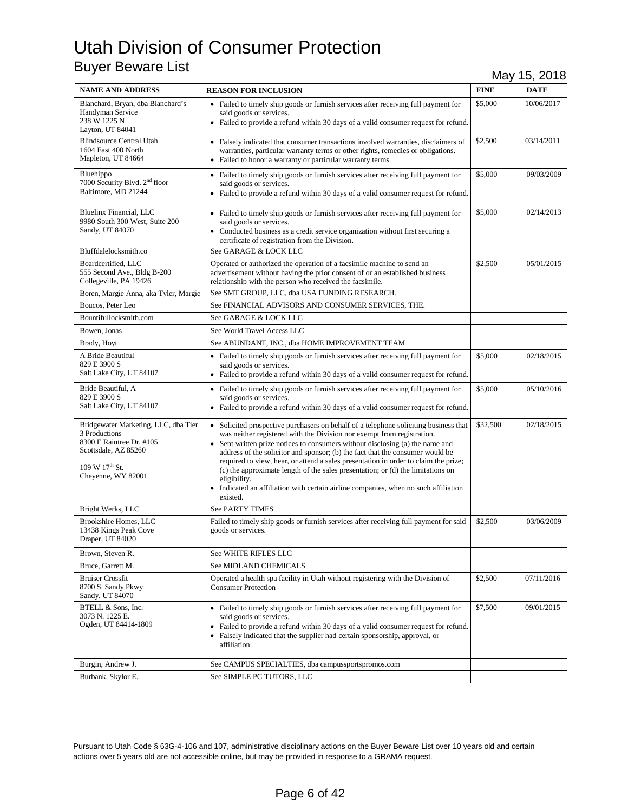| <b>NAME AND ADDRESS</b>                                                                                                                                       | <b>REASON FOR INCLUSION</b>                                                                                                                                                                                                                                                                                                                                                                                                                                                                                                                                                                                                 | <b>FINE</b> | <b>DATE</b> |
|---------------------------------------------------------------------------------------------------------------------------------------------------------------|-----------------------------------------------------------------------------------------------------------------------------------------------------------------------------------------------------------------------------------------------------------------------------------------------------------------------------------------------------------------------------------------------------------------------------------------------------------------------------------------------------------------------------------------------------------------------------------------------------------------------------|-------------|-------------|
| Blanchard, Bryan, dba Blanchard's<br>Handyman Service<br>238 W 1225 N<br>Layton, UT 84041                                                                     | • Failed to timely ship goods or furnish services after receiving full payment for<br>said goods or services.<br>• Failed to provide a refund within 30 days of a valid consumer request for refund.                                                                                                                                                                                                                                                                                                                                                                                                                        | \$5,000     | 10/06/2017  |
| <b>Blindsource Central Utah</b><br>1604 East 400 North<br>Mapleton, UT 84664                                                                                  | • Falsely indicated that consumer transactions involved warranties, disclaimers of<br>warranties, particular warranty terms or other rights, remedies or obligations.<br>• Failed to honor a warranty or particular warranty terms.                                                                                                                                                                                                                                                                                                                                                                                         | \$2,500     | 03/14/2011  |
| Bluehippo<br>7000 Security Blvd. 2 <sup>nd</sup> floor<br>Baltimore, MD 21244                                                                                 | • Failed to timely ship goods or furnish services after receiving full payment for<br>said goods or services.<br>• Failed to provide a refund within 30 days of a valid consumer request for refund.                                                                                                                                                                                                                                                                                                                                                                                                                        | \$5,000     | 09/03/2009  |
| Bluelinx Financial, LLC<br>9980 South 300 West, Suite 200<br>Sandy, UT 84070                                                                                  | • Failed to timely ship goods or furnish services after receiving full payment for<br>said goods or services.<br>• Conducted business as a credit service organization without first securing a<br>certificate of registration from the Division.                                                                                                                                                                                                                                                                                                                                                                           | \$5,000     | 02/14/2013  |
| Bluffdalelocksmith.co                                                                                                                                         | See GARAGE & LOCK LLC                                                                                                                                                                                                                                                                                                                                                                                                                                                                                                                                                                                                       |             |             |
| Boardcertified, LLC<br>555 Second Ave., Bldg B-200<br>Collegeville, PA 19426                                                                                  | Operated or authorized the operation of a facsimile machine to send an<br>advertisement without having the prior consent of or an established business<br>relationship with the person who received the facsimile.                                                                                                                                                                                                                                                                                                                                                                                                          | \$2,500     | 05/01/2015  |
| Boren, Margie Anna, aka Tyler, Margie                                                                                                                         | See SMT GROUP, LLC, dba USA FUNDING RESEARCH.                                                                                                                                                                                                                                                                                                                                                                                                                                                                                                                                                                               |             |             |
| Boucos, Peter Leo                                                                                                                                             | See FINANCIAL ADVISORS AND CONSUMER SERVICES, THE.                                                                                                                                                                                                                                                                                                                                                                                                                                                                                                                                                                          |             |             |
| Bountifullocksmith.com                                                                                                                                        | See GARAGE & LOCK LLC                                                                                                                                                                                                                                                                                                                                                                                                                                                                                                                                                                                                       |             |             |
| Bowen, Jonas                                                                                                                                                  | See World Travel Access LLC                                                                                                                                                                                                                                                                                                                                                                                                                                                                                                                                                                                                 |             |             |
| Brady, Hoyt                                                                                                                                                   | See ABUNDANT, INC., dba HOME IMPROVEMENT TEAM                                                                                                                                                                                                                                                                                                                                                                                                                                                                                                                                                                               |             |             |
| A Bride Beautiful<br>829 E 3900 S<br>Salt Lake City, UT 84107                                                                                                 | • Failed to timely ship goods or furnish services after receiving full payment for<br>said goods or services.<br>• Failed to provide a refund within 30 days of a valid consumer request for refund.                                                                                                                                                                                                                                                                                                                                                                                                                        | \$5,000     | 02/18/2015  |
| Bride Beautiful, A<br>829 E 3900 S<br>Salt Lake City, UT 84107                                                                                                | • Failed to timely ship goods or furnish services after receiving full payment for<br>said goods or services.<br>• Failed to provide a refund within 30 days of a valid consumer request for refund.                                                                                                                                                                                                                                                                                                                                                                                                                        | \$5,000     | 05/10/2016  |
| Bridgewater Marketing, LLC, dba Tier<br>3 Productions<br>8300 E Raintree Dr. #105<br>Scottsdale, AZ 85260<br>109 W 17 <sup>th</sup> St.<br>Cheyenne, WY 82001 | • Solicited prospective purchasers on behalf of a telephone soliciting business that<br>was neither registered with the Division nor exempt from registration.<br>• Sent written prize notices to consumers without disclosing (a) the name and<br>address of the solicitor and sponsor; (b) the fact that the consumer would be<br>required to view, hear, or attend a sales presentation in order to claim the prize;<br>(c) the approximate length of the sales presentation; or (d) the limitations on<br>eligibility.<br>Indicated an affiliation with certain airline companies, when no such affiliation<br>existed. | \$32,500    | 02/18/2015  |
| Bright Werks, LLC                                                                                                                                             | See PARTY TIMES                                                                                                                                                                                                                                                                                                                                                                                                                                                                                                                                                                                                             |             |             |
| Brookshire Homes, LLC<br>13438 Kings Peak Cove<br>Draper, UT 84020                                                                                            | Failed to timely ship goods or furnish services after receiving full payment for said<br>goods or services.                                                                                                                                                                                                                                                                                                                                                                                                                                                                                                                 | \$2,500     | 03/06/2009  |
| Brown, Steven R.                                                                                                                                              | See WHITE RIFLES LLC                                                                                                                                                                                                                                                                                                                                                                                                                                                                                                                                                                                                        |             |             |
| Bruce, Garrett M.                                                                                                                                             | See MIDLAND CHEMICALS                                                                                                                                                                                                                                                                                                                                                                                                                                                                                                                                                                                                       |             |             |
| <b>Bruiser Crossfit</b><br>8700 S. Sandy Pkwy<br>Sandy, UT 84070                                                                                              | Operated a health spa facility in Utah without registering with the Division of<br><b>Consumer Protection</b>                                                                                                                                                                                                                                                                                                                                                                                                                                                                                                               | \$2,500     | 07/11/2016  |
| BTELL & Sons, Inc.<br>3073 N. 1225 E.<br>Ogden, UT 84414-1809                                                                                                 | • Failed to timely ship goods or furnish services after receiving full payment for<br>said goods or services.<br>• Failed to provide a refund within 30 days of a valid consumer request for refund.<br>• Falsely indicated that the supplier had certain sponsorship, approval, or<br>affiliation.                                                                                                                                                                                                                                                                                                                         | \$7,500     | 09/01/2015  |
| Burgin, Andrew J.                                                                                                                                             | See CAMPUS SPECIALTIES, dba campussportspromos.com                                                                                                                                                                                                                                                                                                                                                                                                                                                                                                                                                                          |             |             |
| Burbank, Skylor E.                                                                                                                                            | See SIMPLE PC TUTORS, LLC                                                                                                                                                                                                                                                                                                                                                                                                                                                                                                                                                                                                   |             |             |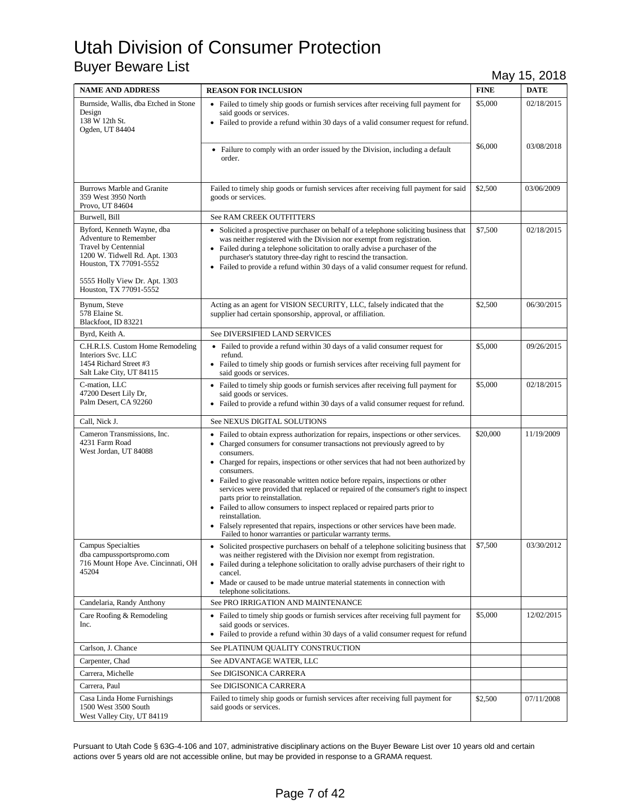| <b>NAME AND ADDRESS</b>                                                                                                                       | <b>REASON FOR INCLUSION</b>                                                                                                                                                                                                                                                                                                                                                                                                                                                                                                                                                                                                                                                                                                                       | <b>FINE</b> | $\cdot$<br><b>DATE</b> |
|-----------------------------------------------------------------------------------------------------------------------------------------------|---------------------------------------------------------------------------------------------------------------------------------------------------------------------------------------------------------------------------------------------------------------------------------------------------------------------------------------------------------------------------------------------------------------------------------------------------------------------------------------------------------------------------------------------------------------------------------------------------------------------------------------------------------------------------------------------------------------------------------------------------|-------------|------------------------|
| Burnside, Wallis, dba Etched in Stone<br>Design<br>138 W 12th St.<br>Ogden, UT 84404                                                          | • Failed to timely ship goods or furnish services after receiving full payment for<br>said goods or services.<br>• Failed to provide a refund within 30 days of a valid consumer request for refund.                                                                                                                                                                                                                                                                                                                                                                                                                                                                                                                                              | \$5,000     | 02/18/2015             |
|                                                                                                                                               | • Failure to comply with an order issued by the Division, including a default<br>order.                                                                                                                                                                                                                                                                                                                                                                                                                                                                                                                                                                                                                                                           | \$6,000     | 03/08/2018             |
| <b>Burrows Marble and Granite</b><br>359 West 3950 North<br>Provo, UT 84604                                                                   | Failed to timely ship goods or furnish services after receiving full payment for said<br>goods or services.                                                                                                                                                                                                                                                                                                                                                                                                                                                                                                                                                                                                                                       | \$2,500     | 03/06/2009             |
| Burwell, Bill                                                                                                                                 | <b>See RAM CREEK OUTFITTERS</b>                                                                                                                                                                                                                                                                                                                                                                                                                                                                                                                                                                                                                                                                                                                   |             |                        |
| Byford, Kenneth Wayne, dba<br><b>Adventure to Remember</b><br>Travel by Centennial<br>1200 W. Tidwell Rd. Apt. 1303<br>Houston, TX 77091-5552 | • Solicited a prospective purchaser on behalf of a telephone soliciting business that<br>was neither registered with the Division nor exempt from registration.<br>• Failed during a telephone solicitation to orally advise a purchaser of the<br>purchaser's statutory three-day right to rescind the transaction.<br>• Failed to provide a refund within 30 days of a valid consumer request for refund.                                                                                                                                                                                                                                                                                                                                       | \$7,500     | 02/18/2015             |
| 5555 Holly View Dr. Apt. 1303<br>Houston, TX 77091-5552                                                                                       |                                                                                                                                                                                                                                                                                                                                                                                                                                                                                                                                                                                                                                                                                                                                                   |             |                        |
| Bynum, Steve<br>578 Elaine St.<br>Blackfoot, ID 83221                                                                                         | Acting as an agent for VISION SECURITY, LLC, falsely indicated that the<br>supplier had certain sponsorship, approval, or affiliation.                                                                                                                                                                                                                                                                                                                                                                                                                                                                                                                                                                                                            | \$2,500     | 06/30/2015             |
| Byrd, Keith A.                                                                                                                                | See DIVERSIFIED LAND SERVICES                                                                                                                                                                                                                                                                                                                                                                                                                                                                                                                                                                                                                                                                                                                     |             |                        |
| C.H.R.I.S. Custom Home Remodeling<br>Interiors Svc. LLC<br>1454 Richard Street #3<br>Salt Lake City, UT 84115                                 | • Failed to provide a refund within 30 days of a valid consumer request for<br>refund.<br>• Failed to timely ship goods or furnish services after receiving full payment for<br>said goods or services.                                                                                                                                                                                                                                                                                                                                                                                                                                                                                                                                           | \$5,000     | 09/26/2015             |
| C-mation, LLC<br>47200 Desert Lily Dr,<br>Palm Desert, CA 92260                                                                               | • Failed to timely ship goods or furnish services after receiving full payment for<br>said goods or services.<br>Failed to provide a refund within 30 days of a valid consumer request for refund.<br>٠                                                                                                                                                                                                                                                                                                                                                                                                                                                                                                                                           | \$5,000     | 02/18/2015             |
| Call, Nick J.                                                                                                                                 | See NEXUS DIGITAL SOLUTIONS                                                                                                                                                                                                                                                                                                                                                                                                                                                                                                                                                                                                                                                                                                                       |             |                        |
| Cameron Transmissions, Inc.<br>4231 Farm Road<br>West Jordan, UT 84088                                                                        | • Failed to obtain express authorization for repairs, inspections or other services.<br>• Charged consumers for consumer transactions not previously agreed to by<br>consumers.<br>• Charged for repairs, inspections or other services that had not been authorized by<br>consumers.<br>• Failed to give reasonable written notice before repairs, inspections or other<br>services were provided that replaced or repaired of the consumer's right to inspect<br>parts prior to reinstallation.<br>• Failed to allow consumers to inspect replaced or repaired parts prior to<br>reinstallation.<br>Falsely represented that repairs, inspections or other services have been made.<br>Failed to honor warranties or particular warranty terms. | \$20,000    | 11/19/2009             |
| Campus Specialties<br>dba campussportspromo.com<br>716 Mount Hope Ave. Cincinnati, OH<br>45204                                                | • Solicited prospective purchasers on behalf of a telephone soliciting business that<br>was neither registered with the Division nor exempt from registration.<br>Failed during a telephone solicitation to orally advise purchasers of their right to<br>٠<br>cancel.<br>Made or caused to be made untrue material statements in connection with<br>٠<br>telephone solicitations.                                                                                                                                                                                                                                                                                                                                                                | \$7,500     | 03/30/2012             |
| Candelaria, Randy Anthony                                                                                                                     | See PRO IRRIGATION AND MAINTENANCE                                                                                                                                                                                                                                                                                                                                                                                                                                                                                                                                                                                                                                                                                                                |             |                        |
| Care Roofing & Remodeling<br>Inc.                                                                                                             | • Failed to timely ship goods or furnish services after receiving full payment for<br>said goods or services.<br>• Failed to provide a refund within 30 days of a valid consumer request for refund                                                                                                                                                                                                                                                                                                                                                                                                                                                                                                                                               | \$5,000     | 12/02/2015             |
| Carlson, J. Chance                                                                                                                            | See PLATINUM QUALITY CONSTRUCTION                                                                                                                                                                                                                                                                                                                                                                                                                                                                                                                                                                                                                                                                                                                 |             |                        |
| Carpenter, Chad                                                                                                                               | See ADVANTAGE WATER, LLC                                                                                                                                                                                                                                                                                                                                                                                                                                                                                                                                                                                                                                                                                                                          |             |                        |
| Carrera, Michelle                                                                                                                             | See DIGISONICA CARRERA                                                                                                                                                                                                                                                                                                                                                                                                                                                                                                                                                                                                                                                                                                                            |             |                        |
| Carrera, Paul                                                                                                                                 | See DIGISONICA CARRERA                                                                                                                                                                                                                                                                                                                                                                                                                                                                                                                                                                                                                                                                                                                            |             |                        |
| Casa Linda Home Furnishings<br>1500 West 3500 South<br>West Valley City, UT 84119                                                             | Failed to timely ship goods or furnish services after receiving full payment for<br>said goods or services.                                                                                                                                                                                                                                                                                                                                                                                                                                                                                                                                                                                                                                       | \$2,500     | 07/11/2008             |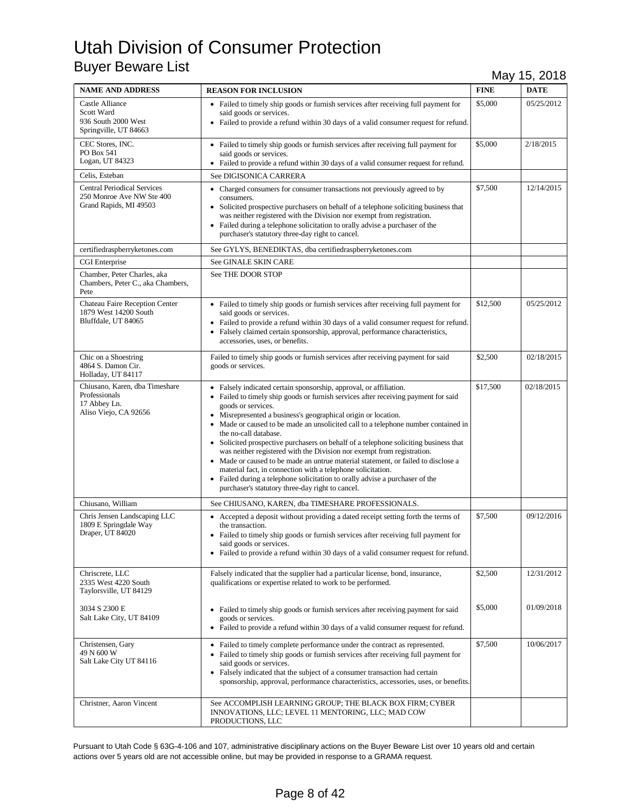| <b>NAME AND ADDRESS</b>                                                                   | <b>REASON FOR INCLUSION</b>                                                                                                                                                                                                                                                                                                                                                                                                                                                                                                                                                                                                                                                                                                                                                                                             | <b>FINE</b> | <b>DATE</b> |
|-------------------------------------------------------------------------------------------|-------------------------------------------------------------------------------------------------------------------------------------------------------------------------------------------------------------------------------------------------------------------------------------------------------------------------------------------------------------------------------------------------------------------------------------------------------------------------------------------------------------------------------------------------------------------------------------------------------------------------------------------------------------------------------------------------------------------------------------------------------------------------------------------------------------------------|-------------|-------------|
| Castle Alliance<br>Scott Ward<br>936 South 2000 West<br>Springville, UT 84663             | • Failed to timely ship goods or furnish services after receiving full payment for<br>said goods or services.<br>• Failed to provide a refund within 30 days of a valid consumer request for refund.                                                                                                                                                                                                                                                                                                                                                                                                                                                                                                                                                                                                                    | \$5,000     | 05/25/2012  |
| CEC Stores, INC.<br>PO Box 541<br>Logan, UT 84323                                         | • Failed to timely ship goods or furnish services after receiving full payment for<br>said goods or services.<br>• Failed to provide a refund within 30 days of a valid consumer request for refund.                                                                                                                                                                                                                                                                                                                                                                                                                                                                                                                                                                                                                    | \$5,000     | 2/18/2015   |
| Celis, Esteban                                                                            | See DIGISONICA CARRERA                                                                                                                                                                                                                                                                                                                                                                                                                                                                                                                                                                                                                                                                                                                                                                                                  |             |             |
| <b>Central Periodical Services</b><br>250 Monroe Ave NW Ste 400<br>Grand Rapids, MI 49503 | • Charged consumers for consumer transactions not previously agreed to by<br>consumers.<br>• Solicited prospective purchasers on behalf of a telephone soliciting business that<br>was neither registered with the Division nor exempt from registration.<br>• Failed during a telephone solicitation to orally advise a purchaser of the<br>purchaser's statutory three-day right to cancel.                                                                                                                                                                                                                                                                                                                                                                                                                           | \$7,500     | 12/14/2015  |
| certifiedraspberryketones.com                                                             | See GYLYS, BENEDIKTAS, dba certifiedraspberryketones.com                                                                                                                                                                                                                                                                                                                                                                                                                                                                                                                                                                                                                                                                                                                                                                |             |             |
| CGI Enterprise                                                                            | See GINALE SKIN CARE                                                                                                                                                                                                                                                                                                                                                                                                                                                                                                                                                                                                                                                                                                                                                                                                    |             |             |
| Chamber, Peter Charles, aka<br>Chambers, Peter C., aka Chambers,<br>Pete                  | See THE DOOR STOP                                                                                                                                                                                                                                                                                                                                                                                                                                                                                                                                                                                                                                                                                                                                                                                                       |             |             |
| Chateau Faire Reception Center<br>1879 West 14200 South<br>Bluffdale, UT 84065            | • Failed to timely ship goods or furnish services after receiving full payment for<br>said goods or services.<br>• Failed to provide a refund within 30 days of a valid consumer request for refund.<br>Falsely claimed certain sponsorship, approval, performance characteristics,<br>accessories, uses, or benefits.                                                                                                                                                                                                                                                                                                                                                                                                                                                                                                  | \$12,500    | 05/25/2012  |
| Chic on a Shoestring<br>4864 S. Damon Cir.<br>Holladay, UT 84117                          | Failed to timely ship goods or furnish services after receiving payment for said<br>goods or services.                                                                                                                                                                                                                                                                                                                                                                                                                                                                                                                                                                                                                                                                                                                  | \$2,500     | 02/18/2015  |
| Chiusano, Karen, dba Timeshare<br>Professionals<br>17 Abbey Ln.<br>Aliso Viejo, CA 92656  | • Falsely indicated certain sponsorship, approval, or affiliation.<br>• Failed to timely ship goods or furnish services after receiving payment for said<br>goods or services.<br>• Misrepresented a business's geographical origin or location.<br>Made or caused to be made an unsolicited call to a telephone number contained in<br>the no-call database.<br>• Solicited prospective purchasers on behalf of a telephone soliciting business that<br>was neither registered with the Division nor exempt from registration.<br>• Made or caused to be made an untrue material statement, or failed to disclose a<br>material fact, in connection with a telephone solicitation.<br>• Failed during a telephone solicitation to orally advise a purchaser of the<br>purchaser's statutory three-day right to cancel. | \$17,500    | 02/18/2015  |
| Chiusano, William                                                                         | See CHIUSANO, KAREN, dba TIMESHARE PROFESSIONALS.                                                                                                                                                                                                                                                                                                                                                                                                                                                                                                                                                                                                                                                                                                                                                                       |             |             |
| Chris Jensen Landscaping LLC<br>1809 E Springdale Way<br>Draper, UT 84020                 | • Accepted a deposit without providing a dated receipt setting forth the terms of<br>the transaction.<br>• Failed to timely ship goods or furnish services after receiving full payment for<br>said goods or services.<br>• Failed to provide a refund within 30 days of a valid consumer request for refund.                                                                                                                                                                                                                                                                                                                                                                                                                                                                                                           | \$7,500     | 09/12/2016  |
| Chriscrete, LLC<br>2335 West 4220 South<br>Taylorsville, UT 84129                         | Falsely indicated that the supplier had a particular license, bond, insurance,<br>qualifications or expertise related to work to be performed.                                                                                                                                                                                                                                                                                                                                                                                                                                                                                                                                                                                                                                                                          | \$2,500     | 12/31/2012  |
| 3034 S 2300 E<br>Salt Lake City, UT 84109                                                 | • Failed to timely ship goods or furnish services after receiving payment for said<br>goods or services.<br>• Failed to provide a refund within 30 days of a valid consumer request for refund.                                                                                                                                                                                                                                                                                                                                                                                                                                                                                                                                                                                                                         | \$5,000     | 01/09/2018  |
| Christensen, Gary<br>49 N 600 W<br>Salt Lake City UT 84116                                | • Failed to timely complete performance under the contract as represented.<br>• Failed to timely ship goods or furnish services after receiving full payment for<br>said goods or services.<br>• Falsely indicated that the subject of a consumer transaction had certain<br>sponsorship, approval, performance characteristics, accessories, uses, or benefits.                                                                                                                                                                                                                                                                                                                                                                                                                                                        | \$7,500     | 10/06/2017  |
| Christner, Aaron Vincent                                                                  | See ACCOMPLISH LEARNING GROUP; THE BLACK BOX FIRM; CYBER<br>INNOVATIONS, LLC; LEVEL 11 MENTORING, LLC; MAD COW<br>PRODUCTIONS, LLC                                                                                                                                                                                                                                                                                                                                                                                                                                                                                                                                                                                                                                                                                      |             |             |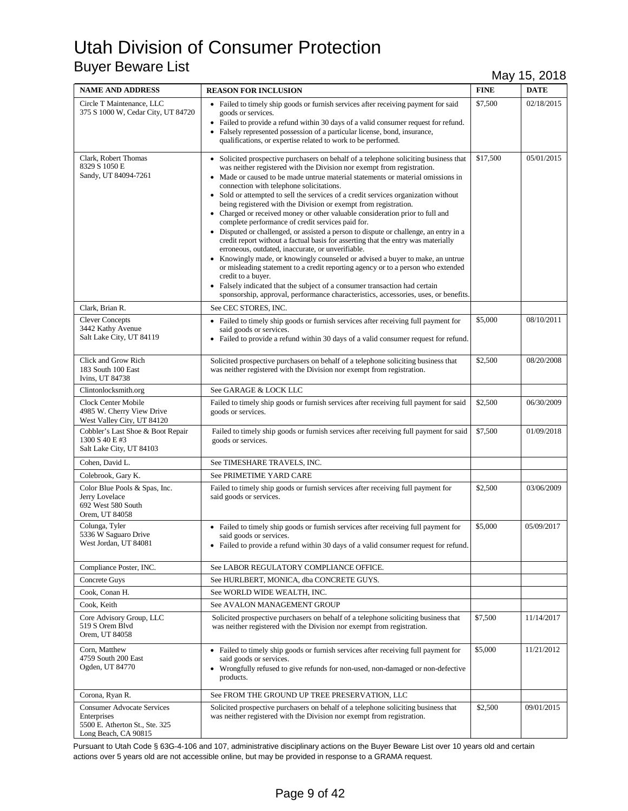| <b>NAME AND ADDRESS</b>                                                                                    | <b>REASON FOR INCLUSION</b>                                                                                                                                                                                                                                                                                                                                                                                                                                                                                                                                                                                                                                                                                                                                                                                                                                                                                                                                                                                                                                                                                                                                                                      | <b>FINE</b> | <b>DATE</b> |
|------------------------------------------------------------------------------------------------------------|--------------------------------------------------------------------------------------------------------------------------------------------------------------------------------------------------------------------------------------------------------------------------------------------------------------------------------------------------------------------------------------------------------------------------------------------------------------------------------------------------------------------------------------------------------------------------------------------------------------------------------------------------------------------------------------------------------------------------------------------------------------------------------------------------------------------------------------------------------------------------------------------------------------------------------------------------------------------------------------------------------------------------------------------------------------------------------------------------------------------------------------------------------------------------------------------------|-------------|-------------|
| Circle T Maintenance, LLC<br>375 S 1000 W, Cedar City, UT 84720                                            | • Failed to timely ship goods or furnish services after receiving payment for said<br>goods or services.<br>• Failed to provide a refund within 30 days of a valid consumer request for refund.<br>Falsely represented possession of a particular license, bond, insurance,<br>qualifications, or expertise related to work to be performed.                                                                                                                                                                                                                                                                                                                                                                                                                                                                                                                                                                                                                                                                                                                                                                                                                                                     | \$7,500     | 02/18/2015  |
| Clark, Robert Thomas<br>8329 S 1050 E<br>Sandy, UT 84094-7261                                              | • Solicited prospective purchasers on behalf of a telephone soliciting business that<br>was neither registered with the Division nor exempt from registration.<br>• Made or caused to be made untrue material statements or material omissions in<br>connection with telephone solicitations.<br>• Sold or attempted to sell the services of a credit services organization without<br>being registered with the Division or exempt from registration.<br>• Charged or received money or other valuable consideration prior to full and<br>complete performance of credit services paid for.<br>• Disputed or challenged, or assisted a person to dispute or challenge, an entry in a<br>credit report without a factual basis for asserting that the entry was materially<br>erroneous, outdated, inaccurate, or unverifiable.<br>• Knowingly made, or knowingly counseled or advised a buyer to make, an untrue<br>or misleading statement to a credit reporting agency or to a person who extended<br>credit to a buyer.<br>• Falsely indicated that the subject of a consumer transaction had certain<br>sponsorship, approval, performance characteristics, accessories, uses, or benefits. | \$17,500    | 05/01/2015  |
| Clark, Brian R.                                                                                            | See CEC STORES, INC.                                                                                                                                                                                                                                                                                                                                                                                                                                                                                                                                                                                                                                                                                                                                                                                                                                                                                                                                                                                                                                                                                                                                                                             |             |             |
| <b>Clever Concepts</b><br>3442 Kathy Avenue<br>Salt Lake City, UT 84119                                    | • Failed to timely ship goods or furnish services after receiving full payment for<br>said goods or services.<br>• Failed to provide a refund within 30 days of a valid consumer request for refund.                                                                                                                                                                                                                                                                                                                                                                                                                                                                                                                                                                                                                                                                                                                                                                                                                                                                                                                                                                                             | \$5,000     | 08/10/2011  |
| Click and Grow Rich<br>183 South 100 East<br>Ivins, UT 84738                                               | Solicited prospective purchasers on behalf of a telephone soliciting business that<br>was neither registered with the Division nor exempt from registration.                                                                                                                                                                                                                                                                                                                                                                                                                                                                                                                                                                                                                                                                                                                                                                                                                                                                                                                                                                                                                                     | \$2,500     | 08/20/2008  |
| Clintonlocksmith.org                                                                                       | See GARAGE & LOCK LLC                                                                                                                                                                                                                                                                                                                                                                                                                                                                                                                                                                                                                                                                                                                                                                                                                                                                                                                                                                                                                                                                                                                                                                            |             |             |
| Clock Center Mobile<br>4985 W. Cherry View Drive<br>West Valley City, UT 84120                             | Failed to timely ship goods or furnish services after receiving full payment for said<br>goods or services.                                                                                                                                                                                                                                                                                                                                                                                                                                                                                                                                                                                                                                                                                                                                                                                                                                                                                                                                                                                                                                                                                      | \$2,500     | 06/30/2009  |
| Cobbler's Last Shoe & Boot Repair<br>1300 S 40 E #3<br>Salt Lake City, UT 84103                            | Failed to timely ship goods or furnish services after receiving full payment for said<br>goods or services.                                                                                                                                                                                                                                                                                                                                                                                                                                                                                                                                                                                                                                                                                                                                                                                                                                                                                                                                                                                                                                                                                      | \$7,500     | 01/09/2018  |
| Cohen, David L.                                                                                            | See TIMESHARE TRAVELS, INC.                                                                                                                                                                                                                                                                                                                                                                                                                                                                                                                                                                                                                                                                                                                                                                                                                                                                                                                                                                                                                                                                                                                                                                      |             |             |
| Colebrook, Gary K.                                                                                         | See PRIMETIME YARD CARE                                                                                                                                                                                                                                                                                                                                                                                                                                                                                                                                                                                                                                                                                                                                                                                                                                                                                                                                                                                                                                                                                                                                                                          |             |             |
| Color Blue Pools & Spas, Inc.<br>Jerry Lovelace<br>692 West 580 South<br>Orem, UT 84058                    | Failed to timely ship goods or furnish services after receiving full payment for<br>said goods or services.                                                                                                                                                                                                                                                                                                                                                                                                                                                                                                                                                                                                                                                                                                                                                                                                                                                                                                                                                                                                                                                                                      | \$2,500     | 03/06/2009  |
| Colunga, Tyler<br>5336 W Saguaro Drive<br>West Jordan, UT 84081                                            | • Failed to timely ship goods or furnish services after receiving full payment for<br>said goods or services.<br>• Failed to provide a refund within 30 days of a valid consumer request for refund.                                                                                                                                                                                                                                                                                                                                                                                                                                                                                                                                                                                                                                                                                                                                                                                                                                                                                                                                                                                             | \$5,000     | 05/09/2017  |
| Compliance Poster, INC.                                                                                    | See LABOR REGULATORY COMPLIANCE OFFICE.                                                                                                                                                                                                                                                                                                                                                                                                                                                                                                                                                                                                                                                                                                                                                                                                                                                                                                                                                                                                                                                                                                                                                          |             |             |
| Concrete Guys                                                                                              | See HURLBERT, MONICA, dba CONCRETE GUYS.                                                                                                                                                                                                                                                                                                                                                                                                                                                                                                                                                                                                                                                                                                                                                                                                                                                                                                                                                                                                                                                                                                                                                         |             |             |
| Cook, Conan H.                                                                                             | See WORLD WIDE WEALTH, INC.                                                                                                                                                                                                                                                                                                                                                                                                                                                                                                                                                                                                                                                                                                                                                                                                                                                                                                                                                                                                                                                                                                                                                                      |             |             |
| Cook, Keith                                                                                                | See AVALON MANAGEMENT GROUP                                                                                                                                                                                                                                                                                                                                                                                                                                                                                                                                                                                                                                                                                                                                                                                                                                                                                                                                                                                                                                                                                                                                                                      |             |             |
| Core Advisory Group, LLC<br>519 S Orem Blvd<br>Orem, UT 84058                                              | Solicited prospective purchasers on behalf of a telephone soliciting business that<br>was neither registered with the Division nor exempt from registration.                                                                                                                                                                                                                                                                                                                                                                                                                                                                                                                                                                                                                                                                                                                                                                                                                                                                                                                                                                                                                                     | \$7,500     | 11/14/2017  |
| Corn, Matthew<br>4759 South 200 East<br>Ogden, UT 84770                                                    | • Failed to timely ship goods or furnish services after receiving full payment for<br>said goods or services.<br>• Wrongfully refused to give refunds for non-used, non-damaged or non-defective<br>products.                                                                                                                                                                                                                                                                                                                                                                                                                                                                                                                                                                                                                                                                                                                                                                                                                                                                                                                                                                                    | \$5,000     | 11/21/2012  |
| Corona, Ryan R.                                                                                            | See FROM THE GROUND UP TREE PRESERVATION, LLC                                                                                                                                                                                                                                                                                                                                                                                                                                                                                                                                                                                                                                                                                                                                                                                                                                                                                                                                                                                                                                                                                                                                                    |             |             |
| <b>Consumer Advocate Services</b><br>Enterprises<br>5500 E. Atherton St., Ste. 325<br>Long Beach, CA 90815 | Solicited prospective purchasers on behalf of a telephone soliciting business that<br>was neither registered with the Division nor exempt from registration.                                                                                                                                                                                                                                                                                                                                                                                                                                                                                                                                                                                                                                                                                                                                                                                                                                                                                                                                                                                                                                     | \$2,500     | 09/01/2015  |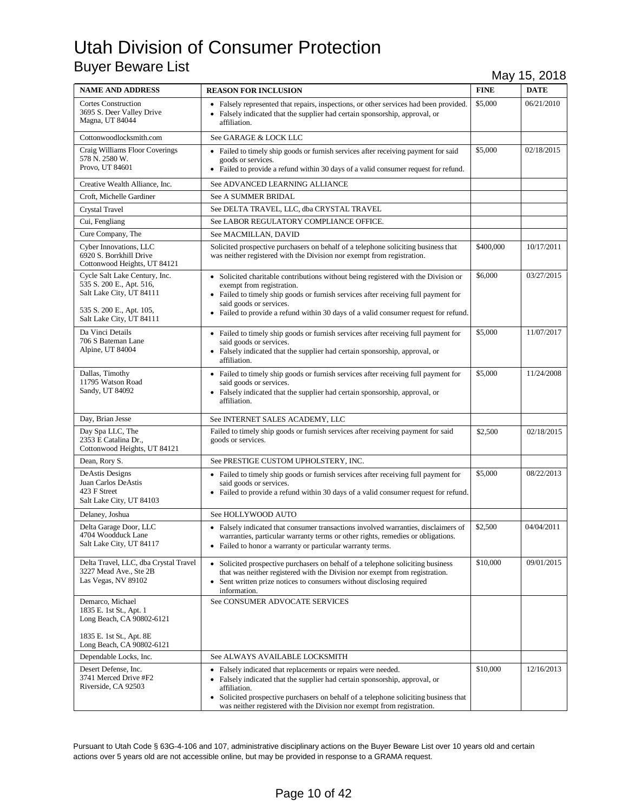| <b>NAME AND ADDRESS</b>                                                                                                                       | <b>REASON FOR INCLUSION</b>                                                                                                                                                                                                                                                                                                    | <b>FINE</b> | <b>DATE</b> |
|-----------------------------------------------------------------------------------------------------------------------------------------------|--------------------------------------------------------------------------------------------------------------------------------------------------------------------------------------------------------------------------------------------------------------------------------------------------------------------------------|-------------|-------------|
| <b>Cortes Construction</b><br>3695 S. Deer Valley Drive<br>Magna, UT 84044                                                                    | • Falsely represented that repairs, inspections, or other services had been provided.<br>• Falsely indicated that the supplier had certain sponsorship, approval, or<br>affiliation.                                                                                                                                           | \$5,000     | 06/21/2010  |
| Cottonwoodlocksmith.com                                                                                                                       | See GARAGE & LOCK LLC                                                                                                                                                                                                                                                                                                          |             |             |
| Craig Williams Floor Coverings<br>578 N. 2580 W.<br>Provo, UT 84601                                                                           | • Failed to timely ship goods or furnish services after receiving payment for said<br>goods or services.<br>• Failed to provide a refund within 30 days of a valid consumer request for refund.                                                                                                                                | \$5,000     | 02/18/2015  |
| Creative Wealth Alliance, Inc.                                                                                                                | See ADVANCED LEARNING ALLIANCE                                                                                                                                                                                                                                                                                                 |             |             |
| Croft, Michelle Gardiner                                                                                                                      | See A SUMMER BRIDAL                                                                                                                                                                                                                                                                                                            |             |             |
| Crystal Travel                                                                                                                                | See DELTA TRAVEL, LLC, dba CRYSTAL TRAVEL                                                                                                                                                                                                                                                                                      |             |             |
| Cui, Fengliang                                                                                                                                | See LABOR REGULATORY COMPLIANCE OFFICE.                                                                                                                                                                                                                                                                                        |             |             |
| Cure Company, The                                                                                                                             | See MACMILLAN, DAVID                                                                                                                                                                                                                                                                                                           |             |             |
| Cyber Innovations, LLC<br>6920 S. Borrkhill Drive<br>Cottonwood Heights, UT 84121                                                             | Solicited prospective purchasers on behalf of a telephone soliciting business that<br>was neither registered with the Division nor exempt from registration.                                                                                                                                                                   | \$400,000   | 10/17/2011  |
| Cycle Salt Lake Century, Inc.<br>535 S. 200 E., Apt. 516,<br>Salt Lake City, UT 84111<br>535 S. 200 E., Apt. 105,<br>Salt Lake City, UT 84111 | • Solicited charitable contributions without being registered with the Division or<br>exempt from registration.<br>• Failed to timely ship goods or furnish services after receiving full payment for<br>said goods or services.<br>• Failed to provide a refund within 30 days of a valid consumer request for refund.        | \$6,000     | 03/27/2015  |
| Da Vinci Details<br>706 S Bateman Lane<br>Alpine, UT 84004                                                                                    | • Failed to timely ship goods or furnish services after receiving full payment for<br>said goods or services.<br>• Falsely indicated that the supplier had certain sponsorship, approval, or<br>affiliation.                                                                                                                   | \$5,000     | 11/07/2017  |
| Dallas, Timothy<br>11795 Watson Road<br>Sandy, UT 84092                                                                                       | • Failed to timely ship goods or furnish services after receiving full payment for<br>said goods or services.<br>• Falsely indicated that the supplier had certain sponsorship, approval, or<br>affiliation.                                                                                                                   | \$5,000     | 11/24/2008  |
| Day, Brian Jesse                                                                                                                              | See INTERNET SALES ACADEMY, LLC                                                                                                                                                                                                                                                                                                |             |             |
| Day Spa LLC, The<br>2353 E Catalina Dr.,<br>Cottonwood Heights, UT 84121                                                                      | Failed to timely ship goods or furnish services after receiving payment for said<br>goods or services.                                                                                                                                                                                                                         | \$2,500     | 02/18/2015  |
| Dean, Rory S.                                                                                                                                 | See PRESTIGE CUSTOM UPHOLSTERY, INC.                                                                                                                                                                                                                                                                                           |             |             |
| DeAstis Designs<br>Juan Carlos DeAstis<br>423 F Street<br>Salt Lake City, UT 84103                                                            | • Failed to timely ship goods or furnish services after receiving full payment for<br>said goods or services.<br>• Failed to provide a refund within 30 days of a valid consumer request for refund.                                                                                                                           | \$5,000     | 08/22/2013  |
| Delaney, Joshua                                                                                                                               | See HOLLYWOOD AUTO                                                                                                                                                                                                                                                                                                             |             |             |
| Delta Garage Door, LLC<br>4704 Woodduck Lane<br>Salt Lake City, UT 84117                                                                      | • Falsely indicated that consumer transactions involved warranties, disclaimers of<br>warranties, particular warranty terms or other rights, remedies or obligations.<br>• Failed to honor a warranty or particular warranty terms.                                                                                            | \$2,500     | 04/04/2011  |
| Delta Travel, LLC, dba Crystal Travel<br>3227 Mead Ave., Ste 2B<br>Las Vegas, NV 89102                                                        | • Solicited prospective purchasers on behalf of a telephone soliciting business<br>that was neither registered with the Division nor exempt from registration.<br>• Sent written prize notices to consumers without disclosing required<br>information.                                                                        | \$10,000    | 09/01/2015  |
| Demarco, Michael<br>1835 E. 1st St., Apt. 1<br>Long Beach, CA 90802-6121<br>1835 E. 1st St., Apt. 8E<br>Long Beach, CA 90802-6121             | See CONSUMER ADVOCATE SERVICES                                                                                                                                                                                                                                                                                                 |             |             |
| Dependable Locks, Inc.                                                                                                                        | See ALWAYS AVAILABLE LOCKSMITH                                                                                                                                                                                                                                                                                                 |             |             |
| Desert Defense, Inc.<br>3741 Merced Drive #F2<br>Riverside, CA 92503                                                                          | • Falsely indicated that replacements or repairs were needed.<br>• Falsely indicated that the supplier had certain sponsorship, approval, or<br>affiliation.<br>• Solicited prospective purchasers on behalf of a telephone soliciting business that<br>was neither registered with the Division nor exempt from registration. | \$10,000    | 12/16/2013  |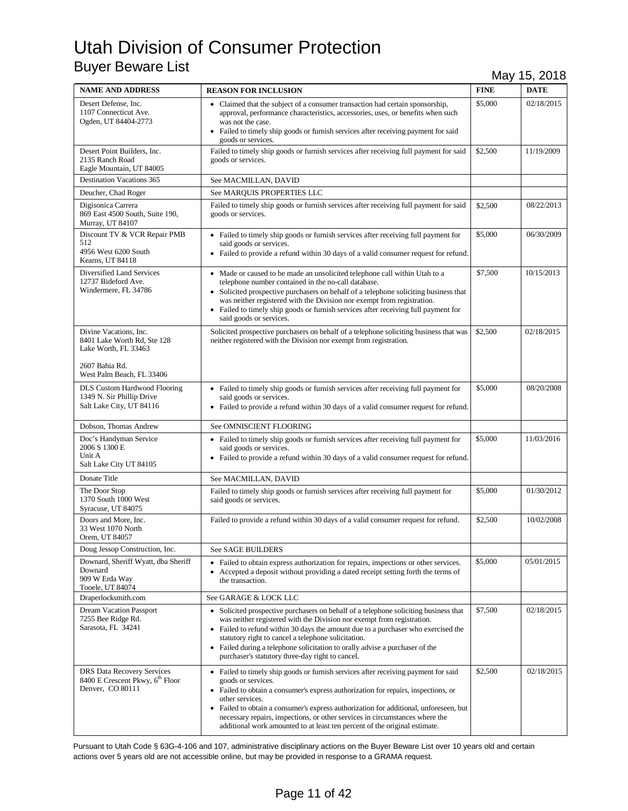| <b>NAME AND ADDRESS</b>                                                                              | <b>REASON FOR INCLUSION</b>                                                                                                                                                                                                                                                                                                                                                                                                                                              | <b>FINE</b> | <b>DATE</b> |
|------------------------------------------------------------------------------------------------------|--------------------------------------------------------------------------------------------------------------------------------------------------------------------------------------------------------------------------------------------------------------------------------------------------------------------------------------------------------------------------------------------------------------------------------------------------------------------------|-------------|-------------|
| Desert Defense, Inc.<br>1107 Connecticut Ave.<br>Ogden, UT 84404-2773                                | • Claimed that the subject of a consumer transaction had certain sponsorship,<br>approval, performance characteristics, accessories, uses, or benefits when such<br>was not the case.<br>• Failed to timely ship goods or furnish services after receiving payment for said<br>goods or services.                                                                                                                                                                        | \$5,000     | 02/18/2015  |
| Desert Point Builders, Inc.<br>2135 Ranch Road<br>Eagle Mountain, UT 84005                           | Failed to timely ship goods or furnish services after receiving full payment for said<br>goods or services.                                                                                                                                                                                                                                                                                                                                                              | \$2,500     | 11/19/2009  |
| <b>Destination Vacations 365</b>                                                                     | See MACMILLAN, DAVID                                                                                                                                                                                                                                                                                                                                                                                                                                                     |             |             |
| Deucher, Chad Roger                                                                                  | See MARQUIS PROPERTIES LLC                                                                                                                                                                                                                                                                                                                                                                                                                                               |             |             |
| Digisonica Carrera<br>869 East 4500 South, Suite 190,<br>Murray, UT 84107                            | Failed to timely ship goods or furnish services after receiving full payment for said<br>goods or services.                                                                                                                                                                                                                                                                                                                                                              | \$2,500     | 08/22/2013  |
| Discount TV & VCR Repair PMB<br>512<br>4956 West 6200 South<br>Kearns, UT 84118                      | • Failed to timely ship goods or furnish services after receiving full payment for<br>said goods or services.<br>• Failed to provide a refund within 30 days of a valid consumer request for refund.                                                                                                                                                                                                                                                                     | \$5,000     | 06/30/2009  |
| Diversified Land Services<br>12737 Bideford Ave.<br>Windermere, FL 34786                             | • Made or caused to be made an unsolicited telephone call within Utah to a<br>telephone number contained in the no-call database.<br>• Solicited prospective purchasers on behalf of a telephone soliciting business that<br>was neither registered with the Division nor exempt from registration.<br>• Failed to timely ship goods or furnish services after receiving full payment for<br>said goods or services.                                                     | \$7,500     | 10/15/2013  |
| Divine Vacations, Inc.<br>8401 Lake Worth Rd, Ste 128<br>Lake Worth, FL 33463                        | Solicited prospective purchasers on behalf of a telephone soliciting business that was<br>neither registered with the Division nor exempt from registration.                                                                                                                                                                                                                                                                                                             | \$2,500     | 02/18/2015  |
| 2607 Bahia Rd.<br>West Palm Beach, FL 33406                                                          |                                                                                                                                                                                                                                                                                                                                                                                                                                                                          |             |             |
| <b>DLS Custom Hardwood Flooring</b><br>1349 N. Sir Phillip Drive<br>Salt Lake City, UT 84116         | • Failed to timely ship goods or furnish services after receiving full payment for<br>said goods or services.<br>• Failed to provide a refund within 30 days of a valid consumer request for refund.                                                                                                                                                                                                                                                                     | \$5,000     | 08/20/2008  |
| Dobson, Thomas Andrew                                                                                | See OMNISCIENT FLOORING                                                                                                                                                                                                                                                                                                                                                                                                                                                  |             |             |
| Doc's Handyman Service<br>2006 S 1300 E<br>Unit A<br>Salt Lake City UT 84105                         | • Failed to timely ship goods or furnish services after receiving full payment for<br>said goods or services.<br>• Failed to provide a refund within 30 days of a valid consumer request for refund.                                                                                                                                                                                                                                                                     | \$5,000     | 11/03/2016  |
| Donate Title                                                                                         | See MACMILLAN, DAVID                                                                                                                                                                                                                                                                                                                                                                                                                                                     |             |             |
| The Door Stop<br>1370 South 1000 West<br>Syracuse, UT 84075                                          | Failed to timely ship goods or furnish services after receiving full payment for<br>said goods or services.                                                                                                                                                                                                                                                                                                                                                              | \$5,000     | 01/30/2012  |
| Doors and More, Inc.<br>33 West 1070 North<br>Orem, UT 84057                                         | Failed to provide a refund within 30 days of a valid consumer request for refund.                                                                                                                                                                                                                                                                                                                                                                                        | \$2,500     | 10/02/2008  |
| Doug Jessop Construction, Inc.                                                                       | See SAGE BUILDERS                                                                                                                                                                                                                                                                                                                                                                                                                                                        |             |             |
| Downard, Sheriff Wyatt, dba Sheriff<br>Downard<br>909 W Erda Way<br>Tooele, UT 84074                 | • Failed to obtain express authorization for repairs, inspections or other services.<br>• Accepted a deposit without providing a dated receipt setting forth the terms of<br>the transaction.                                                                                                                                                                                                                                                                            | \$5,000     | 05/01/2015  |
| Draperlocksmith.com                                                                                  | See GARAGE & LOCK LLC                                                                                                                                                                                                                                                                                                                                                                                                                                                    |             |             |
| <b>Dream Vacation Passport</b><br>7255 Bee Ridge Rd.<br>Sarasota, FL 34241                           | • Solicited prospective purchasers on behalf of a telephone soliciting business that<br>was neither registered with the Division nor exempt from registration.<br>• Failed to refund within 30 days the amount due to a purchaser who exercised the<br>statutory right to cancel a telephone solicitation.<br>• Failed during a telephone solicitation to orally advise a purchaser of the<br>purchaser's statutory three-day right to cancel.                           | \$7,500     | 02/18/2015  |
| <b>DRS Data Recovery Services</b><br>8400 E Crescent Pkwy, 6 <sup>th</sup> Floor<br>Denver, CO 80111 | • Failed to timely ship goods or furnish services after receiving payment for said<br>goods or services.<br>• Failed to obtain a consumer's express authorization for repairs, inspections, or<br>other services.<br>• Failed to obtain a consumer's express authorization for additional, unforeseen, but<br>necessary repairs, inspections, or other services in circumstances where the<br>additional work amounted to at least ten percent of the original estimate. | \$2,500     | 02/18/2015  |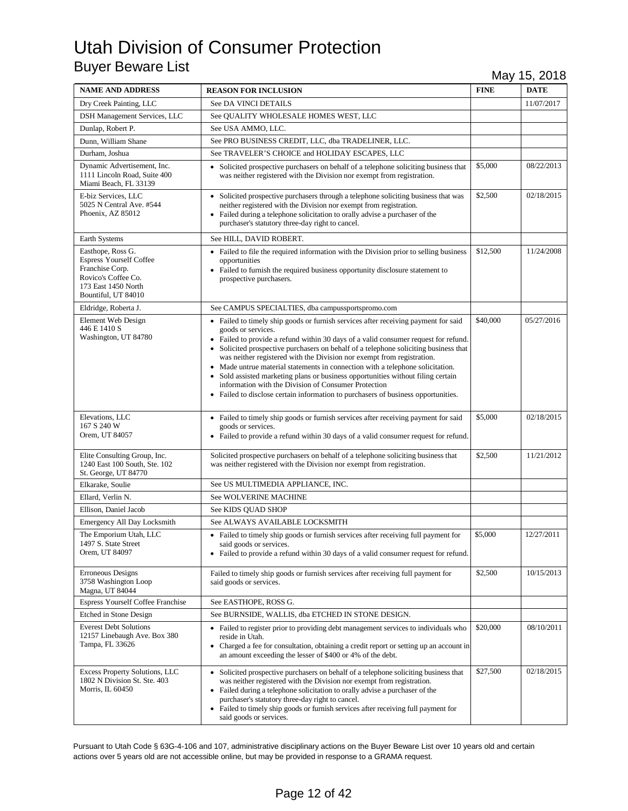| <b>NAME AND ADDRESS</b>                                                                                                                     | <b>REASON FOR INCLUSION</b>                                                                                                                                                                                                                                                                                                                                                                                                                                                                                                                                                                                                                                                          | <b>FINE</b> | <b>DATE</b> |
|---------------------------------------------------------------------------------------------------------------------------------------------|--------------------------------------------------------------------------------------------------------------------------------------------------------------------------------------------------------------------------------------------------------------------------------------------------------------------------------------------------------------------------------------------------------------------------------------------------------------------------------------------------------------------------------------------------------------------------------------------------------------------------------------------------------------------------------------|-------------|-------------|
| Dry Creek Painting, LLC                                                                                                                     | See DA VINCI DETAILS                                                                                                                                                                                                                                                                                                                                                                                                                                                                                                                                                                                                                                                                 |             | 11/07/2017  |
| DSH Management Services, LLC                                                                                                                | See QUALITY WHOLESALE HOMES WEST, LLC                                                                                                                                                                                                                                                                                                                                                                                                                                                                                                                                                                                                                                                |             |             |
| Dunlap, Robert P.                                                                                                                           | See USA AMMO, LLC.                                                                                                                                                                                                                                                                                                                                                                                                                                                                                                                                                                                                                                                                   |             |             |
| Dunn, William Shane                                                                                                                         | See PRO BUSINESS CREDIT, LLC, dba TRADELINER, LLC.                                                                                                                                                                                                                                                                                                                                                                                                                                                                                                                                                                                                                                   |             |             |
| Durham. Joshua                                                                                                                              | See TRAVELER'S CHOICE and HOLIDAY ESCAPES, LLC                                                                                                                                                                                                                                                                                                                                                                                                                                                                                                                                                                                                                                       |             |             |
| Dynamic Advertisement, Inc.<br>1111 Lincoln Road, Suite 400<br>Miami Beach, FL 33139                                                        | • Solicited prospective purchasers on behalf of a telephone soliciting business that<br>was neither registered with the Division nor exempt from registration.                                                                                                                                                                                                                                                                                                                                                                                                                                                                                                                       | \$5,000     | 08/22/2013  |
| E-biz Services, LLC<br>5025 N Central Ave. #544<br>Phoenix, AZ 85012                                                                        | • Solicited prospective purchasers through a telephone soliciting business that was<br>neither registered with the Division nor exempt from registration.<br>• Failed during a telephone solicitation to orally advise a purchaser of the<br>purchaser's statutory three-day right to cancel.                                                                                                                                                                                                                                                                                                                                                                                        | \$2,500     | 02/18/2015  |
| Earth Systems                                                                                                                               | See HILL, DAVID ROBERT.                                                                                                                                                                                                                                                                                                                                                                                                                                                                                                                                                                                                                                                              |             |             |
| Easthope, Ross G.<br><b>Espress Yourself Coffee</b><br>Franchise Corp.<br>Rovico's Coffee Co.<br>173 East 1450 North<br>Bountiful, UT 84010 | • Failed to file the required information with the Division prior to selling business<br>opportunities<br>• Failed to furnish the required business opportunity disclosure statement to<br>prospective purchasers.                                                                                                                                                                                                                                                                                                                                                                                                                                                                   | \$12,500    | 11/24/2008  |
| Eldridge, Roberta J.                                                                                                                        | See CAMPUS SPECIALTIES, dba campussportspromo.com                                                                                                                                                                                                                                                                                                                                                                                                                                                                                                                                                                                                                                    |             |             |
| Element Web Design<br>446 E 1410 S<br>Washington, UT 84780                                                                                  | • Failed to timely ship goods or furnish services after receiving payment for said<br>goods or services.<br>• Failed to provide a refund within 30 days of a valid consumer request for refund.<br>• Solicited prospective purchasers on behalf of a telephone soliciting business that<br>was neither registered with the Division nor exempt from registration.<br>• Made untrue material statements in connection with a telephone solicitation.<br>• Sold assisted marketing plans or business opportunities without filing certain<br>information with the Division of Consumer Protection<br>• Failed to disclose certain information to purchasers of business opportunities. | \$40,000    | 05/27/2016  |
| Elevations, LLC<br>167 S 240 W<br>Orem, UT 84057                                                                                            | • Failed to timely ship goods or furnish services after receiving payment for said<br>goods or services.<br>• Failed to provide a refund within 30 days of a valid consumer request for refund.                                                                                                                                                                                                                                                                                                                                                                                                                                                                                      | \$5,000     | 02/18/2015  |
| Elite Consulting Group, Inc.<br>1240 East 100 South, Ste. 102<br>St. George, UT 84770                                                       | Solicited prospective purchasers on behalf of a telephone soliciting business that<br>was neither registered with the Division nor exempt from registration.                                                                                                                                                                                                                                                                                                                                                                                                                                                                                                                         | \$2,500     | 11/21/2012  |
| Elkarake, Soulie                                                                                                                            | See US MULTIMEDIA APPLIANCE, INC.                                                                                                                                                                                                                                                                                                                                                                                                                                                                                                                                                                                                                                                    |             |             |
| Ellard, Verlin N.                                                                                                                           | <b>See WOLVERINE MACHINE</b>                                                                                                                                                                                                                                                                                                                                                                                                                                                                                                                                                                                                                                                         |             |             |
| Ellison, Daniel Jacob                                                                                                                       | See KIDS QUAD SHOP                                                                                                                                                                                                                                                                                                                                                                                                                                                                                                                                                                                                                                                                   |             |             |
| Emergency All Day Locksmith                                                                                                                 | See ALWAYS AVAILABLE LOCKSMITH                                                                                                                                                                                                                                                                                                                                                                                                                                                                                                                                                                                                                                                       |             |             |
| The Emporium Utah, LLC<br>1497 S. State Street<br>Orem, UT 84097                                                                            | • Failed to timely ship goods or furnish services after receiving full payment for<br>said goods or services.<br>• Failed to provide a refund within 30 days of a valid consumer request for refund.                                                                                                                                                                                                                                                                                                                                                                                                                                                                                 | \$5,000     | 12/27/2011  |
| Erroneous Designs<br>3758 Washington Loop<br>Magna, UT 84044                                                                                | Failed to timely ship goods or furnish services after receiving full payment for<br>said goods or services.                                                                                                                                                                                                                                                                                                                                                                                                                                                                                                                                                                          | \$2,500     | 10/15/2013  |
| Espress Yourself Coffee Franchise                                                                                                           | See EASTHOPE, ROSS G.                                                                                                                                                                                                                                                                                                                                                                                                                                                                                                                                                                                                                                                                |             |             |
| Etched in Stone Design                                                                                                                      | See BURNSIDE, WALLIS, dba ETCHED IN STONE DESIGN.                                                                                                                                                                                                                                                                                                                                                                                                                                                                                                                                                                                                                                    |             |             |
| <b>Everest Debt Solutions</b><br>12157 Linebaugh Ave. Box 380<br>Tampa, FL 33626                                                            | • Failed to register prior to providing debt management services to individuals who<br>reside in Utah.<br>• Charged a fee for consultation, obtaining a credit report or setting up an account in<br>an amount exceeding the lesser of \$400 or 4% of the debt.                                                                                                                                                                                                                                                                                                                                                                                                                      | \$20,000    | 08/10/2011  |
| Excess Property Solutions, LLC<br>1802 N Division St. Ste. 403<br>Morris, IL 60450                                                          | • Solicited prospective purchasers on behalf of a telephone soliciting business that<br>was neither registered with the Division nor exempt from registration.<br>• Failed during a telephone solicitation to orally advise a purchaser of the<br>purchaser's statutory three-day right to cancel.<br>• Failed to timely ship goods or furnish services after receiving full payment for<br>said goods or services.                                                                                                                                                                                                                                                                  | \$27,500    | 02/18/2015  |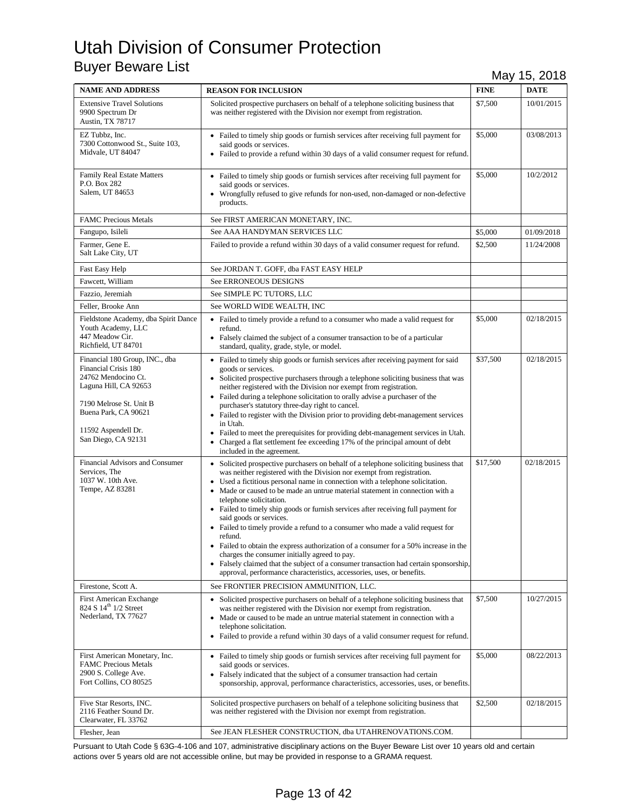| <b>NAME AND ADDRESS</b>                                                                                                                                                                                 | <b>REASON FOR INCLUSION</b>                                                                                                                                                                                                                                                                                                                                                                                                                                                                                                                                                                                                                                                                                                                                                                                                                                                            | <b>FINE</b> | <b>DATE</b> |
|---------------------------------------------------------------------------------------------------------------------------------------------------------------------------------------------------------|----------------------------------------------------------------------------------------------------------------------------------------------------------------------------------------------------------------------------------------------------------------------------------------------------------------------------------------------------------------------------------------------------------------------------------------------------------------------------------------------------------------------------------------------------------------------------------------------------------------------------------------------------------------------------------------------------------------------------------------------------------------------------------------------------------------------------------------------------------------------------------------|-------------|-------------|
| <b>Extensive Travel Solutions</b><br>9900 Spectrum Dr<br>Austin, TX 78717                                                                                                                               | Solicited prospective purchasers on behalf of a telephone soliciting business that<br>was neither registered with the Division nor exempt from registration.                                                                                                                                                                                                                                                                                                                                                                                                                                                                                                                                                                                                                                                                                                                           | \$7,500     | 10/01/2015  |
| EZ Tubbz, Inc.<br>7300 Cottonwood St., Suite 103,<br>Midvale, UT 84047                                                                                                                                  | • Failed to timely ship goods or furnish services after receiving full payment for<br>said goods or services.<br>• Failed to provide a refund within 30 days of a valid consumer request for refund.                                                                                                                                                                                                                                                                                                                                                                                                                                                                                                                                                                                                                                                                                   | \$5,000     | 03/08/2013  |
| <b>Family Real Estate Matters</b><br>P.O. Box 282<br>Salem, UT 84653                                                                                                                                    | • Failed to timely ship goods or furnish services after receiving full payment for<br>said goods or services.<br>• Wrongfully refused to give refunds for non-used, non-damaged or non-defective<br>products.                                                                                                                                                                                                                                                                                                                                                                                                                                                                                                                                                                                                                                                                          | \$5,000     | 10/2/2012   |
| <b>FAMC Precious Metals</b>                                                                                                                                                                             | See FIRST AMERICAN MONETARY, INC.                                                                                                                                                                                                                                                                                                                                                                                                                                                                                                                                                                                                                                                                                                                                                                                                                                                      |             |             |
| Fangupo, Isileli                                                                                                                                                                                        | See AAA HANDYMAN SERVICES LLC                                                                                                                                                                                                                                                                                                                                                                                                                                                                                                                                                                                                                                                                                                                                                                                                                                                          | \$5,000     | 01/09/2018  |
| Farmer, Gene E.<br>Salt Lake City, UT                                                                                                                                                                   | Failed to provide a refund within 30 days of a valid consumer request for refund.                                                                                                                                                                                                                                                                                                                                                                                                                                                                                                                                                                                                                                                                                                                                                                                                      | \$2,500     | 11/24/2008  |
| Fast Easy Help                                                                                                                                                                                          | See JORDAN T. GOFF, dba FAST EASY HELP                                                                                                                                                                                                                                                                                                                                                                                                                                                                                                                                                                                                                                                                                                                                                                                                                                                 |             |             |
| Fawcett, William                                                                                                                                                                                        | See ERRONEOUS DESIGNS                                                                                                                                                                                                                                                                                                                                                                                                                                                                                                                                                                                                                                                                                                                                                                                                                                                                  |             |             |
| Fazzio, Jeremiah                                                                                                                                                                                        | See SIMPLE PC TUTORS, LLC                                                                                                                                                                                                                                                                                                                                                                                                                                                                                                                                                                                                                                                                                                                                                                                                                                                              |             |             |
| Feller, Brooke Ann                                                                                                                                                                                      | See WORLD WIDE WEALTH, INC                                                                                                                                                                                                                                                                                                                                                                                                                                                                                                                                                                                                                                                                                                                                                                                                                                                             |             |             |
| Fieldstone Academy, dba Spirit Dance<br>Youth Academy, LLC<br>447 Meadow Cir.<br>Richfield, UT 84701                                                                                                    | • Failed to timely provide a refund to a consumer who made a valid request for<br>refund.<br>• Falsely claimed the subject of a consumer transaction to be of a particular<br>standard, quality, grade, style, or model.                                                                                                                                                                                                                                                                                                                                                                                                                                                                                                                                                                                                                                                               | \$5,000     | 02/18/2015  |
| Financial 180 Group, INC., dba<br>Financial Crisis 180<br>24762 Mendocino Ct.<br>Laguna Hill, CA 92653<br>7190 Melrose St. Unit B<br>Buena Park, CA 90621<br>11592 Aspendell Dr.<br>San Diego, CA 92131 | • Failed to timely ship goods or furnish services after receiving payment for said<br>goods or services.<br>• Solicited prospective purchasers through a telephone soliciting business that was<br>neither registered with the Division nor exempt from registration.<br>• Failed during a telephone solicitation to orally advise a purchaser of the<br>purchaser's statutory three-day right to cancel.<br>• Failed to register with the Division prior to providing debt-management services<br>in Utah.<br>• Failed to meet the prerequisites for providing debt-management services in Utah.<br>Charged a flat settlement fee exceeding 17% of the principal amount of debt<br>$\bullet$<br>included in the agreement.                                                                                                                                                            | \$37,500    | 02/18/2015  |
| Financial Advisors and Consumer<br>Services, The<br>1037 W. 10th Ave.<br>Tempe, AZ 83281                                                                                                                | • Solicited prospective purchasers on behalf of a telephone soliciting business that<br>was neither registered with the Division nor exempt from registration.<br>• Used a fictitious personal name in connection with a telephone solicitation.<br>• Made or caused to be made an untrue material statement in connection with a<br>telephone solicitation.<br>• Failed to timely ship goods or furnish services after receiving full payment for<br>said goods or services.<br>• Failed to timely provide a refund to a consumer who made a valid request for<br>refund.<br>• Failed to obtain the express authorization of a consumer for a 50% increase in the<br>charges the consumer initially agreed to pay.<br>• Falsely claimed that the subject of a consumer transaction had certain sponsorship,<br>approval, performance characteristics, accessories, uses, or benefits. | \$17,500    | 02/18/2015  |
| Firestone, Scott A.                                                                                                                                                                                     | See FRONTIER PRECISION AMMUNITION, LLC.                                                                                                                                                                                                                                                                                                                                                                                                                                                                                                                                                                                                                                                                                                                                                                                                                                                |             |             |
| <b>First American Exchange</b><br>824 S 14 <sup>th</sup> 1/2 Street<br>Nederland, TX 77627                                                                                                              | • Solicited prospective purchasers on behalf of a telephone soliciting business that<br>was neither registered with the Division nor exempt from registration.<br>• Made or caused to be made an untrue material statement in connection with a<br>telephone solicitation.<br>• Failed to provide a refund within 30 days of a valid consumer request for refund.                                                                                                                                                                                                                                                                                                                                                                                                                                                                                                                      | \$7,500     | 10/27/2015  |
| First American Monetary, Inc.<br><b>FAMC Precious Metals</b><br>2900 S. College Ave.<br>Fort Collins, CO 80525                                                                                          | • Failed to timely ship goods or furnish services after receiving full payment for<br>said goods or services.<br>• Falsely indicated that the subject of a consumer transaction had certain<br>sponsorship, approval, performance characteristics, accessories, uses, or benefits.                                                                                                                                                                                                                                                                                                                                                                                                                                                                                                                                                                                                     | \$5,000     | 08/22/2013  |
| Five Star Resorts, INC.<br>2116 Feather Sound Dr.<br>Clearwater, FL 33762                                                                                                                               | Solicited prospective purchasers on behalf of a telephone soliciting business that<br>was neither registered with the Division nor exempt from registration.                                                                                                                                                                                                                                                                                                                                                                                                                                                                                                                                                                                                                                                                                                                           | \$2,500     | 02/18/2015  |
| Flesher, Jean                                                                                                                                                                                           | See JEAN FLESHER CONSTRUCTION, dba UTAHRENOVATIONS.COM.                                                                                                                                                                                                                                                                                                                                                                                                                                                                                                                                                                                                                                                                                                                                                                                                                                |             |             |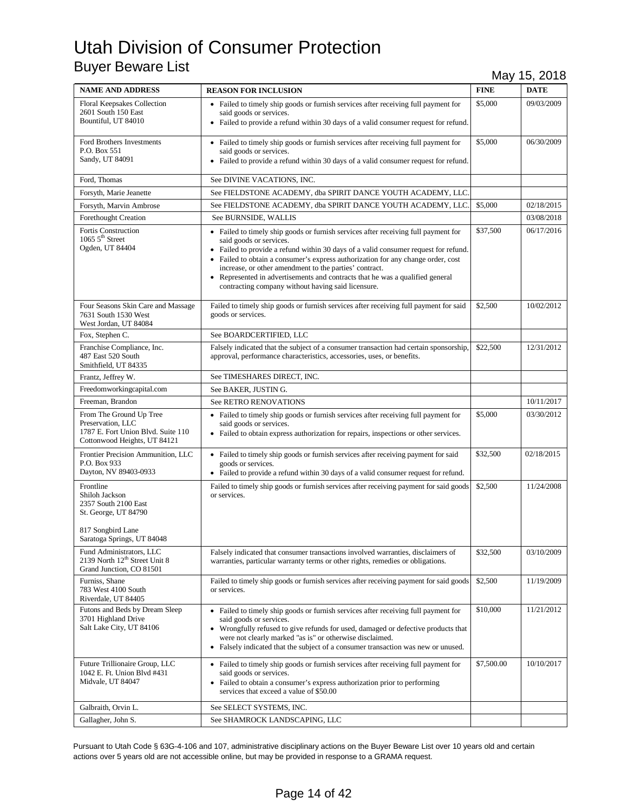| <b>NAME AND ADDRESS</b>                                                                                                        | <b>REASON FOR INCLUSION</b>                                                                                                                                                                                                                                                                                                                                                                                                                                                               | <b>FINE</b> | <b>DATE</b> |
|--------------------------------------------------------------------------------------------------------------------------------|-------------------------------------------------------------------------------------------------------------------------------------------------------------------------------------------------------------------------------------------------------------------------------------------------------------------------------------------------------------------------------------------------------------------------------------------------------------------------------------------|-------------|-------------|
| <b>Floral Keepsakes Collection</b><br>2601 South 150 East<br>Bountiful, UT 84010                                               | • Failed to timely ship goods or furnish services after receiving full payment for<br>said goods or services.<br>• Failed to provide a refund within 30 days of a valid consumer request for refund.                                                                                                                                                                                                                                                                                      | \$5,000     | 09/03/2009  |
| Ford Brothers Investments<br>P.O. Box 551<br>Sandy, UT 84091                                                                   | • Failed to timely ship goods or furnish services after receiving full payment for<br>said goods or services.<br>• Failed to provide a refund within 30 days of a valid consumer request for refund.                                                                                                                                                                                                                                                                                      | \$5,000     | 06/30/2009  |
| Ford, Thomas                                                                                                                   | See DIVINE VACATIONS, INC.                                                                                                                                                                                                                                                                                                                                                                                                                                                                |             |             |
| Forsyth, Marie Jeanette                                                                                                        | See FIELDSTONE ACADEMY, dba SPIRIT DANCE YOUTH ACADEMY, LLC.                                                                                                                                                                                                                                                                                                                                                                                                                              |             |             |
| Forsyth, Marvin Ambrose                                                                                                        | See FIELDSTONE ACADEMY, dba SPIRIT DANCE YOUTH ACADEMY, LLC.                                                                                                                                                                                                                                                                                                                                                                                                                              | \$5,000     | 02/18/2015  |
| Forethought Creation                                                                                                           | See BURNSIDE, WALLIS                                                                                                                                                                                                                                                                                                                                                                                                                                                                      |             | 03/08/2018  |
| Fortis Construction<br>$1065$ $5^{\text{th}}$ Street<br>Ogden, UT 84404                                                        | • Failed to timely ship goods or furnish services after receiving full payment for<br>said goods or services.<br>• Failed to provide a refund within 30 days of a valid consumer request for refund.<br>• Failed to obtain a consumer's express authorization for any change order, cost<br>increase, or other amendment to the parties' contract.<br>• Represented in advertisements and contracts that he was a qualified general<br>contracting company without having said licensure. | \$37,500    | 06/17/2016  |
| Four Seasons Skin Care and Massage<br>7631 South 1530 West<br>West Jordan, UT 84084                                            | Failed to timely ship goods or furnish services after receiving full payment for said<br>goods or services.                                                                                                                                                                                                                                                                                                                                                                               | \$2,500     | 10/02/2012  |
| Fox, Stephen C.                                                                                                                | See BOARDCERTIFIED, LLC                                                                                                                                                                                                                                                                                                                                                                                                                                                                   |             |             |
| Franchise Compliance, Inc.<br>487 East 520 South<br>Smithfield, UT 84335                                                       | Falsely indicated that the subject of a consumer transaction had certain sponsorship,<br>approval, performance characteristics, accessories, uses, or benefits.                                                                                                                                                                                                                                                                                                                           | \$22,500    | 12/31/2012  |
| Frantz, Jeffrey W.                                                                                                             | See TIMESHARES DIRECT, INC.                                                                                                                                                                                                                                                                                                                                                                                                                                                               |             |             |
| Freedomworkingcapital.com                                                                                                      | See BAKER, JUSTIN G.                                                                                                                                                                                                                                                                                                                                                                                                                                                                      |             |             |
| Freeman, Brandon                                                                                                               | See RETRO RENOVATIONS                                                                                                                                                                                                                                                                                                                                                                                                                                                                     |             | 10/11/2017  |
| From The Ground Up Tree<br>Preservation, LLC<br>1787 E. Fort Union Blvd. Suite 110<br>Cottonwood Heights, UT 84121             | • Failed to timely ship goods or furnish services after receiving full payment for<br>said goods or services.<br>• Failed to obtain express authorization for repairs, inspections or other services.                                                                                                                                                                                                                                                                                     | \$5,000     | 03/30/2012  |
| Frontier Precision Ammunition, LLC<br>P.O. Box 933<br>Dayton, NV 89403-0933                                                    | • Failed to timely ship goods or furnish services after receiving payment for said<br>goods or services.<br>• Failed to provide a refund within 30 days of a valid consumer request for refund.                                                                                                                                                                                                                                                                                           | \$32,500    | 02/18/2015  |
| Frontline<br>Shiloh Jackson<br>2357 South 2100 East<br>St. George, UT 84790<br>817 Songbird Lane<br>Saratoga Springs, UT 84048 | Failed to timely ship goods or furnish services after receiving payment for said goods<br>or services.                                                                                                                                                                                                                                                                                                                                                                                    | \$2,500     | 11/24/2008  |
| Fund Administrators, LLC<br>2139 North 12 <sup>th</sup> Street Unit 8<br>Grand Junction, CO 81501                              | Falsely indicated that consumer transactions involved warranties, disclaimers of<br>warranties, particular warranty terms or other rights, remedies or obligations.                                                                                                                                                                                                                                                                                                                       | \$32,500    | 03/10/2009  |
| Furniss, Shane<br>783 West 4100 South<br>Riverdale, UT 84405                                                                   | Failed to timely ship goods or furnish services after receiving payment for said goods<br>or services.                                                                                                                                                                                                                                                                                                                                                                                    | \$2,500     | 11/19/2009  |
| Futons and Beds by Dream Sleep<br>3701 Highland Drive<br>Salt Lake City, UT 84106                                              | • Failed to timely ship goods or furnish services after receiving full payment for<br>said goods or services.<br>• Wrongfully refused to give refunds for used, damaged or defective products that<br>were not clearly marked "as is" or otherwise disclaimed.<br>• Falsely indicated that the subject of a consumer transaction was new or unused.                                                                                                                                       | \$10,000    | 11/21/2012  |
| Future Trillionaire Group, LLC<br>1042 E. Ft. Union Blvd #431<br>Midvale, UT 84047                                             | • Failed to timely ship goods or furnish services after receiving full payment for<br>said goods or services.<br>• Failed to obtain a consumer's express authorization prior to performing<br>services that exceed a value of \$50.00                                                                                                                                                                                                                                                     | \$7,500.00  | 10/10/2017  |
| Galbraith, Orvin L.                                                                                                            | See SELECT SYSTEMS, INC.                                                                                                                                                                                                                                                                                                                                                                                                                                                                  |             |             |
| Gallagher, John S.                                                                                                             | See SHAMROCK LANDSCAPING, LLC                                                                                                                                                                                                                                                                                                                                                                                                                                                             |             |             |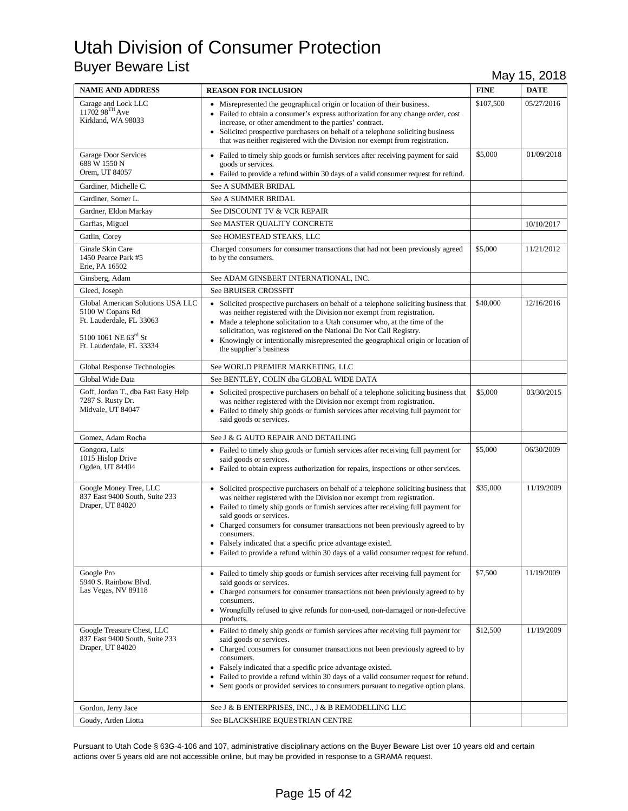| <b>NAME AND ADDRESS</b>                                                                                                               | <b>REASON FOR INCLUSION</b>                                                                                                                                                                                                                                                                                                                                                                                                                                                                                                          | <b>FINE</b> | <b>DATE</b> |
|---------------------------------------------------------------------------------------------------------------------------------------|--------------------------------------------------------------------------------------------------------------------------------------------------------------------------------------------------------------------------------------------------------------------------------------------------------------------------------------------------------------------------------------------------------------------------------------------------------------------------------------------------------------------------------------|-------------|-------------|
| Garage and Lock LLC 11702 $98^{\mathrm{TH}}$ Ave<br>Kirkland, WA 98033                                                                | • Misrepresented the geographical origin or location of their business.<br>• Failed to obtain a consumer's express authorization for any change order, cost<br>increase, or other amendment to the parties' contract.<br>Solicited prospective purchasers on behalf of a telephone soliciting business<br>that was neither registered with the Division nor exempt from registration.                                                                                                                                                | \$107,500   | 05/27/2016  |
| <b>Garage Door Services</b><br>688 W 1550 N<br>Orem, UT 84057                                                                         | • Failed to timely ship goods or furnish services after receiving payment for said<br>goods or services.<br>• Failed to provide a refund within 30 days of a valid consumer request for refund.                                                                                                                                                                                                                                                                                                                                      | \$5,000     | 01/09/2018  |
| Gardiner, Michelle C.                                                                                                                 | See A SUMMER BRIDAL                                                                                                                                                                                                                                                                                                                                                                                                                                                                                                                  |             |             |
| Gardiner, Somer L.                                                                                                                    | See A SUMMER BRIDAL                                                                                                                                                                                                                                                                                                                                                                                                                                                                                                                  |             |             |
| Gardner, Eldon Markay                                                                                                                 | See DISCOUNT TV & VCR REPAIR                                                                                                                                                                                                                                                                                                                                                                                                                                                                                                         |             |             |
| Garfias, Miguel                                                                                                                       | See MASTER QUALITY CONCRETE                                                                                                                                                                                                                                                                                                                                                                                                                                                                                                          |             | 10/10/2017  |
| Gatlin, Corey                                                                                                                         | See HOMESTEAD STEAKS, LLC                                                                                                                                                                                                                                                                                                                                                                                                                                                                                                            |             |             |
| Ginale Skin Care<br>1450 Pearce Park #5<br>Erie, PA 16502                                                                             | Charged consumers for consumer transactions that had not been previously agreed<br>to by the consumers.                                                                                                                                                                                                                                                                                                                                                                                                                              | \$5,000     | 11/21/2012  |
| Ginsberg, Adam                                                                                                                        | See ADAM GINSBERT INTERNATIONAL, INC.                                                                                                                                                                                                                                                                                                                                                                                                                                                                                                |             |             |
| Gleed, Joseph                                                                                                                         | <b>See BRUISER CROSSFIT</b>                                                                                                                                                                                                                                                                                                                                                                                                                                                                                                          |             |             |
| Global American Solutions USA LLC<br>5100 W Copans Rd<br>Ft. Lauderdale, FL 33063<br>5100 1061 NE 63rd St<br>Ft. Lauderdale, FL 33334 | • Solicited prospective purchasers on behalf of a telephone soliciting business that<br>was neither registered with the Division nor exempt from registration.<br>• Made a telephone solicitation to a Utah consumer who, at the time of the<br>solicitation, was registered on the National Do Not Call Registry.<br>• Knowingly or intentionally misrepresented the geographical origin or location of<br>the supplier's business                                                                                                  | \$40,000    | 12/16/2016  |
| Global Response Technologies                                                                                                          | See WORLD PREMIER MARKETING, LLC                                                                                                                                                                                                                                                                                                                                                                                                                                                                                                     |             |             |
| Global Wide Data                                                                                                                      | See BENTLEY, COLIN dba GLOBAL WIDE DATA                                                                                                                                                                                                                                                                                                                                                                                                                                                                                              |             |             |
| Goff, Jordan T., dba Fast Easy Help<br>7287 S. Rusty Dr.<br>Midvale, UT 84047                                                         | • Solicited prospective purchasers on behalf of a telephone soliciting business that<br>was neither registered with the Division nor exempt from registration.<br>• Failed to timely ship goods or furnish services after receiving full payment for<br>said goods or services.                                                                                                                                                                                                                                                      | \$5,000     | 03/30/2015  |
| Gomez, Adam Rocha                                                                                                                     | See J & G AUTO REPAIR AND DETAILING                                                                                                                                                                                                                                                                                                                                                                                                                                                                                                  |             |             |
| Gongora, Luis<br>1015 Hislop Drive<br>Ogden, UT 84404                                                                                 | • Failed to timely ship goods or furnish services after receiving full payment for<br>said goods or services.<br>• Failed to obtain express authorization for repairs, inspections or other services.                                                                                                                                                                                                                                                                                                                                | \$5,000     | 06/30/2009  |
| Google Money Tree, LLC<br>837 East 9400 South, Suite 233<br>Draper, UT 84020                                                          | • Solicited prospective purchasers on behalf of a telephone soliciting business that<br>was neither registered with the Division nor exempt from registration.<br>• Failed to timely ship goods or furnish services after receiving full payment for<br>said goods or services.<br>• Charged consumers for consumer transactions not been previously agreed to by<br>consumers.<br>Falsely indicated that a specific price advantage existed.<br>• Failed to provide a refund within 30 days of a valid consumer request for refund. | \$35,000    | 11/19/2009  |
| Google Pro<br>5940 S. Rainbow Blvd.<br>Las Vegas, NV 89118                                                                            | • Failed to timely ship goods or furnish services after receiving full payment for<br>said goods or services.<br>• Charged consumers for consumer transactions not been previously agreed to by<br>consumers.<br>• Wrongfully refused to give refunds for non-used, non-damaged or non-defective<br>products.                                                                                                                                                                                                                        | \$7,500     | 11/19/2009  |
| Google Treasure Chest, LLC<br>837 East 9400 South, Suite 233<br>Draper, UT 84020                                                      | • Failed to timely ship goods or furnish services after receiving full payment for<br>said goods or services.<br>• Charged consumers for consumer transactions not been previously agreed to by<br>consumers.<br>• Falsely indicated that a specific price advantage existed.<br>Failed to provide a refund within 30 days of a valid consumer request for refund.<br>$\bullet$<br>• Sent goods or provided services to consumers pursuant to negative option plans.                                                                 | \$12,500    | 11/19/2009  |
| Gordon, Jerry Jace                                                                                                                    | See J & B ENTERPRISES, INC., J & B REMODELLING LLC                                                                                                                                                                                                                                                                                                                                                                                                                                                                                   |             |             |
| Goudy, Arden Liotta                                                                                                                   | See BLACKSHIRE EQUESTRIAN CENTRE                                                                                                                                                                                                                                                                                                                                                                                                                                                                                                     |             |             |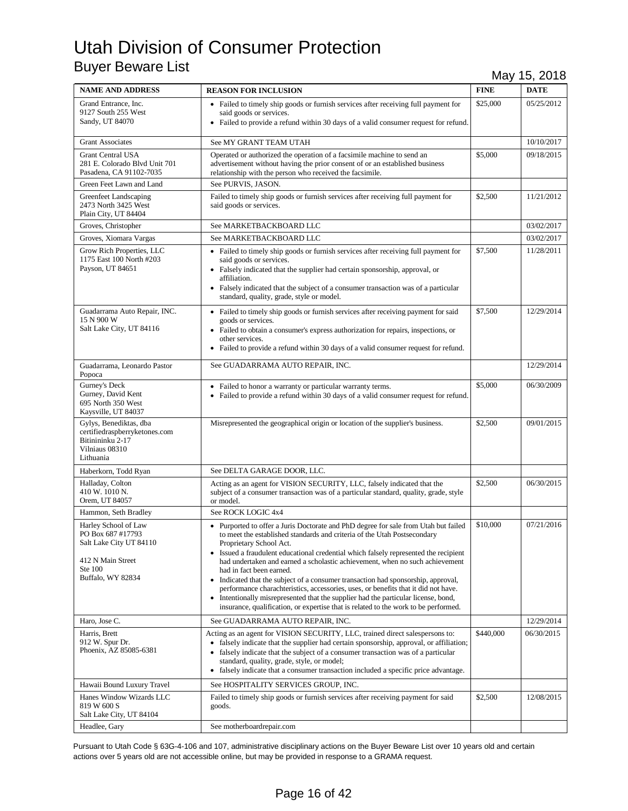| <b>NAME AND ADDRESS</b>                                                                                                   | <b>REASON FOR INCLUSION</b>                                                                                                                                                                                                                                                                                                                                                                                                                                                                                                                                                                                                                                                                                                                                       | <b>FINE</b> | <b>DATE</b> |
|---------------------------------------------------------------------------------------------------------------------------|-------------------------------------------------------------------------------------------------------------------------------------------------------------------------------------------------------------------------------------------------------------------------------------------------------------------------------------------------------------------------------------------------------------------------------------------------------------------------------------------------------------------------------------------------------------------------------------------------------------------------------------------------------------------------------------------------------------------------------------------------------------------|-------------|-------------|
| Grand Entrance, Inc.<br>9127 South 255 West<br>Sandy, UT 84070                                                            | • Failed to timely ship goods or furnish services after receiving full payment for<br>said goods or services.<br>• Failed to provide a refund within 30 days of a valid consumer request for refund.                                                                                                                                                                                                                                                                                                                                                                                                                                                                                                                                                              | \$25,000    | 05/25/2012  |
| <b>Grant Associates</b>                                                                                                   | See MY GRANT TEAM UTAH                                                                                                                                                                                                                                                                                                                                                                                                                                                                                                                                                                                                                                                                                                                                            |             | 10/10/2017  |
| <b>Grant Central USA</b><br>281 E. Colorado Blvd Unit 701<br>Pasadena, CA 91102-7035                                      | Operated or authorized the operation of a facsimile machine to send an<br>advertisement without having the prior consent of or an established business<br>relationship with the person who received the facsimile.                                                                                                                                                                                                                                                                                                                                                                                                                                                                                                                                                | \$5,000     | 09/18/2015  |
| Green Feet Lawn and Land                                                                                                  | See PURVIS, JASON.                                                                                                                                                                                                                                                                                                                                                                                                                                                                                                                                                                                                                                                                                                                                                |             |             |
| Greenfeet Landscaping<br>2473 North 3425 West<br>Plain City, UT 84404                                                     | Failed to timely ship goods or furnish services after receiving full payment for<br>said goods or services.                                                                                                                                                                                                                                                                                                                                                                                                                                                                                                                                                                                                                                                       | \$2,500     | 11/21/2012  |
| Groves, Christopher                                                                                                       | See MARKETBACKBOARD LLC                                                                                                                                                                                                                                                                                                                                                                                                                                                                                                                                                                                                                                                                                                                                           |             | 03/02/2017  |
| Groves, Xiomara Vargas                                                                                                    | See MARKETBACKBOARD LLC                                                                                                                                                                                                                                                                                                                                                                                                                                                                                                                                                                                                                                                                                                                                           |             | 03/02/2017  |
| Grow Rich Properties, LLC<br>1175 East 100 North #203<br>Payson, UT 84651                                                 | • Failed to timely ship goods or furnish services after receiving full payment for<br>said goods or services.<br>• Falsely indicated that the supplier had certain sponsorship, approval, or<br>affiliation.<br>• Falsely indicated that the subject of a consumer transaction was of a particular<br>standard, quality, grade, style or model.                                                                                                                                                                                                                                                                                                                                                                                                                   | \$7,500     | 11/28/2011  |
| Guadarrama Auto Repair, INC.<br>15 N 900 W<br>Salt Lake City, UT 84116                                                    | • Failed to timely ship goods or furnish services after receiving payment for said<br>goods or services.<br>• Failed to obtain a consumer's express authorization for repairs, inspections, or<br>other services.<br>• Failed to provide a refund within 30 days of a valid consumer request for refund.                                                                                                                                                                                                                                                                                                                                                                                                                                                          | \$7,500     | 12/29/2014  |
| Guadarrama, Leonardo Pastor<br>Popoca                                                                                     | See GUADARRAMA AUTO REPAIR, INC.                                                                                                                                                                                                                                                                                                                                                                                                                                                                                                                                                                                                                                                                                                                                  |             | 12/29/2014  |
| Gurney's Deck<br>Gurney, David Kent<br>695 North 350 West<br>Kaysville, UT 84037                                          | • Failed to honor a warranty or particular warranty terms.<br>• Failed to provide a refund within 30 days of a valid consumer request for refund.                                                                                                                                                                                                                                                                                                                                                                                                                                                                                                                                                                                                                 | \$5,000     | 06/30/2009  |
| Gylys, Benediktas, dba<br>certifiedraspberryketones.com<br>Bitinininku 2-17<br>Vilniaus 08310<br>Lithuania                | Misrepresented the geographical origin or location of the supplier's business.                                                                                                                                                                                                                                                                                                                                                                                                                                                                                                                                                                                                                                                                                    | \$2,500     | 09/01/2015  |
| Haberkorn, Todd Ryan                                                                                                      | See DELTA GARAGE DOOR, LLC.                                                                                                                                                                                                                                                                                                                                                                                                                                                                                                                                                                                                                                                                                                                                       |             |             |
| Halladay, Colton<br>410 W. 1010 N.<br>Orem, UT 84057                                                                      | Acting as an agent for VISION SECURITY, LLC, falsely indicated that the<br>subject of a consumer transaction was of a particular standard, quality, grade, style<br>or model.                                                                                                                                                                                                                                                                                                                                                                                                                                                                                                                                                                                     | \$2,500     | 06/30/2015  |
| Hammon, Seth Bradley                                                                                                      | See ROCK LOGIC 4x4                                                                                                                                                                                                                                                                                                                                                                                                                                                                                                                                                                                                                                                                                                                                                |             |             |
| Harley School of Law<br>PO Box 687 #17793<br>Salt Lake City UT 84110<br>412 N Main Street<br>Ste 100<br>Buffalo, WY 82834 | • Purported to offer a Juris Doctorate and PhD degree for sale from Utah but failed<br>to meet the established standards and criteria of the Utah Postsecondary<br>Proprietary School Act.<br>• Issued a fraudulent educational credential which falsely represented the recipient<br>had undertaken and earned a scholastic achievement, when no such achievement<br>had in fact been earned.<br>• Indicated that the subject of a consumer transaction had sponsorship, approval,<br>performance charachteristics, accessories, uses, or benefits that it did not have.<br>Intentionally misrepresented that the supplier had the particular license, bond,<br>$\bullet$<br>insurance, qualification, or expertise that is related to the work to be performed. | \$10,000    | 07/21/2016  |
| Haro, Jose C.                                                                                                             | See GUADARRAMA AUTO REPAIR, INC.                                                                                                                                                                                                                                                                                                                                                                                                                                                                                                                                                                                                                                                                                                                                  |             | 12/29/2014  |
| Harris, Brett<br>912 W. Spur Dr.<br>Phoenix, AZ 85085-6381                                                                | Acting as an agent for VISION SECURITY, LLC, trained direct salespersons to:<br>• falsely indicate that the supplier had certain sponsorship, approval, or affiliation;<br>• falsely indicate that the subject of a consumer transaction was of a particular<br>standard, quality, grade, style, or model;<br>• falsely indicate that a consumer transaction included a specific price advantage.                                                                                                                                                                                                                                                                                                                                                                 | \$440,000   | 06/30/2015  |
| Hawaii Bound Luxury Travel                                                                                                | See HOSPITALITY SERVICES GROUP, INC.                                                                                                                                                                                                                                                                                                                                                                                                                                                                                                                                                                                                                                                                                                                              |             |             |
| Hanes Window Wizards LLC<br>819 W 600 S<br>Salt Lake City, UT 84104                                                       | Failed to timely ship goods or furnish services after receiving payment for said<br>goods.                                                                                                                                                                                                                                                                                                                                                                                                                                                                                                                                                                                                                                                                        | \$2,500     | 12/08/2015  |
| Headlee, Gary                                                                                                             | See motherboardrepair.com                                                                                                                                                                                                                                                                                                                                                                                                                                                                                                                                                                                                                                                                                                                                         |             |             |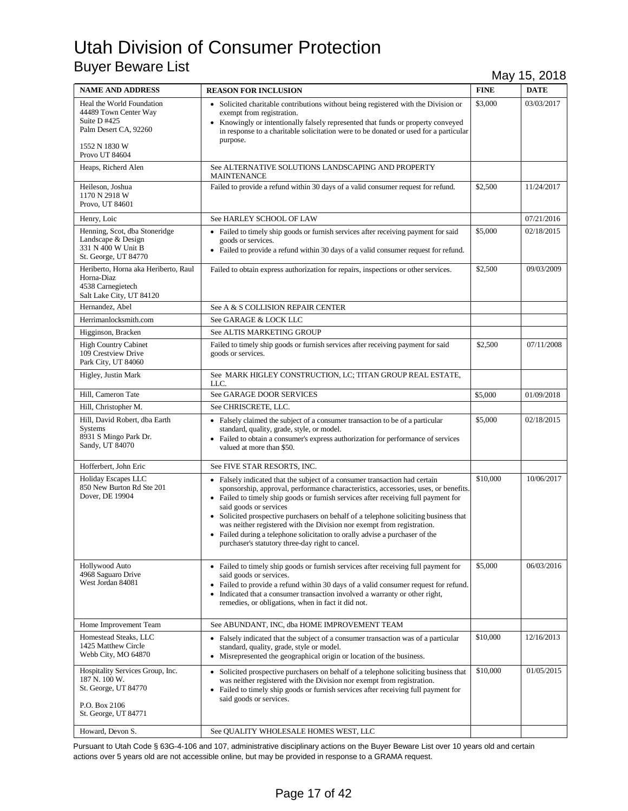| <b>NAME AND ADDRESS</b>                                                                                            | <b>REASON FOR INCLUSION</b>                                                                                                                                                                                                                                                                                                                                                                                                                                                                                                                                                             | <b>FINE</b> | <b>DATE</b> |
|--------------------------------------------------------------------------------------------------------------------|-----------------------------------------------------------------------------------------------------------------------------------------------------------------------------------------------------------------------------------------------------------------------------------------------------------------------------------------------------------------------------------------------------------------------------------------------------------------------------------------------------------------------------------------------------------------------------------------|-------------|-------------|
| Heal the World Foundation<br>44489 Town Center Way<br>Suite $D$ #425<br>Palm Desert CA, 92260                      | • Solicited charitable contributions without being registered with the Division or<br>exempt from registration.<br>• Knowingly or intentionally falsely represented that funds or property conveyed<br>in response to a charitable solicitation were to be donated or used for a particular<br>purpose.                                                                                                                                                                                                                                                                                 | \$3,000     | 03/03/2017  |
| 1552 N 1830 W<br>Provo UT 84604                                                                                    |                                                                                                                                                                                                                                                                                                                                                                                                                                                                                                                                                                                         |             |             |
| Heaps, Richerd Alen                                                                                                | See ALTERNATIVE SOLUTIONS LANDSCAPING AND PROPERTY<br><b>MAINTENANCE</b>                                                                                                                                                                                                                                                                                                                                                                                                                                                                                                                |             |             |
| Heileson, Joshua<br>1170 N 2918 W<br>Provo, UT 84601                                                               | Failed to provide a refund within 30 days of a valid consumer request for refund.                                                                                                                                                                                                                                                                                                                                                                                                                                                                                                       | \$2,500     | 11/24/2017  |
| Henry, Loic                                                                                                        | See HARLEY SCHOOL OF LAW                                                                                                                                                                                                                                                                                                                                                                                                                                                                                                                                                                |             | 07/21/2016  |
| Henning, Scot, dba Stoneridge<br>Landscape & Design<br>331 N 400 W Unit B<br>St. George, UT 84770                  | • Failed to timely ship goods or furnish services after receiving payment for said<br>goods or services.<br>• Failed to provide a refund within 30 days of a valid consumer request for refund.                                                                                                                                                                                                                                                                                                                                                                                         | \$5,000     | 02/18/2015  |
| Heriberto, Horna aka Heriberto, Raul<br>Horna-Diaz<br>4538 Carnegietech<br>Salt Lake City, UT 84120                | Failed to obtain express authorization for repairs, inspections or other services.                                                                                                                                                                                                                                                                                                                                                                                                                                                                                                      | \$2,500     | 09/03/2009  |
| Hernandez, Abel                                                                                                    | See A & S COLLISION REPAIR CENTER                                                                                                                                                                                                                                                                                                                                                                                                                                                                                                                                                       |             |             |
| Herrimanlocksmith.com                                                                                              | See GARAGE & LOCK LLC                                                                                                                                                                                                                                                                                                                                                                                                                                                                                                                                                                   |             |             |
| Higginson, Bracken                                                                                                 | See ALTIS MARKETING GROUP                                                                                                                                                                                                                                                                                                                                                                                                                                                                                                                                                               |             |             |
| <b>High Country Cabinet</b><br>109 Crestview Drive<br>Park City, UT 84060                                          | Failed to timely ship goods or furnish services after receiving payment for said<br>goods or services.                                                                                                                                                                                                                                                                                                                                                                                                                                                                                  | \$2,500     | 07/11/2008  |
| Higley, Justin Mark                                                                                                | See MARK HIGLEY CONSTRUCTION, LC; TITAN GROUP REAL ESTATE,<br>LLC.                                                                                                                                                                                                                                                                                                                                                                                                                                                                                                                      |             |             |
| Hill, Cameron Tate                                                                                                 | See GARAGE DOOR SERVICES                                                                                                                                                                                                                                                                                                                                                                                                                                                                                                                                                                | \$5,000     | 01/09/2018  |
| Hill, Christopher M.                                                                                               | See CHRISCRETE, LLC.                                                                                                                                                                                                                                                                                                                                                                                                                                                                                                                                                                    |             |             |
| Hill, David Robert, dba Earth<br>Systems<br>8931 S Mingo Park Dr.<br>Sandy, UT 84070                               | • Falsely claimed the subject of a consumer transaction to be of a particular<br>standard, quality, grade, style, or model.<br>• Failed to obtain a consumer's express authorization for performance of services<br>valued at more than \$50.                                                                                                                                                                                                                                                                                                                                           | \$5,000     | 02/18/2015  |
| Hofferbert, John Eric                                                                                              | See FIVE STAR RESORTS, INC.                                                                                                                                                                                                                                                                                                                                                                                                                                                                                                                                                             |             |             |
| Holiday Escapes LLC<br>850 New Burton Rd Ste 201<br>Dover, DE 19904                                                | • Falsely indicated that the subject of a consumer transaction had certain<br>sponsorship, approval, performance characteristics, accessories, uses, or benefits.<br>• Failed to timely ship goods or furnish services after receiving full payment for<br>said goods or services<br>• Solicited prospective purchasers on behalf of a telephone soliciting business that<br>was neither registered with the Division nor exempt from registration.<br>• Failed during a telephone solicitation to orally advise a purchaser of the<br>purchaser's statutory three-day right to cancel. | \$10,000    | 10/06/2017  |
| <b>Hollywood Auto</b><br>4968 Saguaro Drive<br>West Jordan 84081                                                   | • Failed to timely ship goods or furnish services after receiving full payment for<br>said goods or services.<br>• Failed to provide a refund within 30 days of a valid consumer request for refund.<br>• Indicated that a consumer transaction involved a warranty or other right,<br>remedies, or obligations, when in fact it did not.                                                                                                                                                                                                                                               | \$5,000     | 06/03/2016  |
| Home Improvement Team                                                                                              | See ABUNDANT, INC, dba HOME IMPROVEMENT TEAM                                                                                                                                                                                                                                                                                                                                                                                                                                                                                                                                            |             |             |
| Homestead Steaks, LLC<br>1425 Matthew Circle<br>Webb City, MO 64870                                                | • Falsely indicated that the subject of a consumer transaction was of a particular<br>standard, quality, grade, style or model.<br>• Misrepresented the geographical origin or location of the business.                                                                                                                                                                                                                                                                                                                                                                                | \$10,000    | 12/16/2013  |
| Hospitality Services Group, Inc.<br>187 N. 100 W.<br>St. George, UT 84770<br>P.O. Box 2106<br>St. George, UT 84771 | • Solicited prospective purchasers on behalf of a telephone soliciting business that<br>was neither registered with the Division nor exempt from registration.<br>• Failed to timely ship goods or furnish services after receiving full payment for<br>said goods or services.                                                                                                                                                                                                                                                                                                         | \$10,000    | 01/05/2015  |
| Howard, Devon S.                                                                                                   | See QUALITY WHOLESALE HOMES WEST, LLC                                                                                                                                                                                                                                                                                                                                                                                                                                                                                                                                                   |             |             |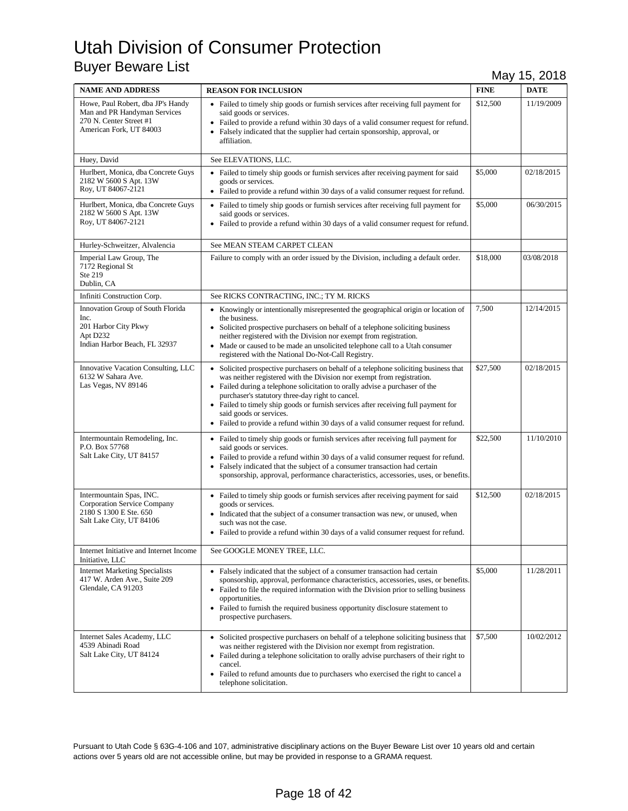| <b>NAME AND ADDRESS</b>                                                                                                 | <b>REASON FOR INCLUSION</b>                                                                                                                                                                                                                                                                                                                                                                                                                                                                                | <b>FINE</b> | <b>DATE</b> |
|-------------------------------------------------------------------------------------------------------------------------|------------------------------------------------------------------------------------------------------------------------------------------------------------------------------------------------------------------------------------------------------------------------------------------------------------------------------------------------------------------------------------------------------------------------------------------------------------------------------------------------------------|-------------|-------------|
| Howe, Paul Robert, dba JP's Handy<br>Man and PR Handyman Services<br>270 N. Center Street #1<br>American Fork, UT 84003 | • Failed to timely ship goods or furnish services after receiving full payment for<br>said goods or services.<br>Failed to provide a refund within 30 days of a valid consumer request for refund.<br>• Falsely indicated that the supplier had certain sponsorship, approval, or<br>affiliation.                                                                                                                                                                                                          | \$12,500    | 11/19/2009  |
| Huey, David                                                                                                             | See ELEVATIONS, LLC.                                                                                                                                                                                                                                                                                                                                                                                                                                                                                       |             |             |
| Hurlbert, Monica, dba Concrete Guys<br>2182 W 5600 S Apt. 13W<br>Roy, UT 84067-2121                                     | • Failed to timely ship goods or furnish services after receiving payment for said<br>goods or services.<br>• Failed to provide a refund within 30 days of a valid consumer request for refund.                                                                                                                                                                                                                                                                                                            | \$5,000     | 02/18/2015  |
| Hurlbert, Monica, dba Concrete Guys<br>2182 W 5600 S Apt. 13W<br>Roy, UT 84067-2121                                     | • Failed to timely ship goods or furnish services after receiving full payment for<br>said goods or services.<br>• Failed to provide a refund within 30 days of a valid consumer request for refund.                                                                                                                                                                                                                                                                                                       | \$5,000     | 06/30/2015  |
| Hurley-Schweitzer, Alvalencia                                                                                           | See MEAN STEAM CARPET CLEAN                                                                                                                                                                                                                                                                                                                                                                                                                                                                                |             |             |
| Imperial Law Group, The<br>7172 Regional St<br>Ste 219<br>Dublin, CA                                                    | Failure to comply with an order issued by the Division, including a default order.                                                                                                                                                                                                                                                                                                                                                                                                                         | \$18,000    | 03/08/2018  |
| Infiniti Construction Corp.                                                                                             | See RICKS CONTRACTING, INC.; TY M. RICKS                                                                                                                                                                                                                                                                                                                                                                                                                                                                   |             |             |
| Innovation Group of South Florida<br>Inc.<br>201 Harbor City Pkwy<br>Apt D232<br>Indian Harbor Beach, FL 32937          | • Knowingly or intentionally misrepresented the geographical origin or location of<br>the business.<br>• Solicited prospective purchasers on behalf of a telephone soliciting business<br>neither registered with the Division nor exempt from registration.<br>• Made or caused to be made an unsolicited telephone call to a Utah consumer<br>registered with the National Do-Not-Call Registry.                                                                                                         | 7,500       | 12/14/2015  |
| Innovative Vacation Consulting, LLC<br>6132 W Sahara Ave.<br>Las Vegas, NV 89146                                        | • Solicited prospective purchasers on behalf of a telephone soliciting business that<br>was neither registered with the Division nor exempt from registration.<br>• Failed during a telephone solicitation to orally advise a purchaser of the<br>purchaser's statutory three-day right to cancel.<br>• Failed to timely ship goods or furnish services after receiving full payment for<br>said goods or services.<br>• Failed to provide a refund within 30 days of a valid consumer request for refund. | \$27,500    | 02/18/2015  |
| Intermountain Remodeling, Inc.<br>P.O. Box 57768<br>Salt Lake City, UT 84157                                            | • Failed to timely ship goods or furnish services after receiving full payment for<br>said goods or services.<br>• Failed to provide a refund within 30 days of a valid consumer request for refund.<br>Falsely indicated that the subject of a consumer transaction had certain<br>sponsorship, approval, performance characteristics, accessories, uses, or benefits.                                                                                                                                    | \$22,500    | 11/10/2010  |
| Intermountain Spas, INC.<br>Corporation Service Company<br>2180 S 1300 E Ste. 650<br>Salt Lake City, UT 84106           | • Failed to timely ship goods or furnish services after receiving payment for said<br>goods or services.<br>• Indicated that the subject of a consumer transaction was new, or unused, when<br>such was not the case.<br>• Failed to provide a refund within 30 days of a valid consumer request for refund.                                                                                                                                                                                               | \$12,500    | 02/18/2015  |
| Internet Initiative and Internet Income<br>Initiative, LLC                                                              | See GOOGLE MONEY TREE, LLC.                                                                                                                                                                                                                                                                                                                                                                                                                                                                                |             |             |
| <b>Internet Marketing Specialists</b><br>417 W. Arden Ave., Suite 209<br>Glendale, CA 91203                             | • Falsely indicated that the subject of a consumer transaction had certain<br>sponsorship, approval, performance characteristics, accessories, uses, or benefits.<br>• Failed to file the required information with the Division prior to selling business<br>opportunities.<br>• Failed to furnish the required business opportunity disclosure statement to<br>prospective purchasers.                                                                                                                   | \$5,000     | 11/28/2011  |
| Internet Sales Academy, LLC<br>4539 Abinadi Road<br>Salt Lake City, UT 84124                                            | Solicited prospective purchasers on behalf of a telephone soliciting business that<br>$\bullet$<br>was neither registered with the Division nor exempt from registration.<br>• Failed during a telephone solicitation to orally advise purchasers of their right to<br>cancel.<br>• Failed to refund amounts due to purchasers who exercised the right to cancel a<br>telephone solicitation.                                                                                                              | \$7,500     | 10/02/2012  |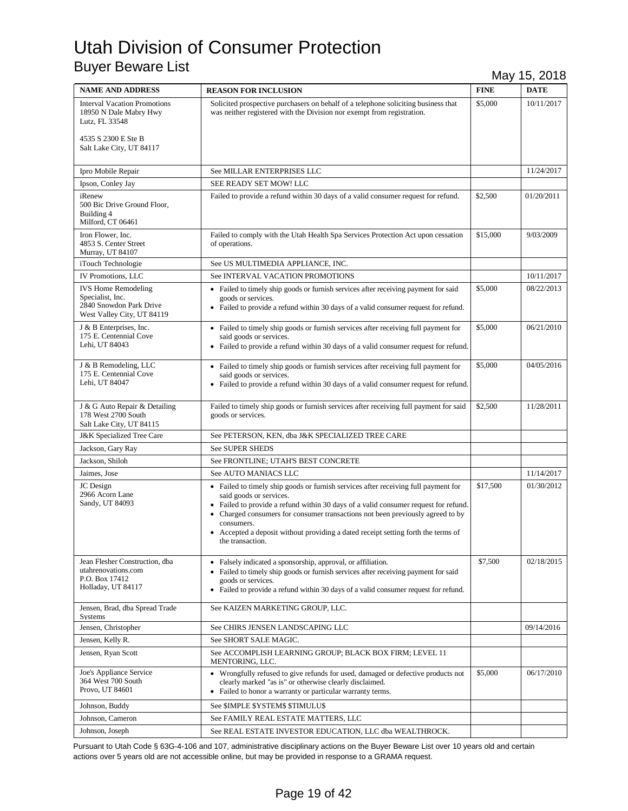| <b>NAME AND ADDRESS</b>                                                                                                            | <b>REASON FOR INCLUSION</b>                                                                                                                                                                                                                                                                                                                                                                                   | <b>FINE</b> | <b>DATE</b> |
|------------------------------------------------------------------------------------------------------------------------------------|---------------------------------------------------------------------------------------------------------------------------------------------------------------------------------------------------------------------------------------------------------------------------------------------------------------------------------------------------------------------------------------------------------------|-------------|-------------|
| <b>Interval Vacation Promotions</b><br>18950 N Dale Mabry Hwy<br>Lutz, FL 33548<br>4535 S 2300 E Ste B<br>Salt Lake City, UT 84117 | Solicited prospective purchasers on behalf of a telephone soliciting business that<br>was neither registered with the Division nor exempt from registration.                                                                                                                                                                                                                                                  | \$5,000     | 10/11/2017  |
| Ipro Mobile Repair                                                                                                                 | See MILLAR ENTERPRISES LLC                                                                                                                                                                                                                                                                                                                                                                                    |             | 11/24/2017  |
| Ipson, Conley Jay                                                                                                                  | SEE READY SET MOW! LLC                                                                                                                                                                                                                                                                                                                                                                                        |             |             |
| iRenew<br>500 Bic Drive Ground Floor,<br>Building 4<br>Milford, CT 06461                                                           | Failed to provide a refund within 30 days of a valid consumer request for refund.                                                                                                                                                                                                                                                                                                                             | \$2,500     | 01/20/2011  |
| Iron Flower, Inc.<br>4853 S. Center Street<br>Murray, UT 84107                                                                     | Failed to comply with the Utah Health Spa Services Protection Act upon cessation<br>of operations.                                                                                                                                                                                                                                                                                                            | \$15,000    | 9/03/2009   |
| iTouch Technologie                                                                                                                 | See US MULTIMEDIA APPLIANCE, INC.                                                                                                                                                                                                                                                                                                                                                                             |             |             |
| IV Promotions, LLC                                                                                                                 | See INTERVAL VACATION PROMOTIONS                                                                                                                                                                                                                                                                                                                                                                              |             | 10/11/2017  |
| <b>IVS Home Remodeling</b><br>Specialist, Inc.<br>2840 Snowdon Park Drive<br>West Valley City, UT 84119                            | • Failed to timely ship goods or furnish services after receiving payment for said<br>goods or services.<br>• Failed to provide a refund within 30 days of a valid consumer request for refund.                                                                                                                                                                                                               | \$5,000     | 08/22/2013  |
| J & B Enterprises, Inc.<br>175 E. Centennial Cove<br>Lehi, UT 84043                                                                | • Failed to timely ship goods or furnish services after receiving full payment for<br>said goods or services.<br>• Failed to provide a refund within 30 days of a valid consumer request for refund.                                                                                                                                                                                                          | \$5,000     | 06/21/2010  |
| J & B Remodeling, LLC<br>175 E. Centennial Cove<br>Lehi, UT 84047                                                                  | • Failed to timely ship goods or furnish services after receiving full payment for<br>said goods or services.<br>• Failed to provide a refund within 30 days of a valid consumer request for refund.                                                                                                                                                                                                          | \$5,000     | 04/05/2016  |
| J & G Auto Repair & Detailing<br>178 West 2700 South<br>Salt Lake City, UT 84115                                                   | Failed to timely ship goods or furnish services after receiving full payment for said<br>goods or services.                                                                                                                                                                                                                                                                                                   | \$2,500     | 11/28/2011  |
| J&K Specialized Tree Care                                                                                                          | See PETERSON, KEN, dba J&K SPECIALIZED TREE CARE                                                                                                                                                                                                                                                                                                                                                              |             |             |
| Jackson, Gary Ray                                                                                                                  | See SUPER SHEDS                                                                                                                                                                                                                                                                                                                                                                                               |             |             |
| Jackson, Shiloh                                                                                                                    | See FRONTLINE; UTAH'S BEST CONCRETE                                                                                                                                                                                                                                                                                                                                                                           |             |             |
| Jaimes, Jose                                                                                                                       | See AUTO MANIACS LLC                                                                                                                                                                                                                                                                                                                                                                                          |             | 11/14/2017  |
| JC Design<br>2966 Acorn Lane<br>Sandy, UT 84093                                                                                    | • Failed to timely ship goods or furnish services after receiving full payment for<br>said goods or services.<br>• Failed to provide a refund within 30 days of a valid consumer request for refund.<br>• Charged consumers for consumer transactions not been previously agreed to by<br>consumers.<br>• Accepted a deposit without providing a dated receipt setting forth the terms of<br>the transaction. | \$17,500    | 01/30/2012  |
| Jean Flesher Construction, dba<br>utahrenovations.com<br>P.O. Box 17412<br>Holladay, UT 84117                                      | • Falsely indicated a sponsorship, approval, or affiliation.<br>• Failed to timely ship goods or furnish services after receiving payment for said<br>goods or services.<br>• Failed to provide a refund within 30 days of a valid consumer request for refund.                                                                                                                                               | \$7,500     | 02/18/2015  |
| Jensen, Brad, dba Spread Trade<br><b>Systems</b>                                                                                   | See KAIZEN MARKETING GROUP, LLC.                                                                                                                                                                                                                                                                                                                                                                              |             |             |
| Jensen, Christopher                                                                                                                | See CHIRS JENSEN LANDSCAPING LLC                                                                                                                                                                                                                                                                                                                                                                              |             | 09/14/2016  |
| Jensen, Kelly R.                                                                                                                   | See SHORT SALE MAGIC.                                                                                                                                                                                                                                                                                                                                                                                         |             |             |
| Jensen, Ryan Scott                                                                                                                 | See ACCOMPLISH LEARNING GROUP; BLACK BOX FIRM; LEVEL 11<br>MENTORING, LLC.                                                                                                                                                                                                                                                                                                                                    |             |             |
| Joe's Appliance Service<br>364 West 700 South<br>Provo, UT 84601                                                                   | • Wrongfully refused to give refunds for used, damaged or defective products not<br>clearly marked "as is" or otherwise clearly disclaimed.<br>• Failed to honor a warranty or particular warranty terms.                                                                                                                                                                                                     | \$5,000     | 06/17/2010  |
| Johnson, Buddy                                                                                                                     | See \$IMPLE \$YSTEM\$ \$TIMULU\$                                                                                                                                                                                                                                                                                                                                                                              |             |             |
| Johnson, Cameron                                                                                                                   | See FAMILY REAL ESTATE MATTERS, LLC                                                                                                                                                                                                                                                                                                                                                                           |             |             |
| Johnson, Joseph                                                                                                                    | See REAL ESTATE INVESTOR EDUCATION, LLC dba WEALTHROCK.                                                                                                                                                                                                                                                                                                                                                       |             |             |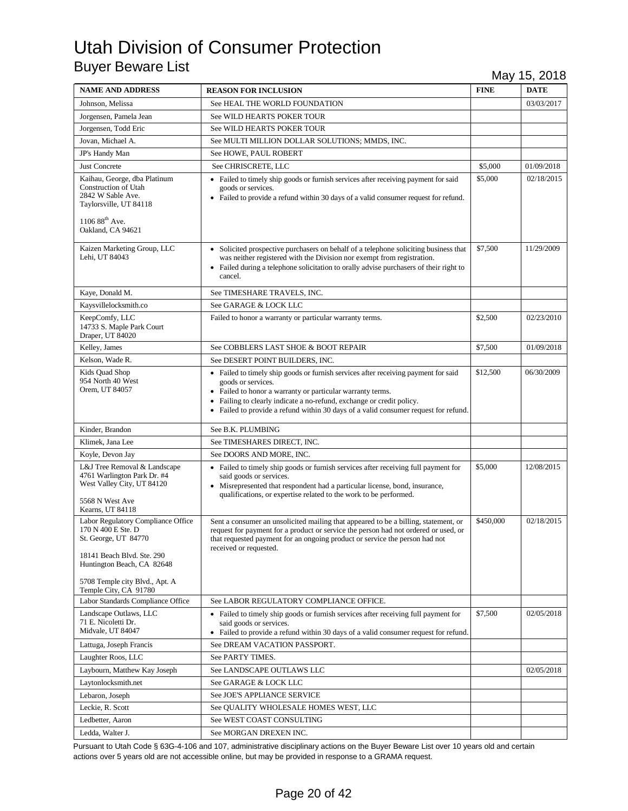| <b>NAME AND ADDRESS</b>                                                                                                                                                        | <b>REASON FOR INCLUSION</b>                                                                                                                                                                                                                                                                                                            | <b>FINE</b> | <b>DATE</b> |
|--------------------------------------------------------------------------------------------------------------------------------------------------------------------------------|----------------------------------------------------------------------------------------------------------------------------------------------------------------------------------------------------------------------------------------------------------------------------------------------------------------------------------------|-------------|-------------|
| Johnson, Melissa                                                                                                                                                               | See HEAL THE WORLD FOUNDATION                                                                                                                                                                                                                                                                                                          |             | 03/03/2017  |
| Jorgensen, Pamela Jean                                                                                                                                                         | See WILD HEARTS POKER TOUR                                                                                                                                                                                                                                                                                                             |             |             |
| Jorgensen, Todd Eric                                                                                                                                                           | See WILD HEARTS POKER TOUR                                                                                                                                                                                                                                                                                                             |             |             |
| Jovan, Michael A.                                                                                                                                                              | See MULTI MILLION DOLLAR SOLUTIONS; MMDS, INC.                                                                                                                                                                                                                                                                                         |             |             |
| JP's Handy Man                                                                                                                                                                 | See HOWE, PAUL ROBERT                                                                                                                                                                                                                                                                                                                  |             |             |
| <b>Just Concrete</b>                                                                                                                                                           | See CHRISCRETE, LLC                                                                                                                                                                                                                                                                                                                    | \$5,000     | 01/09/2018  |
| Kaihau, George, dba Platinum<br><b>Construction of Utah</b><br>2842 W Sable Ave.<br>Taylorsville, UT 84118<br>1106 88 <sup>th</sup> Ave.<br>Oakland, CA 94621                  | • Failed to timely ship goods or furnish services after receiving payment for said<br>goods or services.<br>• Failed to provide a refund within 30 days of a valid consumer request for refund.                                                                                                                                        | \$5,000     | 02/18/2015  |
| Kaizen Marketing Group, LLC<br>Lehi, UT 84043                                                                                                                                  | • Solicited prospective purchasers on behalf of a telephone soliciting business that<br>was neither registered with the Division nor exempt from registration.<br>• Failed during a telephone solicitation to orally advise purchasers of their right to<br>cancel.                                                                    | \$7,500     | 11/29/2009  |
| Kaye, Donald M.                                                                                                                                                                | See TIMESHARE TRAVELS, INC.                                                                                                                                                                                                                                                                                                            |             |             |
| Kaysvillelocksmith.co                                                                                                                                                          | See GARAGE & LOCK LLC                                                                                                                                                                                                                                                                                                                  |             |             |
| KeepComfy, LLC<br>14733 S. Maple Park Court<br>Draper, UT 84020                                                                                                                | Failed to honor a warranty or particular warranty terms.                                                                                                                                                                                                                                                                               | \$2,500     | 02/23/2010  |
| Kelley, James                                                                                                                                                                  | See COBBLERS LAST SHOE & BOOT REPAIR                                                                                                                                                                                                                                                                                                   | \$7,500     | 01/09/2018  |
| Kelson, Wade R.                                                                                                                                                                | See DESERT POINT BUILDERS, INC.                                                                                                                                                                                                                                                                                                        |             |             |
| Kids Quad Shop<br>954 North 40 West<br>Orem, UT 84057                                                                                                                          | • Failed to timely ship goods or furnish services after receiving payment for said<br>goods or services.<br>• Failed to honor a warranty or particular warranty terms.<br>• Failing to clearly indicate a no-refund, exchange or credit policy.<br>• Failed to provide a refund within 30 days of a valid consumer request for refund. | \$12,500    | 06/30/2009  |
| Kinder, Brandon                                                                                                                                                                | See B.K. PLUMBING                                                                                                                                                                                                                                                                                                                      |             |             |
| Klimek, Jana Lee                                                                                                                                                               | See TIMESHARES DIRECT, INC.                                                                                                                                                                                                                                                                                                            |             |             |
| Koyle, Devon Jay                                                                                                                                                               | See DOORS AND MORE, INC.                                                                                                                                                                                                                                                                                                               |             |             |
| L&J Tree Removal & Landscape<br>4761 Warlington Park Dr. #4<br>West Valley City, UT 84120<br>5568 N West Ave                                                                   | • Failed to timely ship goods or furnish services after receiving full payment for<br>said goods or services.<br>• Misrepresented that respondent had a particular license, bond, insurance,<br>qualifications, or expertise related to the work to be performed.                                                                      | \$5,000     | 12/08/2015  |
| Kearns, UT 84118                                                                                                                                                               |                                                                                                                                                                                                                                                                                                                                        |             |             |
| Labor Regulatory Compliance Office<br>170 N 400 E Ste. D<br>St. George, UT 84770<br>18141 Beach Blvd. Ste. 290<br>Huntington Beach, CA 82648<br>5708 Temple city Blvd., Apt. A | Sent a consumer an unsolicited mailing that appeared to be a billing, statement, or<br>request for payment for a product or service the person had not ordered or used, or<br>that requested payment for an ongoing product or service the person had not<br>received or requested.                                                    | \$450,000   | 02/18/2015  |
| Temple City, CA 91780<br>Labor Standards Compliance Office                                                                                                                     | See LABOR REGULATORY COMPLIANCE OFFICE.                                                                                                                                                                                                                                                                                                |             |             |
| Landscape Outlaws, LLC<br>71 E. Nicoletti Dr.<br>Midvale, UT 84047                                                                                                             | • Failed to timely ship goods or furnish services after receiving full payment for<br>said goods or services.<br>• Failed to provide a refund within 30 days of a valid consumer request for refund.                                                                                                                                   | \$7,500     | 02/05/2018  |
| Lattuga, Joseph Francis                                                                                                                                                        | See DREAM VACATION PASSPORT.                                                                                                                                                                                                                                                                                                           |             |             |
| Laughter Roos, LLC                                                                                                                                                             | See PARTY TIMES.                                                                                                                                                                                                                                                                                                                       |             |             |
| Laybourn, Matthew Kay Joseph                                                                                                                                                   | See LANDSCAPE OUTLAWS LLC                                                                                                                                                                                                                                                                                                              |             | 02/05/2018  |
| Laytonlocksmith.net                                                                                                                                                            | See GARAGE & LOCK LLC                                                                                                                                                                                                                                                                                                                  |             |             |
| Lebaron, Joseph                                                                                                                                                                | See JOE'S APPLIANCE SERVICE                                                                                                                                                                                                                                                                                                            |             |             |
| Leckie, R. Scott                                                                                                                                                               | See QUALITY WHOLESALE HOMES WEST, LLC                                                                                                                                                                                                                                                                                                  |             |             |
| Ledbetter, Aaron                                                                                                                                                               | See WEST COAST CONSULTING                                                                                                                                                                                                                                                                                                              |             |             |
| Ledda, Walter J.                                                                                                                                                               | See MORGAN DREXEN INC.                                                                                                                                                                                                                                                                                                                 |             |             |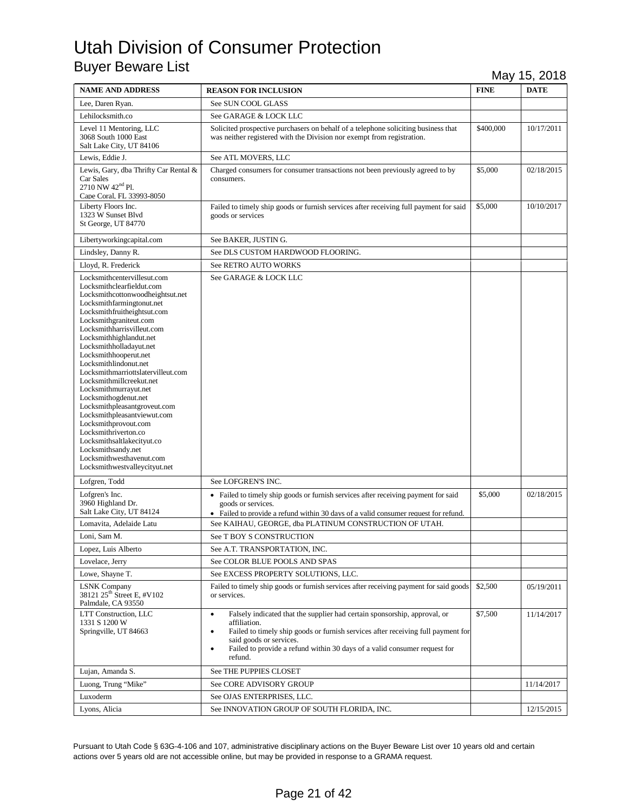| <b>NAME AND ADDRESS</b>                                                                                                                                                                                                                                                                                                                                                                                                                                                                                                                                                                                                                                                     | <b>REASON FOR INCLUSION</b>                                                                                                                                                                                                                                                                                                             | <b>FINE</b> | <b>DATE</b> |
|-----------------------------------------------------------------------------------------------------------------------------------------------------------------------------------------------------------------------------------------------------------------------------------------------------------------------------------------------------------------------------------------------------------------------------------------------------------------------------------------------------------------------------------------------------------------------------------------------------------------------------------------------------------------------------|-----------------------------------------------------------------------------------------------------------------------------------------------------------------------------------------------------------------------------------------------------------------------------------------------------------------------------------------|-------------|-------------|
| Lee, Daren Ryan.                                                                                                                                                                                                                                                                                                                                                                                                                                                                                                                                                                                                                                                            | See SUN COOL GLASS                                                                                                                                                                                                                                                                                                                      |             |             |
| Lehilocksmith.co                                                                                                                                                                                                                                                                                                                                                                                                                                                                                                                                                                                                                                                            | See GARAGE & LOCK LLC                                                                                                                                                                                                                                                                                                                   |             |             |
| Level 11 Mentoring, LLC<br>3068 South 1000 East<br>Salt Lake City, UT 84106                                                                                                                                                                                                                                                                                                                                                                                                                                                                                                                                                                                                 | Solicited prospective purchasers on behalf of a telephone soliciting business that<br>was neither registered with the Division nor exempt from registration.                                                                                                                                                                            | \$400,000   | 10/17/2011  |
| Lewis, Eddie J.                                                                                                                                                                                                                                                                                                                                                                                                                                                                                                                                                                                                                                                             | See ATL MOVERS, LLC                                                                                                                                                                                                                                                                                                                     |             |             |
| Lewis, Gary, dba Thrifty Car Rental &<br>Car Sales<br>2710 NW 42 <sup>nd</sup> Pl.<br>Cape Coral, FL 33993-8050                                                                                                                                                                                                                                                                                                                                                                                                                                                                                                                                                             | Charged consumers for consumer transactions not been previously agreed to by<br>consumers.                                                                                                                                                                                                                                              | \$5,000     | 02/18/2015  |
| Liberty Floors Inc.<br>1323 W Sunset Blvd<br>St George, UT 84770                                                                                                                                                                                                                                                                                                                                                                                                                                                                                                                                                                                                            | Failed to timely ship goods or furnish services after receiving full payment for said<br>goods or services                                                                                                                                                                                                                              | \$5,000     | 10/10/2017  |
| Libertyworkingcapital.com                                                                                                                                                                                                                                                                                                                                                                                                                                                                                                                                                                                                                                                   | See BAKER, JUSTING.                                                                                                                                                                                                                                                                                                                     |             |             |
| Lindsley, Danny R.                                                                                                                                                                                                                                                                                                                                                                                                                                                                                                                                                                                                                                                          | See DLS CUSTOM HARDWOOD FLOORING.                                                                                                                                                                                                                                                                                                       |             |             |
| Lloyd, R. Frederick                                                                                                                                                                                                                                                                                                                                                                                                                                                                                                                                                                                                                                                         | See RETRO AUTO WORKS                                                                                                                                                                                                                                                                                                                    |             |             |
| Locksmithcentervillesut.com<br>Locksmithclearfieldut.com<br>Locksmithcottonwoodheightsut.net<br>Locksmithfarmingtonut.net<br>Locksmithfruitheightsut.com<br>Locksmithgraniteut.com<br>Locksmithharrisvilleut.com<br>Locksmithhighlandut.net<br>Locksmithholladayut.net<br>Locksmithhooperut.net<br>Locksmithlindonut.net<br>Locksmithmarriottslatervilleut.com<br>Locksmithmillcreekut.net<br>Locksmithmurrayut.net<br>Locksmithogdenut.net<br>Locksmithpleasantgroveut.com<br>Locksmithpleasantviewut.com<br>Locksmithprovout.com<br>Locksmithriverton.co<br>Locksmithsaltlakecityut.co<br>Locksmithsandy.net<br>Locksmithwesthavenut.com<br>Locksmithwestvalleycityut.net | See GARAGE & LOCK LLC                                                                                                                                                                                                                                                                                                                   |             |             |
| Lofgren, Todd                                                                                                                                                                                                                                                                                                                                                                                                                                                                                                                                                                                                                                                               | See LOFGREN'S INC.                                                                                                                                                                                                                                                                                                                      |             |             |
| Lofgren's Inc.<br>3960 Highland Dr.<br>Salt Lake City, UT 84124<br>Lomavita, Adelaide Latu                                                                                                                                                                                                                                                                                                                                                                                                                                                                                                                                                                                  | • Failed to timely ship goods or furnish services after receiving payment for said<br>goods or services.<br>• Failed to provide a refund within 30 days of a valid consumer request for refund.<br>See KAIHAU, GEORGE, dba PLATINUM CONSTRUCTION OF UTAH.                                                                               | \$5,000     | 02/18/2015  |
| Loni. Sam M.                                                                                                                                                                                                                                                                                                                                                                                                                                                                                                                                                                                                                                                                | See T BOY S CONSTRUCTION                                                                                                                                                                                                                                                                                                                |             |             |
| Lopez, Luis Alberto                                                                                                                                                                                                                                                                                                                                                                                                                                                                                                                                                                                                                                                         | See A.T. TRANSPORTATION, INC.                                                                                                                                                                                                                                                                                                           |             |             |
| Lovelace, Jerry                                                                                                                                                                                                                                                                                                                                                                                                                                                                                                                                                                                                                                                             | See COLOR BLUE POOLS AND SPAS                                                                                                                                                                                                                                                                                                           |             |             |
| Lowe, Shayne T.                                                                                                                                                                                                                                                                                                                                                                                                                                                                                                                                                                                                                                                             | See EXCESS PROPERTY SOLUTIONS, LLC.                                                                                                                                                                                                                                                                                                     |             |             |
| <b>LSNK</b> Company<br>38121 25 <sup>th</sup> Street E, #V102<br>Palmdale, CA 93550                                                                                                                                                                                                                                                                                                                                                                                                                                                                                                                                                                                         | Failed to timely ship goods or furnish services after receiving payment for said goods<br>or services.                                                                                                                                                                                                                                  | \$2,500     | 05/19/2011  |
| LTT Construction, LLC<br>1331 S 1200 W<br>Springville, UT 84663                                                                                                                                                                                                                                                                                                                                                                                                                                                                                                                                                                                                             | Falsely indicated that the supplier had certain sponsorship, approval, or<br>$\bullet$<br>affiliation.<br>Failed to timely ship goods or furnish services after receiving full payment for<br>$\bullet$<br>said goods or services.<br>Failed to provide a refund within 30 days of a valid consumer request for<br>$\bullet$<br>refund. | \$7,500     | 11/14/2017  |
| Lujan, Amanda S.                                                                                                                                                                                                                                                                                                                                                                                                                                                                                                                                                                                                                                                            | See THE PUPPIES CLOSET                                                                                                                                                                                                                                                                                                                  |             |             |
| Luong, Trung "Mike"                                                                                                                                                                                                                                                                                                                                                                                                                                                                                                                                                                                                                                                         | See CORE ADVISORY GROUP                                                                                                                                                                                                                                                                                                                 |             | 11/14/2017  |
| Luxoderm                                                                                                                                                                                                                                                                                                                                                                                                                                                                                                                                                                                                                                                                    | See OJAS ENTERPRISES, LLC.                                                                                                                                                                                                                                                                                                              |             |             |
| Lyons, Alicia                                                                                                                                                                                                                                                                                                                                                                                                                                                                                                                                                                                                                                                               | See INNOVATION GROUP OF SOUTH FLORIDA, INC.                                                                                                                                                                                                                                                                                             |             | 12/15/2015  |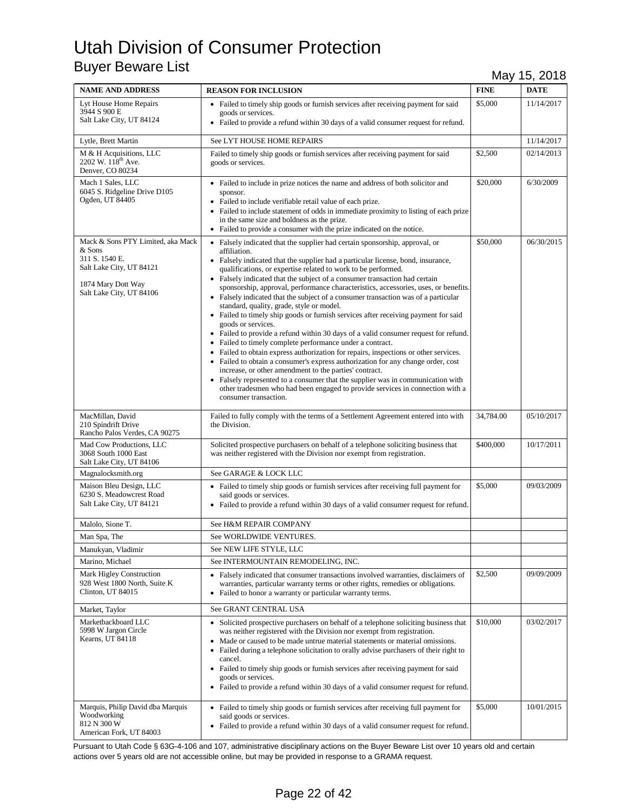| <b>NAME AND ADDRESS</b>                                                                                                                     | <b>REASON FOR INCLUSION</b>                                                                                                                                                                                                                                                                                                                                                                                                                                                                                                                                                                                                                                                                                                                                                                                                                                                                                                                                                                                                                                                                                                                                                                                                                                 | <b>FINE</b> | <b>DATE</b> |
|---------------------------------------------------------------------------------------------------------------------------------------------|-------------------------------------------------------------------------------------------------------------------------------------------------------------------------------------------------------------------------------------------------------------------------------------------------------------------------------------------------------------------------------------------------------------------------------------------------------------------------------------------------------------------------------------------------------------------------------------------------------------------------------------------------------------------------------------------------------------------------------------------------------------------------------------------------------------------------------------------------------------------------------------------------------------------------------------------------------------------------------------------------------------------------------------------------------------------------------------------------------------------------------------------------------------------------------------------------------------------------------------------------------------|-------------|-------------|
| Lyt House Home Repairs<br>3944 S 900 E<br>Salt Lake City, UT 84124                                                                          | • Failed to timely ship goods or furnish services after receiving payment for said<br>goods or services.<br>• Failed to provide a refund within 30 days of a valid consumer request for refund.                                                                                                                                                                                                                                                                                                                                                                                                                                                                                                                                                                                                                                                                                                                                                                                                                                                                                                                                                                                                                                                             | \$5,000     | 11/14/2017  |
| Lytle, Brett Martin                                                                                                                         | See LYT HOUSE HOME REPAIRS                                                                                                                                                                                                                                                                                                                                                                                                                                                                                                                                                                                                                                                                                                                                                                                                                                                                                                                                                                                                                                                                                                                                                                                                                                  |             | 11/14/2017  |
| M & H Acquisitions, LLC<br>2202 W. 118 <sup>th</sup> Ave.<br>Denver, CO 80234                                                               | Failed to timely ship goods or furnish services after receiving payment for said<br>goods or services.                                                                                                                                                                                                                                                                                                                                                                                                                                                                                                                                                                                                                                                                                                                                                                                                                                                                                                                                                                                                                                                                                                                                                      | \$2,500     | 02/14/2013  |
| Mach 1 Sales, LLC<br>6045 S. Ridgeline Drive D105<br>Ogden, UT 84405                                                                        | • Failed to include in prize notices the name and address of both solicitor and<br>sponsor.<br>• Failed to include verifiable retail value of each prize.<br>• Failed to include statement of odds in immediate proximity to listing of each prize<br>in the same size and boldness as the prize.<br>• Failed to provide a consumer with the prize indicated on the notice.                                                                                                                                                                                                                                                                                                                                                                                                                                                                                                                                                                                                                                                                                                                                                                                                                                                                                 | \$20,000    | 6/30/2009   |
| Mack & Sons PTY Limited, aka Mack<br>& Sons<br>311 S. 1540 E.<br>Salt Lake City, UT 84121<br>1874 Mary Dott Way<br>Salt Lake City, UT 84106 | • Falsely indicated that the supplier had certain sponsorship, approval, or<br>affiliation.<br>• Falsely indicated that the supplier had a particular license, bond, insurance,<br>qualifications, or expertise related to work to be performed.<br>• Falsely indicated that the subject of a consumer transaction had certain<br>sponsorship, approval, performance characteristics, accessories, uses, or benefits.<br>• Falsely indicated that the subject of a consumer transaction was of a particular<br>standard, quality, grade, style or model.<br>• Failed to timely ship goods or furnish services after receiving payment for said<br>goods or services.<br>• Failed to provide a refund within 30 days of a valid consumer request for refund.<br>• Failed to timely complete performance under a contract.<br>• Failed to obtain express authorization for repairs, inspections or other services.<br>• Failed to obtain a consumer's express authorization for any change order, cost<br>increase, or other amendment to the parties' contract.<br>• Falsely represented to a consumer that the supplier was in communication with<br>other tradesmen who had been engaged to provide services in connection with a<br>consumer transaction. | \$50,000    | 06/30/2015  |
| MacMillan, David<br>210 Spindrift Drive<br>Rancho Palos Verdes, CA 90275                                                                    | Failed to fully comply with the terms of a Settlement Agreement entered into with<br>the Division.                                                                                                                                                                                                                                                                                                                                                                                                                                                                                                                                                                                                                                                                                                                                                                                                                                                                                                                                                                                                                                                                                                                                                          | 34,784.00   | 05/10/2017  |
| Mad Cow Productions, LLC<br>3068 South 1000 East<br>Salt Lake City, UT 84106                                                                | Solicited prospective purchasers on behalf of a telephone soliciting business that<br>was neither registered with the Division nor exempt from registration.                                                                                                                                                                                                                                                                                                                                                                                                                                                                                                                                                                                                                                                                                                                                                                                                                                                                                                                                                                                                                                                                                                | \$400,000   | 10/17/2011  |
| Magnalocksmith.org                                                                                                                          | See GARAGE & LOCK LLC                                                                                                                                                                                                                                                                                                                                                                                                                                                                                                                                                                                                                                                                                                                                                                                                                                                                                                                                                                                                                                                                                                                                                                                                                                       |             |             |
| Maison Bleu Design, LLC<br>6230 S. Meadowcrest Road<br>Salt Lake City, UT 84121                                                             | • Failed to timely ship goods or furnish services after receiving full payment for<br>said goods or services.<br>• Failed to provide a refund within 30 days of a valid consumer request for refund.                                                                                                                                                                                                                                                                                                                                                                                                                                                                                                                                                                                                                                                                                                                                                                                                                                                                                                                                                                                                                                                        | \$5,000     | 09/03/2009  |
| Malolo, Sione T.                                                                                                                            | See H&M REPAIR COMPANY                                                                                                                                                                                                                                                                                                                                                                                                                                                                                                                                                                                                                                                                                                                                                                                                                                                                                                                                                                                                                                                                                                                                                                                                                                      |             |             |
| Man Spa, The                                                                                                                                | See WORLDWIDE VENTURES.                                                                                                                                                                                                                                                                                                                                                                                                                                                                                                                                                                                                                                                                                                                                                                                                                                                                                                                                                                                                                                                                                                                                                                                                                                     |             |             |
| Manukyan, Vladimir                                                                                                                          | See NEW LIFE STYLE, LLC                                                                                                                                                                                                                                                                                                                                                                                                                                                                                                                                                                                                                                                                                                                                                                                                                                                                                                                                                                                                                                                                                                                                                                                                                                     |             |             |
| Marino, Michael                                                                                                                             | See INTERMOUNTAIN REMODELING, INC.                                                                                                                                                                                                                                                                                                                                                                                                                                                                                                                                                                                                                                                                                                                                                                                                                                                                                                                                                                                                                                                                                                                                                                                                                          |             |             |
| Mark Higley Construction<br>928 West 1800 North, Suite K<br>Clinton, UT 84015                                                               | • Falsely indicated that consumer transactions involved warranties, disclaimers of<br>warranties, particular warranty terms or other rights, remedies or obligations.<br>• Failed to honor a warranty or particular warranty terms.                                                                                                                                                                                                                                                                                                                                                                                                                                                                                                                                                                                                                                                                                                                                                                                                                                                                                                                                                                                                                         | \$2,500     | 09/09/2009  |
| Market, Taylor                                                                                                                              | See GRANT CENTRAL USA                                                                                                                                                                                                                                                                                                                                                                                                                                                                                                                                                                                                                                                                                                                                                                                                                                                                                                                                                                                                                                                                                                                                                                                                                                       |             |             |
| Marketbackboard LLC<br>5998 W Jargon Circle<br>Kearns, UT 84118                                                                             | • Solicited prospective purchasers on behalf of a telephone soliciting business that<br>was neither registered with the Division nor exempt from registration.<br>• Made or caused to be made untrue material statements or material omissions.<br>• Failed during a telephone solicitation to orally advise purchasers of their right to<br>cancel.<br>• Failed to timely ship goods or furnish services after receiving payment for said<br>goods or services.<br>• Failed to provide a refund within 30 days of a valid consumer request for refund.                                                                                                                                                                                                                                                                                                                                                                                                                                                                                                                                                                                                                                                                                                     | \$10,000    | 03/02/2017  |
| Marquis, Philip David dba Marquis<br>Woodworking<br>812 N 300 W<br>American Fork, UT 84003                                                  | • Failed to timely ship goods or furnish services after receiving full payment for<br>said goods or services.<br>• Failed to provide a refund within 30 days of a valid consumer request for refund.                                                                                                                                                                                                                                                                                                                                                                                                                                                                                                                                                                                                                                                                                                                                                                                                                                                                                                                                                                                                                                                        | \$5,000     | 10/01/2015  |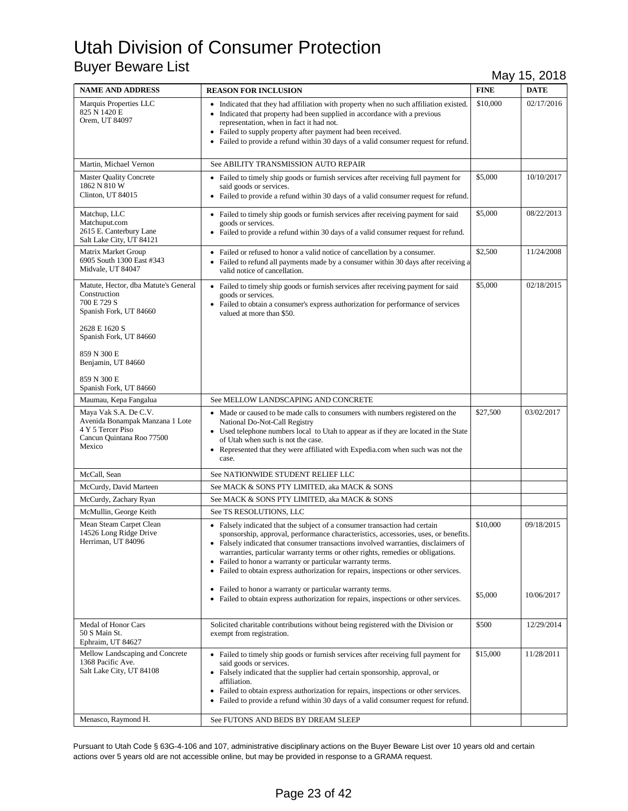| <b>NAME AND ADDRESS</b>                                                                                                                                                                      | <b>REASON FOR INCLUSION</b>                                                                                                                                                                                                                                                                                                                                                                                                                                                                                                                                    | <b>FINE</b>         | <b>DATE</b>              |
|----------------------------------------------------------------------------------------------------------------------------------------------------------------------------------------------|----------------------------------------------------------------------------------------------------------------------------------------------------------------------------------------------------------------------------------------------------------------------------------------------------------------------------------------------------------------------------------------------------------------------------------------------------------------------------------------------------------------------------------------------------------------|---------------------|--------------------------|
| Marquis Properties LLC<br>825 N 1420 E<br>Orem, UT 84097                                                                                                                                     | • Indicated that they had affiliation with property when no such affiliation existed.<br>• Indicated that property had been supplied in accordance with a previous<br>representation, when in fact it had not.<br>Failed to supply property after payment had been received.<br>Failed to provide a refund within 30 days of a valid consumer request for refund.                                                                                                                                                                                              | \$10,000            | 02/17/2016               |
| Martin, Michael Vernon                                                                                                                                                                       | See ABILITY TRANSMISSION AUTO REPAIR                                                                                                                                                                                                                                                                                                                                                                                                                                                                                                                           |                     |                          |
| <b>Master Quality Concrete</b><br>1862 N 810 W<br>Clinton, UT 84015                                                                                                                          | • Failed to timely ship goods or furnish services after receiving full payment for<br>said goods or services.<br>• Failed to provide a refund within 30 days of a valid consumer request for refund.                                                                                                                                                                                                                                                                                                                                                           | \$5,000             | 10/10/2017               |
| Matchup, LLC<br>Matchuput.com<br>2615 E. Canterbury Lane<br>Salt Lake City, UT 84121                                                                                                         | • Failed to timely ship goods or furnish services after receiving payment for said<br>goods or services.<br>• Failed to provide a refund within 30 days of a valid consumer request for refund.                                                                                                                                                                                                                                                                                                                                                                | \$5,000             | 08/22/2013               |
| Matrix Market Group<br>6905 South 1300 East #343<br>Midvale, UT 84047                                                                                                                        | • Failed or refused to honor a valid notice of cancellation by a consumer.<br>• Failed to refund all payments made by a consumer within 30 days after receiving a<br>valid notice of cancellation.                                                                                                                                                                                                                                                                                                                                                             | \$2,500             | 11/24/2008               |
| Matute, Hector, dba Matute's General<br>Construction<br>700 E 729 S<br>Spanish Fork, UT 84660<br>2628 E 1620 S<br>Spanish Fork, UT 84660<br>859 N 300 E<br>Benjamin, UT 84660<br>859 N 300 E | • Failed to timely ship goods or furnish services after receiving payment for said<br>goods or services.<br>• Failed to obtain a consumer's express authorization for performance of services<br>valued at more than \$50.                                                                                                                                                                                                                                                                                                                                     | \$5,000             | 02/18/2015               |
| Spanish Fork, UT 84660                                                                                                                                                                       |                                                                                                                                                                                                                                                                                                                                                                                                                                                                                                                                                                |                     |                          |
| Maumau, Kepa Fangalua                                                                                                                                                                        | See MELLOW LANDSCAPING AND CONCRETE                                                                                                                                                                                                                                                                                                                                                                                                                                                                                                                            |                     |                          |
| Maya Vak S.A. De C.V.<br>Avenida Bonampak Manzana 1 Lote<br>4 Y 5 Tercer Piso<br>Cancun Quintana Roo 77500<br>Mexico                                                                         | • Made or caused to be made calls to consumers with numbers registered on the<br>National Do-Not-Call Registry<br>• Used telephone numbers local to Utah to appear as if they are located in the State<br>of Utah when such is not the case.<br>Represented that they were affiliated with Expedia.com when such was not the<br>٠<br>case.                                                                                                                                                                                                                     | \$27,500            | 03/02/2017               |
| McCall, Sean                                                                                                                                                                                 | See NATIONWIDE STUDENT RELIEF LLC                                                                                                                                                                                                                                                                                                                                                                                                                                                                                                                              |                     |                          |
| McCurdy, David Marteen                                                                                                                                                                       | See MACK & SONS PTY LIMITED, aka MACK & SONS                                                                                                                                                                                                                                                                                                                                                                                                                                                                                                                   |                     |                          |
| McCurdy, Zachary Ryan                                                                                                                                                                        | See MACK & SONS PTY LIMITED, aka MACK & SONS                                                                                                                                                                                                                                                                                                                                                                                                                                                                                                                   |                     |                          |
| McMullin, George Keith                                                                                                                                                                       | See TS RESOLUTIONS, LLC                                                                                                                                                                                                                                                                                                                                                                                                                                                                                                                                        |                     |                          |
| Mean Steam Carpet Clean<br>14526 Long Ridge Drive<br>Herriman, UT 84096                                                                                                                      | • Falsely indicated that the subject of a consumer transaction had certain<br>sponsorship, approval, performance characteristics, accessories, uses, or benefits.<br>• Falsely indicated that consumer transactions involved warranties, disclaimers of<br>warranties, particular warranty terms or other rights, remedies or obligations.<br>• Failed to honor a warranty or particular warranty terms.<br>• Failed to obtain express authorization for repairs, inspections or other services.<br>• Failed to honor a warranty or particular warranty terms. | \$10,000<br>\$5,000 | 09/18/2015<br>10/06/2017 |
|                                                                                                                                                                                              | • Failed to obtain express authorization for repairs, inspections or other services.                                                                                                                                                                                                                                                                                                                                                                                                                                                                           |                     |                          |
| Medal of Honor Cars<br>50 S Main St.<br>Ephraim, UT 84627                                                                                                                                    | Solicited charitable contributions without being registered with the Division or<br>exempt from registration.                                                                                                                                                                                                                                                                                                                                                                                                                                                  | \$500               | 12/29/2014               |
| Mellow Landscaping and Concrete<br>1368 Pacific Ave.<br>Salt Lake City, UT 84108                                                                                                             | • Failed to timely ship goods or furnish services after receiving full payment for<br>said goods or services.<br>• Falsely indicated that the supplier had certain sponsorship, approval, or<br>affiliation.<br>Failed to obtain express authorization for repairs, inspections or other services.<br>Failed to provide a refund within 30 days of a valid consumer request for refund.<br>$\bullet$                                                                                                                                                           | \$15,000            | 11/28/2011               |
| Menasco, Raymond H.                                                                                                                                                                          | See FUTONS AND BEDS BY DREAM SLEEP                                                                                                                                                                                                                                                                                                                                                                                                                                                                                                                             |                     |                          |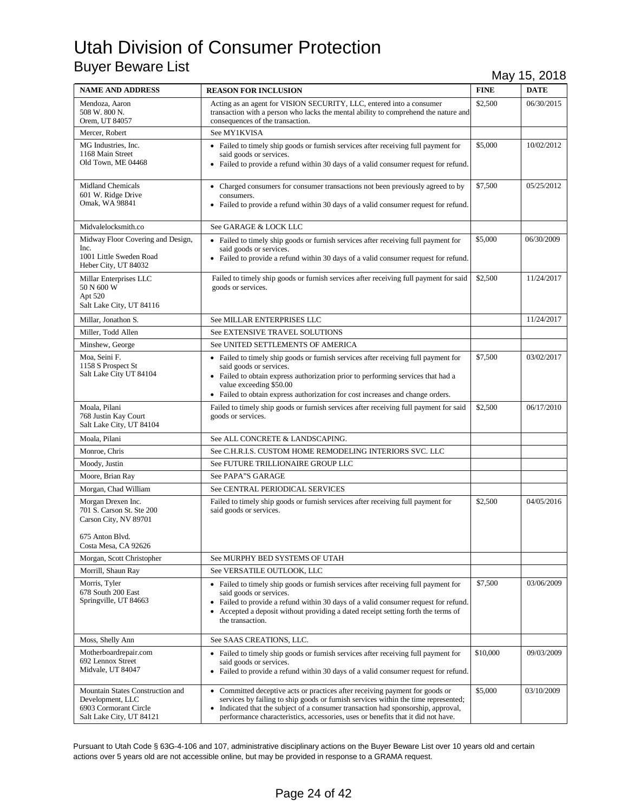| <b>NAME AND ADDRESS</b>                                                                                             | <b>REASON FOR INCLUSION</b>                                                                                                                                                                                                                                                                                                                            | <b>FINE</b> | <b>DATE</b> |
|---------------------------------------------------------------------------------------------------------------------|--------------------------------------------------------------------------------------------------------------------------------------------------------------------------------------------------------------------------------------------------------------------------------------------------------------------------------------------------------|-------------|-------------|
| Mendoza, Aaron<br>508 W. 800 N.<br>Orem, UT 84057                                                                   | Acting as an agent for VISION SECURITY, LLC, entered into a consumer<br>transaction with a person who lacks the mental ability to comprehend the nature and<br>consequences of the transaction.                                                                                                                                                        | \$2,500     | 06/30/2015  |
| Mercer, Robert                                                                                                      | See MY1KVISA                                                                                                                                                                                                                                                                                                                                           |             |             |
| MG Industries, Inc.<br>1168 Main Street<br>Old Town, ME 04468                                                       | • Failed to timely ship goods or furnish services after receiving full payment for<br>said goods or services.<br>• Failed to provide a refund within 30 days of a valid consumer request for refund.                                                                                                                                                   | \$5,000     | 10/02/2012  |
| <b>Midland Chemicals</b><br>601 W. Ridge Drive<br>Omak, WA 98841                                                    | • Charged consumers for consumer transactions not been previously agreed to by<br>consumers.<br>• Failed to provide a refund within 30 days of a valid consumer request for refund.                                                                                                                                                                    | \$7,500     | 05/25/2012  |
| Midvalelocksmith.co                                                                                                 | See GARAGE & LOCK LLC                                                                                                                                                                                                                                                                                                                                  |             |             |
| Midway Floor Covering and Design,<br>Inc.<br>1001 Little Sweden Road<br>Heber City, UT 84032                        | • Failed to timely ship goods or furnish services after receiving full payment for<br>said goods or services.<br>• Failed to provide a refund within 30 days of a valid consumer request for refund.                                                                                                                                                   | \$5,000     | 06/30/2009  |
| Millar Enterprises LLC<br>50 N 600 W<br>Apt 520<br>Salt Lake City, UT 84116                                         | Failed to timely ship goods or furnish services after receiving full payment for said<br>goods or services.                                                                                                                                                                                                                                            | \$2,500     | 11/24/2017  |
| Millar, Jonathon S.                                                                                                 | See MILLAR ENTERPRISES LLC                                                                                                                                                                                                                                                                                                                             |             | 11/24/2017  |
| Miller, Todd Allen                                                                                                  | See EXTENSIVE TRAVEL SOLUTIONS                                                                                                                                                                                                                                                                                                                         |             |             |
| Minshew, George                                                                                                     | See UNITED SETTLEMENTS OF AMERICA                                                                                                                                                                                                                                                                                                                      |             |             |
| Moa, Seini F.<br>1158 S Prospect St<br>Salt Lake City UT 84104                                                      | • Failed to timely ship goods or furnish services after receiving full payment for<br>said goods or services.<br>• Failed to obtain express authorization prior to performing services that had a<br>value exceeding \$50.00<br>• Failed to obtain express authorization for cost increases and change orders.                                         | \$7,500     | 03/02/2017  |
| Moala, Pilani<br>768 Justin Kay Court<br>Salt Lake City, UT 84104                                                   | Failed to timely ship goods or furnish services after receiving full payment for said<br>goods or services.                                                                                                                                                                                                                                            | \$2,500     | 06/17/2010  |
| Moala, Pilani                                                                                                       | See ALL CONCRETE & LANDSCAPING.                                                                                                                                                                                                                                                                                                                        |             |             |
| Monroe, Chris                                                                                                       | See C.H.R.I.S. CUSTOM HOME REMODELING INTERIORS SVC. LLC                                                                                                                                                                                                                                                                                               |             |             |
| Moody, Justin                                                                                                       | See FUTURE TRILLIONAIRE GROUP LLC                                                                                                                                                                                                                                                                                                                      |             |             |
| Moore, Brian Ray                                                                                                    | See PAPA"S GARAGE                                                                                                                                                                                                                                                                                                                                      |             |             |
| Morgan, Chad William                                                                                                | See CENTRAL PERIODICAL SERVICES                                                                                                                                                                                                                                                                                                                        |             |             |
| Morgan Drexen Inc.<br>701 S. Carson St. Ste 200<br>Carson City, NV 89701<br>675 Anton Blvd.<br>Costa Mesa, CA 92626 | Failed to timely ship goods or furnish services after receiving full payment for<br>said goods or services.                                                                                                                                                                                                                                            | \$2,500     | 04/05/2016  |
| Morgan, Scott Christopher                                                                                           | See MURPHY BED SYSTEMS OF UTAH                                                                                                                                                                                                                                                                                                                         |             |             |
| Morrill, Shaun Ray                                                                                                  | See VERSATILE OUTLOOK, LLC                                                                                                                                                                                                                                                                                                                             |             |             |
| Morris, Tyler<br>678 South 200 East<br>Springville, UT 84663                                                        | • Failed to timely ship goods or furnish services after receiving full payment for<br>said goods or services.<br>• Failed to provide a refund within 30 days of a valid consumer request for refund.<br>• Accepted a deposit without providing a dated receipt setting forth the terms of<br>the transaction.                                          | \$7,500     | 03/06/2009  |
| Moss, Shelly Ann                                                                                                    | See SAAS CREATIONS, LLC.                                                                                                                                                                                                                                                                                                                               |             |             |
| Motherboardrepair.com<br>692 Lennox Street<br>Midvale, UT 84047                                                     | • Failed to timely ship goods or furnish services after receiving full payment for<br>said goods or services.<br>• Failed to provide a refund within 30 days of a valid consumer request for refund.                                                                                                                                                   | \$10,000    | 09/03/2009  |
| Mountain States Construction and<br>Development, LLC<br>6903 Cormorant Circle<br>Salt Lake City, UT 84121           | • Committed deceptive acts or practices after receiving payment for goods or<br>services by failing to ship goods or furnish services within the time represented;<br>Indicated that the subject of a consumer transaction had sponsorship, approval,<br>$\bullet$<br>performance characteristics, accessories, uses or benefits that it did not have. | \$5,000     | 03/10/2009  |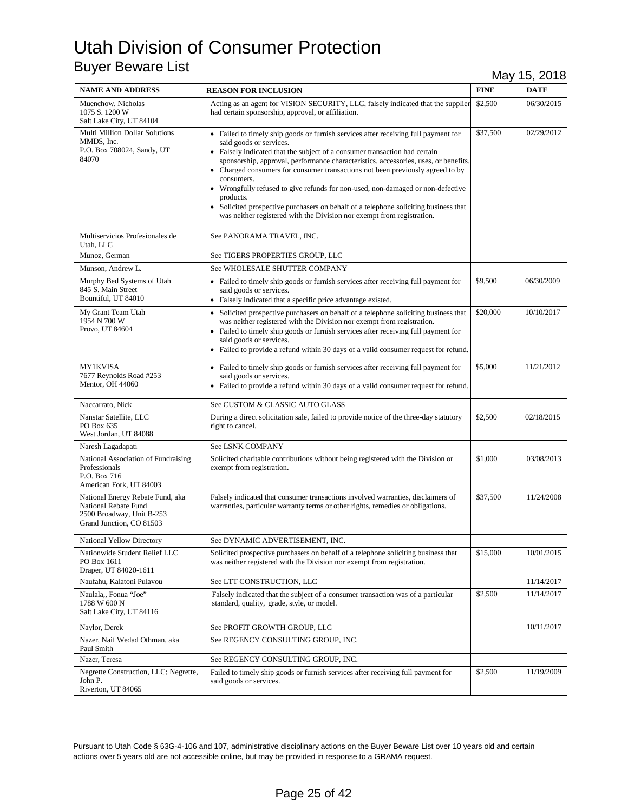| <b>NAME AND ADDRESS</b>                                                                                           | <b>REASON FOR INCLUSION</b>                                                                                                                                                                                                                                                                                                                                                                                                                                                                                                                                                                                                                          | <b>FINE</b> | <b>DATE</b> |
|-------------------------------------------------------------------------------------------------------------------|------------------------------------------------------------------------------------------------------------------------------------------------------------------------------------------------------------------------------------------------------------------------------------------------------------------------------------------------------------------------------------------------------------------------------------------------------------------------------------------------------------------------------------------------------------------------------------------------------------------------------------------------------|-------------|-------------|
| Muenchow, Nicholas<br>1075 S. 1200 W<br>Salt Lake City, UT 84104                                                  | Acting as an agent for VISION SECURITY, LLC, falsely indicated that the supplier<br>had certain sponsorship, approval, or affiliation.                                                                                                                                                                                                                                                                                                                                                                                                                                                                                                               | \$2,500     | 06/30/2015  |
| Multi Million Dollar Solutions<br>MMDS, Inc.<br>P.O. Box 708024, Sandy, UT<br>84070                               | • Failed to timely ship goods or furnish services after receiving full payment for<br>said goods or services.<br>• Falsely indicated that the subject of a consumer transaction had certain<br>sponsorship, approval, performance characteristics, accessories, uses, or benefits.<br>• Charged consumers for consumer transactions not been previously agreed to by<br>consumers.<br>• Wrongfully refused to give refunds for non-used, non-damaged or non-defective<br>products.<br>• Solicited prospective purchasers on behalf of a telephone soliciting business that<br>was neither registered with the Division nor exempt from registration. | \$37,500    | 02/29/2012  |
| Multiservicios Profesionales de<br>Utah, LLC                                                                      | See PANORAMA TRAVEL, INC.                                                                                                                                                                                                                                                                                                                                                                                                                                                                                                                                                                                                                            |             |             |
| Munoz, German                                                                                                     | See TIGERS PROPERTIES GROUP, LLC                                                                                                                                                                                                                                                                                                                                                                                                                                                                                                                                                                                                                     |             |             |
| Munson, Andrew L.                                                                                                 | See WHOLESALE SHUTTER COMPANY                                                                                                                                                                                                                                                                                                                                                                                                                                                                                                                                                                                                                        |             |             |
| Murphy Bed Systems of Utah<br>845 S. Main Street<br>Bountiful, UT 84010                                           | • Failed to timely ship goods or furnish services after receiving full payment for<br>said goods or services.<br>• Falsely indicated that a specific price advantage existed.                                                                                                                                                                                                                                                                                                                                                                                                                                                                        | \$9,500     | 06/30/2009  |
| My Grant Team Utah<br>1954 N 700 W<br>Provo, UT 84604                                                             | • Solicited prospective purchasers on behalf of a telephone soliciting business that<br>was neither registered with the Division nor exempt from registration.<br>• Failed to timely ship goods or furnish services after receiving full payment for<br>said goods or services.<br>• Failed to provide a refund within 30 days of a valid consumer request for refund.                                                                                                                                                                                                                                                                               | \$20,000    | 10/10/2017  |
| <b>MY1KVISA</b><br>7677 Reynolds Road #253<br><b>Mentor</b> , OH 44060                                            | • Failed to timely ship goods or furnish services after receiving full payment for<br>said goods or services.<br>• Failed to provide a refund within 30 days of a valid consumer request for refund.                                                                                                                                                                                                                                                                                                                                                                                                                                                 | \$5,000     | 11/21/2012  |
| Naccarrato, Nick                                                                                                  | See CUSTOM & CLASSIC AUTO GLASS                                                                                                                                                                                                                                                                                                                                                                                                                                                                                                                                                                                                                      |             |             |
| Nanstar Satellite, LLC<br>PO Box 635<br>West Jordan, UT 84088                                                     | During a direct solicitation sale, failed to provide notice of the three-day statutory<br>right to cancel.                                                                                                                                                                                                                                                                                                                                                                                                                                                                                                                                           | \$2,500     | 02/18/2015  |
| Naresh Lagadapati                                                                                                 | See LSNK COMPANY                                                                                                                                                                                                                                                                                                                                                                                                                                                                                                                                                                                                                                     |             |             |
| National Association of Fundraising<br>Professionals<br>P.O. Box 716<br>American Fork, UT 84003                   | Solicited charitable contributions without being registered with the Division or<br>exempt from registration.                                                                                                                                                                                                                                                                                                                                                                                                                                                                                                                                        | \$1,000     | 03/08/2013  |
| National Energy Rebate Fund, aka<br>National Rebate Fund<br>2500 Broadway, Unit B-253<br>Grand Junction, CO 81503 | Falsely indicated that consumer transactions involved warranties, disclaimers of<br>warranties, particular warranty terms or other rights, remedies or obligations.                                                                                                                                                                                                                                                                                                                                                                                                                                                                                  | \$37,500    | 11/24/2008  |
| National Yellow Directory                                                                                         | See DYNAMIC ADVERTISEMENT, INC.                                                                                                                                                                                                                                                                                                                                                                                                                                                                                                                                                                                                                      |             |             |
| Nationwide Student Relief LLC<br>PO Box 1611<br>Draper, UT 84020-1611                                             | Solicited prospective purchasers on behalf of a telephone soliciting business that<br>was neither registered with the Division nor exempt from registration.                                                                                                                                                                                                                                                                                                                                                                                                                                                                                         | \$15,000    | 10/01/2015  |
| Naufahu, Kalatoni Pulavou                                                                                         | See LTT CONSTRUCTION, LLC                                                                                                                                                                                                                                                                                                                                                                                                                                                                                                                                                                                                                            |             | 11/14/2017  |
| Naulala,, Fonua "Joe"<br>1788 W 600 N<br>Salt Lake City, UT 84116                                                 | Falsely indicated that the subject of a consumer transaction was of a particular<br>standard, quality, grade, style, or model.                                                                                                                                                                                                                                                                                                                                                                                                                                                                                                                       | \$2,500     | 11/14/2017  |
| Naylor, Derek                                                                                                     | See PROFIT GROWTH GROUP, LLC                                                                                                                                                                                                                                                                                                                                                                                                                                                                                                                                                                                                                         |             | 10/11/2017  |
| Nazer, Naif Wedad Othman, aka<br>Paul Smith                                                                       | See REGENCY CONSULTING GROUP, INC.                                                                                                                                                                                                                                                                                                                                                                                                                                                                                                                                                                                                                   |             |             |
| Nazer, Teresa                                                                                                     | See REGENCY CONSULTING GROUP, INC.                                                                                                                                                                                                                                                                                                                                                                                                                                                                                                                                                                                                                   |             |             |
| Negrette Construction, LLC; Negrette,<br>John P.<br>Riverton, UT 84065                                            | Failed to timely ship goods or furnish services after receiving full payment for<br>said goods or services.                                                                                                                                                                                                                                                                                                                                                                                                                                                                                                                                          | \$2,500     | 11/19/2009  |

Pursuant to Utah Code § 63G-4-106 and 107, administrative disciplinary actions on the Buyer Beware List over 10 years old and certain actions over 5 years old are not accessible online, but may be provided in response to a GRAMA request.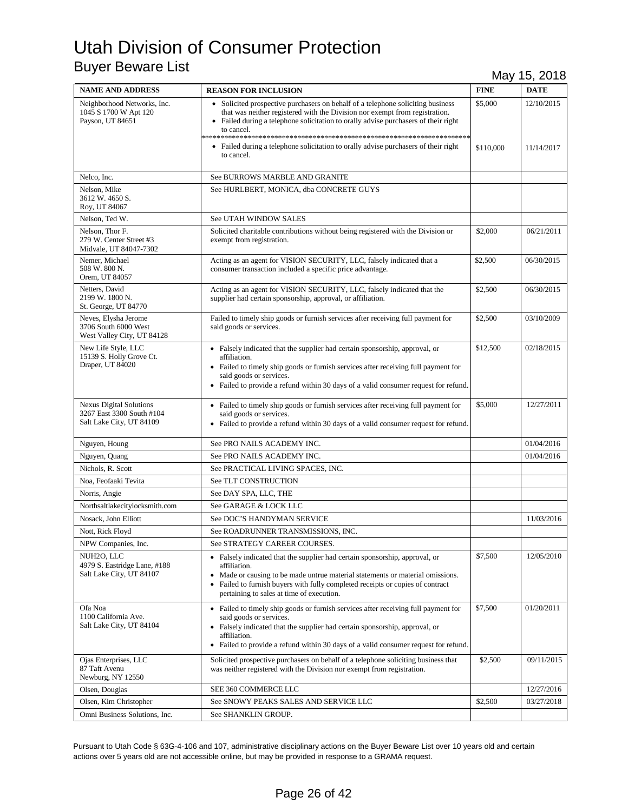| <b>NAME AND ADDRESS</b>                                                                 | <b>REASON FOR INCLUSION</b>                                                                                                                                                                                                                                                                                     | <b>FINE</b> | <b>DATE</b> |
|-----------------------------------------------------------------------------------------|-----------------------------------------------------------------------------------------------------------------------------------------------------------------------------------------------------------------------------------------------------------------------------------------------------------------|-------------|-------------|
| Neighborhood Networks, Inc.<br>1045 S 1700 W Apt 120<br>Payson, UT 84651                | • Solicited prospective purchasers on behalf of a telephone soliciting business<br>that was neither registered with the Division nor exempt from registration.<br>• Failed during a telephone solicitation to orally advise purchasers of their right<br>to cancel.                                             | \$5,000     | 12/10/2015  |
|                                                                                         | • Failed during a telephone solicitation to orally advise purchasers of their right<br>to cancel.                                                                                                                                                                                                               | \$110,000   | 11/14/2017  |
| Nelco, Inc.                                                                             | See BURROWS MARBLE AND GRANITE                                                                                                                                                                                                                                                                                  |             |             |
| Nelson, Mike<br>3612 W. 4650 S.<br>Roy, UT 84067                                        | See HURLBERT, MONICA, dba CONCRETE GUYS                                                                                                                                                                                                                                                                         |             |             |
| Nelson, Ted W.                                                                          | See UTAH WINDOW SALES                                                                                                                                                                                                                                                                                           |             |             |
| Nelson, Thor F.<br>279 W. Center Street #3<br>Midvale, UT 84047-7302                    | Solicited charitable contributions without being registered with the Division or<br>exempt from registration.                                                                                                                                                                                                   | \$2,000     | 06/21/2011  |
| Nemer, Michael<br>508 W. 800 N.<br>Orem, UT 84057                                       | Acting as an agent for VISION SECURITY, LLC, falsely indicated that a<br>consumer transaction included a specific price advantage.                                                                                                                                                                              | \$2,500     | 06/30/2015  |
| Netters, David<br>2199 W. 1800 N.<br>St. George, UT 84770                               | Acting as an agent for VISION SECURITY, LLC, falsely indicated that the<br>supplier had certain sponsorship, approval, or affiliation.                                                                                                                                                                          | \$2,500     | 06/30/2015  |
| Neves, Elysha Jerome<br>3706 South 6000 West<br>West Valley City, UT 84128              | Failed to timely ship goods or furnish services after receiving full payment for<br>said goods or services.                                                                                                                                                                                                     | \$2,500     | 03/10/2009  |
| New Life Style, LLC<br>15139 S. Holly Grove Ct.<br>Draper, UT 84020                     | • Falsely indicated that the supplier had certain sponsorship, approval, or<br>affiliation.<br>• Failed to timely ship goods or furnish services after receiving full payment for<br>said goods or services.<br>• Failed to provide a refund within 30 days of a valid consumer request for refund.             | \$12,500    | 02/18/2015  |
| <b>Nexus Digital Solutions</b><br>3267 East 3300 South #104<br>Salt Lake City, UT 84109 | • Failed to timely ship goods or furnish services after receiving full payment for<br>said goods or services.<br>• Failed to provide a refund within 30 days of a valid consumer request for refund.                                                                                                            | \$5,000     | 12/27/2011  |
| Nguyen, Houng                                                                           | See PRO NAILS ACADEMY INC.                                                                                                                                                                                                                                                                                      |             | 01/04/2016  |
| Nguyen, Quang                                                                           | See PRO NAILS ACADEMY INC.                                                                                                                                                                                                                                                                                      |             | 01/04/2016  |
| Nichols, R. Scott                                                                       | See PRACTICAL LIVING SPACES, INC.                                                                                                                                                                                                                                                                               |             |             |
| Noa, Feofaaki Tevita                                                                    | See TLT CONSTRUCTION                                                                                                                                                                                                                                                                                            |             |             |
| Norris, Angie                                                                           | See DAY SPA, LLC, THE                                                                                                                                                                                                                                                                                           |             |             |
| Northsaltlakecitylocksmith.com                                                          | See GARAGE & LOCK LLC                                                                                                                                                                                                                                                                                           |             |             |
| Nosack, John Elliott                                                                    | See DOC'S HANDYMAN SERVICE                                                                                                                                                                                                                                                                                      |             | 11/03/2016  |
| Nott, Rick Floyd                                                                        | See ROADRUNNER TRANSMISSIONS, INC.                                                                                                                                                                                                                                                                              |             |             |
| NPW Companies, Inc.                                                                     | See STRATEGY CAREER COURSES.                                                                                                                                                                                                                                                                                    |             |             |
| NUH <sub>2</sub> O, LLC<br>4979 S. Eastridge Lane, #188<br>Salt Lake City, UT 84107     | • Falsely indicated that the supplier had certain sponsorship, approval, or<br>affiliation.<br>• Made or causing to be made untrue material statements or material omissions.<br>Failed to furnish buyers with fully completed receipts or copies of contract<br>٠<br>pertaining to sales at time of execution. | \$7,500     | 12/05/2010  |
| Ofa Noa<br>1100 California Ave.<br>Salt Lake City, UT 84104                             | • Failed to timely ship goods or furnish services after receiving full payment for<br>said goods or services.<br>• Falsely indicated that the supplier had certain sponsorship, approval, or<br>affiliation.<br>• Failed to provide a refund within 30 days of a valid consumer request for refund.             | \$7,500     | 01/20/2011  |
| Ojas Enterprises, LLC<br>87 Taft Avenu<br>Newburg, NY 12550                             | Solicited prospective purchasers on behalf of a telephone soliciting business that<br>was neither registered with the Division nor exempt from registration.                                                                                                                                                    | \$2,500     | 09/11/2015  |
| Olsen, Douglas                                                                          | SEE 360 COMMERCE LLC                                                                                                                                                                                                                                                                                            |             | 12/27/2016  |
| Olsen, Kim Christopher                                                                  | See SNOWY PEAKS SALES AND SERVICE LLC                                                                                                                                                                                                                                                                           | \$2,500     | 03/27/2018  |
| Omni Business Solutions, Inc.                                                           | See SHANKLIN GROUP.                                                                                                                                                                                                                                                                                             |             |             |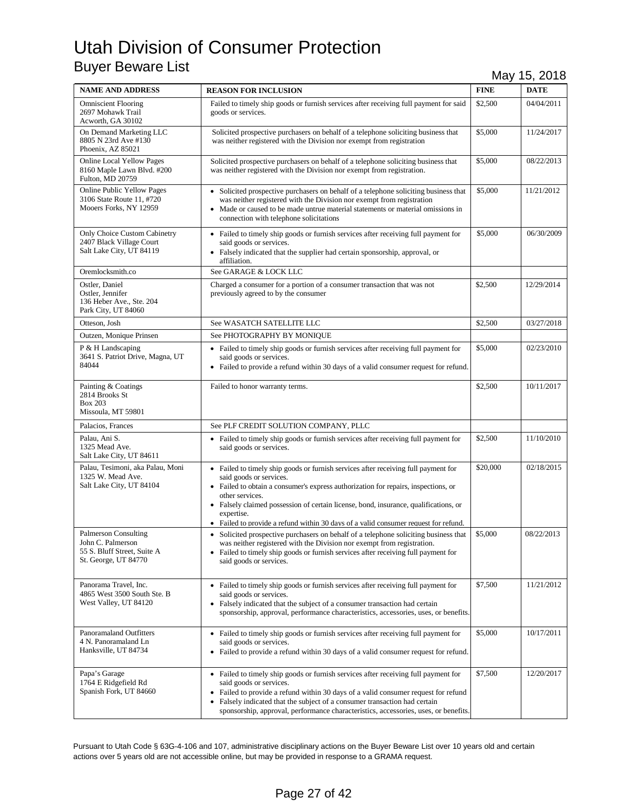| <b>NAME AND ADDRESS</b>                                                                                 | <b>REASON FOR INCLUSION</b>                                                                                                                                                                                                                                                                                                                                                                                         | <b>FINE</b> | <b>DATE</b> |
|---------------------------------------------------------------------------------------------------------|---------------------------------------------------------------------------------------------------------------------------------------------------------------------------------------------------------------------------------------------------------------------------------------------------------------------------------------------------------------------------------------------------------------------|-------------|-------------|
| <b>Omniscient Flooring</b><br>2697 Mohawk Trail<br>Acworth, GA 30102                                    | Failed to timely ship goods or furnish services after receiving full payment for said<br>goods or services.                                                                                                                                                                                                                                                                                                         | \$2,500     | 04/04/2011  |
| On Demand Marketing LLC<br>8805 N 23rd Ave #130<br>Phoenix, AZ 85021                                    | Solicited prospective purchasers on behalf of a telephone soliciting business that<br>was neither registered with the Division nor exempt from registration                                                                                                                                                                                                                                                         | \$5,000     | 11/24/2017  |
| <b>Online Local Yellow Pages</b><br>8160 Maple Lawn Blvd. #200<br>Fulton, MD 20759                      | Solicited prospective purchasers on behalf of a telephone soliciting business that<br>was neither registered with the Division nor exempt from registration.                                                                                                                                                                                                                                                        | \$5,000     | 08/22/2013  |
| <b>Online Public Yellow Pages</b><br>3106 State Route 11, #720<br>Mooers Forks, NY 12959                | • Solicited prospective purchasers on behalf of a telephone soliciting business that<br>was neither registered with the Division nor exempt from registration<br>• Made or caused to be made untrue material statements or material omissions in<br>connection with telephone solicitations                                                                                                                         | \$5,000     | 11/21/2012  |
| Only Choice Custom Cabinetry<br>2407 Black Village Court<br>Salt Lake City, UT 84119                    | • Failed to timely ship goods or furnish services after receiving full payment for<br>said goods or services.<br>• Falsely indicated that the supplier had certain sponsorship, approval, or<br>affiliation.                                                                                                                                                                                                        | \$5,000     | 06/30/2009  |
| Oremlocksmith.co                                                                                        | See GARAGE & LOCK LLC                                                                                                                                                                                                                                                                                                                                                                                               |             |             |
| Ostler, Daniel<br>Ostler, Jennifer<br>136 Heber Ave., Ste. 204<br>Park City, UT 84060                   | Charged a consumer for a portion of a consumer transaction that was not<br>previously agreed to by the consumer                                                                                                                                                                                                                                                                                                     | \$2,500     | 12/29/2014  |
| Otteson, Josh                                                                                           | See WASATCH SATELLITE LLC                                                                                                                                                                                                                                                                                                                                                                                           | \$2,500     | 03/27/2018  |
| Outzen, Monique Prinsen                                                                                 | See PHOTOGRAPHY BY MONIQUE                                                                                                                                                                                                                                                                                                                                                                                          |             |             |
| P & H Landscaping<br>3641 S. Patriot Drive, Magna, UT<br>84044                                          | • Failed to timely ship goods or furnish services after receiving full payment for<br>said goods or services.<br>• Failed to provide a refund within 30 days of a valid consumer request for refund.                                                                                                                                                                                                                | \$5,000     | 02/23/2010  |
| Painting & Coatings<br>2814 Brooks St<br><b>Box 203</b><br>Missoula, MT 59801                           | Failed to honor warranty terms.                                                                                                                                                                                                                                                                                                                                                                                     | \$2,500     | 10/11/2017  |
| Palacios, Frances                                                                                       | See PLF CREDIT SOLUTION COMPANY, PLLC                                                                                                                                                                                                                                                                                                                                                                               |             |             |
| Palau. Ani S.<br>1325 Mead Ave.<br>Salt Lake City, UT 84611                                             | • Failed to timely ship goods or furnish services after receiving full payment for<br>said goods or services.                                                                                                                                                                                                                                                                                                       | \$2,500     | 11/10/2010  |
| Palau, Tesimoni, aka Palau, Moni<br>1325 W. Mead Ave.<br>Salt Lake City, UT 84104                       | • Failed to timely ship goods or furnish services after receiving full payment for<br>said goods or services.<br>• Failed to obtain a consumer's express authorization for repairs, inspections, or<br>other services.<br>• Falsely claimed possession of certain license, bond, insurance, qualifications, or<br>expertise.<br>• Failed to provide a refund within 30 days of a valid consumer request for refund. | \$20,000    | 02/18/2015  |
| <b>Palmerson Consulting</b><br>John C. Palmerson<br>55 S. Bluff Street, Suite A<br>St. George, UT 84770 | • Solicited prospective purchasers on behalf of a telephone soliciting business that<br>was neither registered with the Division nor exempt from registration.<br>• Failed to timely ship goods or furnish services after receiving full payment for<br>said goods or services.                                                                                                                                     | \$5,000     | 08/22/2013  |
| Panorama Travel, Inc.<br>4865 West 3500 South Ste. B<br>West Valley, UT 84120                           | • Failed to timely ship goods or furnish services after receiving full payment for<br>said goods or services.<br>• Falsely indicated that the subject of a consumer transaction had certain<br>sponsorship, approval, performance characteristics, accessories, uses, or benefits.                                                                                                                                  | \$7,500     | 11/21/2012  |
| <b>Panoramaland Outfitters</b><br>4 N. Panoramaland Ln<br>Hanksville, UT 84734                          | • Failed to timely ship goods or furnish services after receiving full payment for<br>said goods or services.<br>• Failed to provide a refund within 30 days of a valid consumer request for refund.                                                                                                                                                                                                                | \$5,000     | 10/17/2011  |
| Papa's Garage<br>1764 E Ridgefield Rd<br>Spanish Fork, UT 84660                                         | • Failed to timely ship goods or furnish services after receiving full payment for<br>said goods or services.<br>• Failed to provide a refund within 30 days of a valid consumer request for refund<br>• Falsely indicated that the subject of a consumer transaction had certain<br>sponsorship, approval, performance characteristics, accessories, uses, or benefits.                                            | \$7,500     | 12/20/2017  |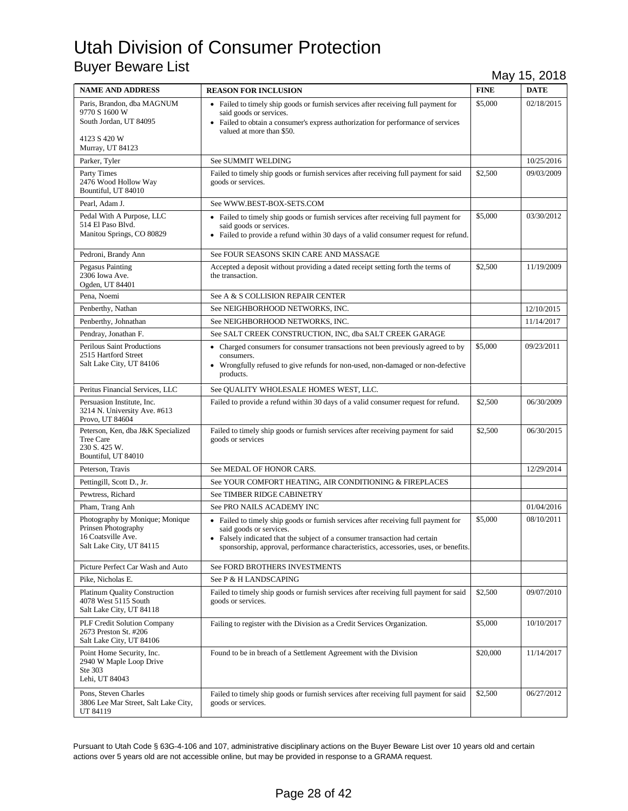| <b>NAME AND ADDRESS</b>                                                                                   | <b>REASON FOR INCLUSION</b>                                                                                                                                                                                                                                                        | <b>FINE</b> | <b>DATE</b> |
|-----------------------------------------------------------------------------------------------------------|------------------------------------------------------------------------------------------------------------------------------------------------------------------------------------------------------------------------------------------------------------------------------------|-------------|-------------|
| Paris, Brandon, dba MAGNUM<br>9770 S 1600 W<br>South Jordan, UT 84095<br>4123 S 420 W<br>Murray, UT 84123 | • Failed to timely ship goods or furnish services after receiving full payment for<br>said goods or services.<br>• Failed to obtain a consumer's express authorization for performance of services<br>valued at more than \$50.                                                    | \$5,000     | 02/18/2015  |
| Parker, Tyler                                                                                             | See SUMMIT WELDING                                                                                                                                                                                                                                                                 |             | 10/25/2016  |
| Party Times<br>2476 Wood Hollow Way<br>Bountiful, UT 84010                                                | Failed to timely ship goods or furnish services after receiving full payment for said<br>goods or services.                                                                                                                                                                        | \$2,500     | 09/03/2009  |
| Pearl, Adam J.                                                                                            | See WWW.BEST-BOX-SETS.COM                                                                                                                                                                                                                                                          |             |             |
| Pedal With A Purpose, LLC<br>514 El Paso Blvd.<br>Manitou Springs, CO 80829                               | • Failed to timely ship goods or furnish services after receiving full payment for<br>said goods or services.<br>• Failed to provide a refund within 30 days of a valid consumer request for refund.                                                                               | \$5,000     | 03/30/2012  |
| Pedroni, Brandy Ann                                                                                       | See FOUR SEASONS SKIN CARE AND MASSAGE                                                                                                                                                                                                                                             |             |             |
| Pegasus Painting<br>2306 Iowa Ave.<br>Ogden, UT 84401                                                     | Accepted a deposit without providing a dated receipt setting forth the terms of<br>the transaction.                                                                                                                                                                                | \$2,500     | 11/19/2009  |
| Pena, Noemi                                                                                               | See A & S COLLISION REPAIR CENTER                                                                                                                                                                                                                                                  |             |             |
| Penberthy, Nathan                                                                                         | See NEIGHBORHOOD NETWORKS, INC.                                                                                                                                                                                                                                                    |             | 12/10/2015  |
| Penberthy, Johnathan                                                                                      | See NEIGHBORHOOD NETWORKS, INC.                                                                                                                                                                                                                                                    |             | 11/14/2017  |
| Pendray, Jonathan F.                                                                                      | See SALT CREEK CONSTRUCTION, INC, dba SALT CREEK GARAGE                                                                                                                                                                                                                            |             |             |
| <b>Perilous Saint Productions</b><br>2515 Hartford Street<br>Salt Lake City, UT 84106                     | • Charged consumers for consumer transactions not been previously agreed to by<br>consumers.<br>• Wrongfully refused to give refunds for non-used, non-damaged or non-defective<br>products.                                                                                       | \$5,000     | 09/23/2011  |
| Peritus Financial Services, LLC                                                                           | See QUALITY WHOLESALE HOMES WEST, LLC.                                                                                                                                                                                                                                             |             |             |
| Persuasion Institute, Inc.<br>3214 N. University Ave. #613<br>Provo, UT 84604                             | Failed to provide a refund within 30 days of a valid consumer request for refund.                                                                                                                                                                                                  | \$2,500     | 06/30/2009  |
| Peterson, Ken, dba J&K Specialized<br>Tree Care<br>230 S. 425 W.<br>Bountiful, UT 84010                   | Failed to timely ship goods or furnish services after receiving payment for said<br>goods or services                                                                                                                                                                              | \$2,500     | 06/30/2015  |
| Peterson, Travis                                                                                          | See MEDAL OF HONOR CARS.                                                                                                                                                                                                                                                           |             | 12/29/2014  |
| Pettingill, Scott D., Jr.                                                                                 | See YOUR COMFORT HEATING, AIR CONDITIONING & FIREPLACES                                                                                                                                                                                                                            |             |             |
| Pewtress, Richard                                                                                         | See TIMBER RIDGE CABINETRY                                                                                                                                                                                                                                                         |             |             |
| Pham, Trang Anh                                                                                           | See PRO NAILS ACADEMY INC                                                                                                                                                                                                                                                          |             | 01/04/2016  |
| Photography by Monique; Monique<br>Prinsen Photography<br>16 Coatsville Ave.<br>Salt Lake City, UT 84115  | • Failed to timely ship goods or furnish services after receiving full payment for<br>said goods or services.<br>• Falsely indicated that the subject of a consumer transaction had certain<br>sponsorship, approval, performance characteristics, accessories, uses, or benefits. | \$5,000     | 08/10/2011  |
| Picture Perfect Car Wash and Auto                                                                         | See FORD BROTHERS INVESTMENTS                                                                                                                                                                                                                                                      |             |             |
| Pike, Nicholas E.                                                                                         | See P & H LANDSCAPING                                                                                                                                                                                                                                                              |             |             |
| <b>Platinum Quality Construction</b><br>4078 West 5115 South<br>Salt Lake City, UT 84118                  | Failed to timely ship goods or furnish services after receiving full payment for said<br>goods or services.                                                                                                                                                                        | \$2,500     | 09/07/2010  |
| <b>PLF Credit Solution Company</b><br>2673 Preston St. #206<br>Salt Lake City, UT 84106                   | Failing to register with the Division as a Credit Services Organization.                                                                                                                                                                                                           | \$5,000     | 10/10/2017  |
| Point Home Security, Inc.<br>2940 W Maple Loop Drive<br>Ste 303<br>Lehi, UT 84043                         | Found to be in breach of a Settlement Agreement with the Division                                                                                                                                                                                                                  | \$20,000    | 11/14/2017  |
| Pons, Steven Charles<br>3806 Lee Mar Street, Salt Lake City,<br>UT 84119                                  | Failed to timely ship goods or furnish services after receiving full payment for said<br>goods or services.                                                                                                                                                                        | \$2,500     | 06/27/2012  |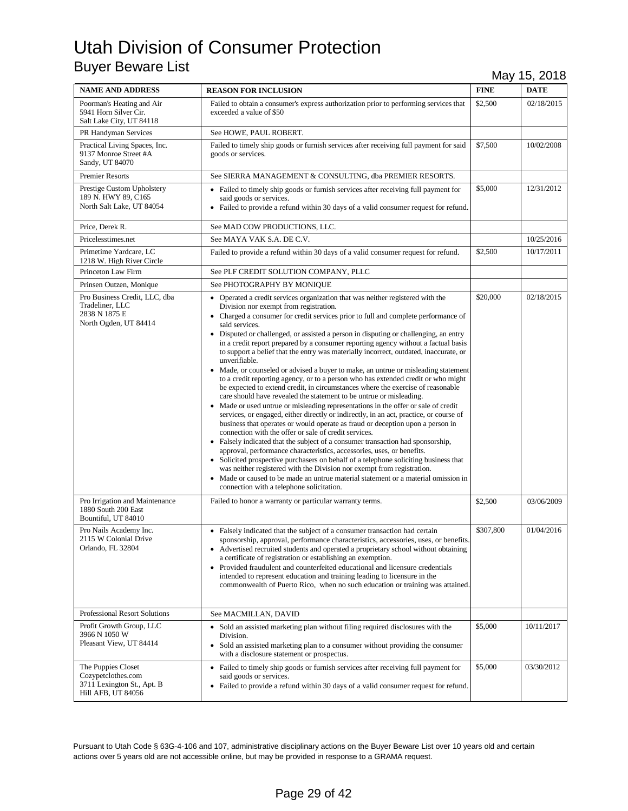| <b>NAME AND ADDRESS</b>                                                                      | <b>REASON FOR INCLUSION</b>                                                                                                                                                                                                                                                                                                                                                                                                                                                                                                                                                                                                                                                                                                                                                                                                                                                                                                                                                                                                                                                                                                                                                                                                                                                                                                                                                                                                                                                                                                                                                                                                                                | <b>FINE</b> | $\cdot$<br><b>DATE</b> |
|----------------------------------------------------------------------------------------------|------------------------------------------------------------------------------------------------------------------------------------------------------------------------------------------------------------------------------------------------------------------------------------------------------------------------------------------------------------------------------------------------------------------------------------------------------------------------------------------------------------------------------------------------------------------------------------------------------------------------------------------------------------------------------------------------------------------------------------------------------------------------------------------------------------------------------------------------------------------------------------------------------------------------------------------------------------------------------------------------------------------------------------------------------------------------------------------------------------------------------------------------------------------------------------------------------------------------------------------------------------------------------------------------------------------------------------------------------------------------------------------------------------------------------------------------------------------------------------------------------------------------------------------------------------------------------------------------------------------------------------------------------------|-------------|------------------------|
| Poorman's Heating and Air<br>5941 Horn Silver Cir.<br>Salt Lake City, UT 84118               | Failed to obtain a consumer's express authorization prior to performing services that<br>exceeded a value of \$50                                                                                                                                                                                                                                                                                                                                                                                                                                                                                                                                                                                                                                                                                                                                                                                                                                                                                                                                                                                                                                                                                                                                                                                                                                                                                                                                                                                                                                                                                                                                          | \$2,500     | 02/18/2015             |
| PR Handyman Services                                                                         | See HOWE, PAUL ROBERT.                                                                                                                                                                                                                                                                                                                                                                                                                                                                                                                                                                                                                                                                                                                                                                                                                                                                                                                                                                                                                                                                                                                                                                                                                                                                                                                                                                                                                                                                                                                                                                                                                                     |             |                        |
| Practical Living Spaces, Inc.<br>9137 Monroe Street #A<br>Sandy, UT 84070                    | Failed to timely ship goods or furnish services after receiving full payment for said<br>goods or services.                                                                                                                                                                                                                                                                                                                                                                                                                                                                                                                                                                                                                                                                                                                                                                                                                                                                                                                                                                                                                                                                                                                                                                                                                                                                                                                                                                                                                                                                                                                                                | \$7,500     | 10/02/2008             |
| <b>Premier Resorts</b>                                                                       | See SIERRA MANAGEMENT & CONSULTING, dba PREMIER RESORTS.                                                                                                                                                                                                                                                                                                                                                                                                                                                                                                                                                                                                                                                                                                                                                                                                                                                                                                                                                                                                                                                                                                                                                                                                                                                                                                                                                                                                                                                                                                                                                                                                   |             |                        |
| Prestige Custom Upholstery<br>189 N. HWY 89, C165<br>North Salt Lake, UT 84054               | • Failed to timely ship goods or furnish services after receiving full payment for<br>said goods or services.<br>• Failed to provide a refund within 30 days of a valid consumer request for refund.                                                                                                                                                                                                                                                                                                                                                                                                                                                                                                                                                                                                                                                                                                                                                                                                                                                                                                                                                                                                                                                                                                                                                                                                                                                                                                                                                                                                                                                       | \$5,000     | 12/31/2012             |
| Price, Derek R.                                                                              | See MAD COW PRODUCTIONS, LLC.                                                                                                                                                                                                                                                                                                                                                                                                                                                                                                                                                                                                                                                                                                                                                                                                                                                                                                                                                                                                                                                                                                                                                                                                                                                                                                                                                                                                                                                                                                                                                                                                                              |             |                        |
| Pricelesstimes.net                                                                           | See MAYA VAK S.A. DE C.V.                                                                                                                                                                                                                                                                                                                                                                                                                                                                                                                                                                                                                                                                                                                                                                                                                                                                                                                                                                                                                                                                                                                                                                                                                                                                                                                                                                                                                                                                                                                                                                                                                                  |             | 10/25/2016             |
| Primetime Yardcare, LC<br>1218 W. High River Circle                                          | Failed to provide a refund within 30 days of a valid consumer request for refund.                                                                                                                                                                                                                                                                                                                                                                                                                                                                                                                                                                                                                                                                                                                                                                                                                                                                                                                                                                                                                                                                                                                                                                                                                                                                                                                                                                                                                                                                                                                                                                          | \$2,500     | 10/17/2011             |
| Princeton Law Firm                                                                           | See PLF CREDIT SOLUTION COMPANY, PLLC                                                                                                                                                                                                                                                                                                                                                                                                                                                                                                                                                                                                                                                                                                                                                                                                                                                                                                                                                                                                                                                                                                                                                                                                                                                                                                                                                                                                                                                                                                                                                                                                                      |             |                        |
| Prinsen Outzen, Monique                                                                      | See PHOTOGRAPHY BY MONIQUE                                                                                                                                                                                                                                                                                                                                                                                                                                                                                                                                                                                                                                                                                                                                                                                                                                                                                                                                                                                                                                                                                                                                                                                                                                                                                                                                                                                                                                                                                                                                                                                                                                 |             |                        |
| Pro Business Credit, LLC, dba<br>Tradeliner, LLC<br>2838 N 1875 E<br>North Ogden, UT 84414   | • Operated a credit services organization that was neither registered with the<br>Division nor exempt from registration.<br>• Charged a consumer for credit services prior to full and complete performance of<br>said services.<br>• Disputed or challenged, or assisted a person in disputing or challenging, an entry<br>in a credit report prepared by a consumer reporting agency without a factual basis<br>to support a belief that the entry was materially incorrect, outdated, inaccurate, or<br>unverifiable.<br>• Made, or counseled or advised a buyer to make, an untrue or misleading statement<br>to a credit reporting agency, or to a person who has extended credit or who might<br>be expected to extend credit, in circumstances where the exercise of reasonable<br>care should have revealed the statement to be untrue or misleading.<br>• Made or used untrue or misleading representations in the offer or sale of credit<br>services, or engaged, either directly or indirectly, in an act, practice, or course of<br>business that operates or would operate as fraud or deception upon a person in<br>connection with the offer or sale of credit services.<br>• Falsely indicated that the subject of a consumer transaction had sponsorship,<br>approval, performance characteristics, accessories, uses, or benefits.<br>• Solicited prospective purchasers on behalf of a telephone soliciting business that<br>was neither registered with the Division nor exempt from registration.<br>• Made or caused to be made an untrue material statement or a material omission in<br>connection with a telephone solicitation. | \$20,000    | 02/18/2015             |
| Pro Irrigation and Maintenance<br>1880 South 200 East<br>Bountiful, UT 84010                 | Failed to honor a warranty or particular warranty terms.                                                                                                                                                                                                                                                                                                                                                                                                                                                                                                                                                                                                                                                                                                                                                                                                                                                                                                                                                                                                                                                                                                                                                                                                                                                                                                                                                                                                                                                                                                                                                                                                   | \$2,500     | 03/06/2009             |
| Pro Nails Academy Inc.<br>2115 W Colonial Drive<br>Orlando, FL 32804                         | • Falsely indicated that the subject of a consumer transaction had certain<br>sponsorship, approval, performance characteristics, accessories, uses, or benefits.<br>• Advertised recruited students and operated a proprietary school without obtaining<br>a certificate of registration or establishing an exemption.<br>• Provided fraudulent and counterfeited educational and licensure credentials<br>intended to represent education and training leading to licensure in the<br>commonwealth of Puerto Rico, when no such education or training was attained.                                                                                                                                                                                                                                                                                                                                                                                                                                                                                                                                                                                                                                                                                                                                                                                                                                                                                                                                                                                                                                                                                      | \$307,800   | 01/04/2016             |
| Professional Resort Solutions                                                                | See MACMILLAN, DAVID                                                                                                                                                                                                                                                                                                                                                                                                                                                                                                                                                                                                                                                                                                                                                                                                                                                                                                                                                                                                                                                                                                                                                                                                                                                                                                                                                                                                                                                                                                                                                                                                                                       |             |                        |
| Profit Growth Group, LLC<br>3966 N 1050 W<br>Pleasant View, UT 84414                         | • Sold an assisted marketing plan without filing required disclosures with the<br>Division.<br>Sold an assisted marketing plan to a consumer without providing the consumer<br>$\bullet$<br>with a disclosure statement or prospectus.                                                                                                                                                                                                                                                                                                                                                                                                                                                                                                                                                                                                                                                                                                                                                                                                                                                                                                                                                                                                                                                                                                                                                                                                                                                                                                                                                                                                                     | \$5,000     | 10/11/2017             |
| The Puppies Closet<br>Cozypetclothes.com<br>3711 Lexington St., Apt. B<br>Hill AFB, UT 84056 | • Failed to timely ship goods or furnish services after receiving full payment for<br>said goods or services.<br>• Failed to provide a refund within 30 days of a valid consumer request for refund.                                                                                                                                                                                                                                                                                                                                                                                                                                                                                                                                                                                                                                                                                                                                                                                                                                                                                                                                                                                                                                                                                                                                                                                                                                                                                                                                                                                                                                                       | \$5,000     | 03/30/2012             |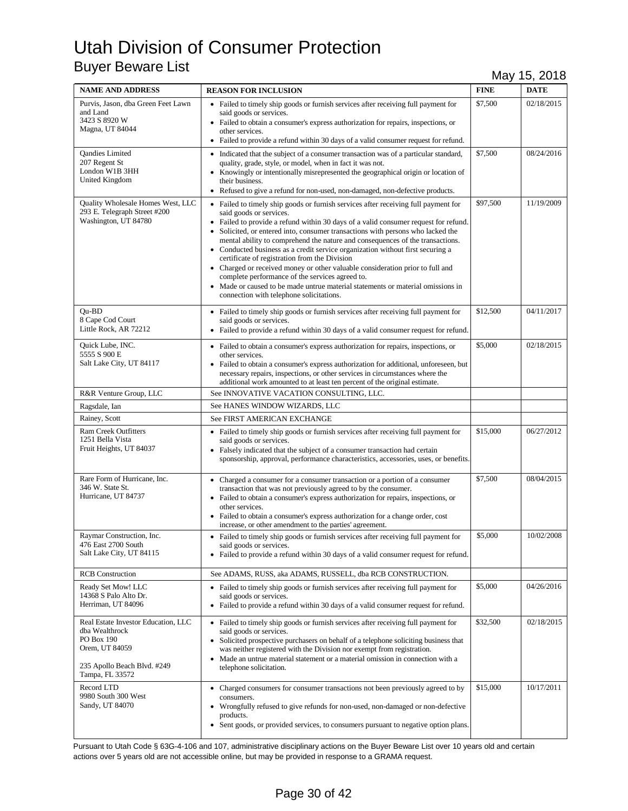| <b>NAME AND ADDRESS</b>                                                                                                                 | <b>REASON FOR INCLUSION</b>                                                                                                                                                                                                                                                                                                                                                                                                                                                                                                                                                                                                                                                                                                                                                    | <b>FINE</b> | <b>DATE</b> |
|-----------------------------------------------------------------------------------------------------------------------------------------|--------------------------------------------------------------------------------------------------------------------------------------------------------------------------------------------------------------------------------------------------------------------------------------------------------------------------------------------------------------------------------------------------------------------------------------------------------------------------------------------------------------------------------------------------------------------------------------------------------------------------------------------------------------------------------------------------------------------------------------------------------------------------------|-------------|-------------|
| Purvis, Jason, dba Green Feet Lawn<br>and Land<br>3423 S 8920 W<br>Magna, UT 84044                                                      | • Failed to timely ship goods or furnish services after receiving full payment for<br>said goods or services.<br>• Failed to obtain a consumer's express authorization for repairs, inspections, or<br>other services.<br>• Failed to provide a refund within 30 days of a valid consumer request for refund.                                                                                                                                                                                                                                                                                                                                                                                                                                                                  | \$7,500     | 02/18/2015  |
| Qandies Limited<br>207 Regent St<br>London W1B 3HH<br>United Kingdom                                                                    | • Indicated that the subject of a consumer transaction was of a particular standard,<br>quality, grade, style, or model, when in fact it was not.<br>• Knowingly or intentionally misrepresented the geographical origin or location of<br>their business.<br>• Refused to give a refund for non-used, non-damaged, non-defective products.                                                                                                                                                                                                                                                                                                                                                                                                                                    | \$7,500     | 08/24/2016  |
| Quality Wholesale Homes West, LLC<br>293 E. Telegraph Street #200<br>Washington, UT 84780                                               | • Failed to timely ship goods or furnish services after receiving full payment for<br>said goods or services.<br>• Failed to provide a refund within 30 days of a valid consumer request for refund.<br>• Solicited, or entered into, consumer transactions with persons who lacked the<br>mental ability to comprehend the nature and consequences of the transactions.<br>• Conducted business as a credit service organization without first securing a<br>certificate of registration from the Division<br>• Charged or received money or other valuable consideration prior to full and<br>complete performance of the services agreed to.<br>• Made or caused to be made untrue material statements or material omissions in<br>connection with telephone solicitations. | \$97,500    | 11/19/2009  |
| Ou-BD<br>8 Cape Cod Court<br>Little Rock, AR 72212                                                                                      | • Failed to timely ship goods or furnish services after receiving full payment for<br>said goods or services.<br>• Failed to provide a refund within 30 days of a valid consumer request for refund.                                                                                                                                                                                                                                                                                                                                                                                                                                                                                                                                                                           | \$12,500    | 04/11/2017  |
| Quick Lube, INC.<br>5555 S 900 E<br>Salt Lake City, UT 84117                                                                            | • Failed to obtain a consumer's express authorization for repairs, inspections, or<br>other services.<br>• Failed to obtain a consumer's express authorization for additional, unforeseen, but<br>necessary repairs, inspections, or other services in circumstances where the<br>additional work amounted to at least ten percent of the original estimate.                                                                                                                                                                                                                                                                                                                                                                                                                   | \$5,000     | 02/18/2015  |
| R&R Venture Group, LLC                                                                                                                  | See INNOVATIVE VACATION CONSULTING, LLC.                                                                                                                                                                                                                                                                                                                                                                                                                                                                                                                                                                                                                                                                                                                                       |             |             |
| Ragsdale, Ian                                                                                                                           | See HANES WINDOW WIZARDS, LLC                                                                                                                                                                                                                                                                                                                                                                                                                                                                                                                                                                                                                                                                                                                                                  |             |             |
| Rainey, Scott                                                                                                                           | See FIRST AMERICAN EXCHANGE                                                                                                                                                                                                                                                                                                                                                                                                                                                                                                                                                                                                                                                                                                                                                    |             |             |
| <b>Ram Creek Outfitters</b><br>1251 Bella Vista<br>Fruit Heights, UT 84037                                                              | • Failed to timely ship goods or furnish services after receiving full payment for<br>said goods or services.<br>• Falsely indicated that the subject of a consumer transaction had certain<br>sponsorship, approval, performance characteristics, accessories, uses, or benefits.                                                                                                                                                                                                                                                                                                                                                                                                                                                                                             | \$15,000    | 06/27/2012  |
| Rare Form of Hurricane, Inc.<br>346 W. State St.<br>Hurricane, UT 84737                                                                 | • Charged a consumer for a consumer transaction or a portion of a consumer<br>transaction that was not previously agreed to by the consumer.<br>• Failed to obtain a consumer's express authorization for repairs, inspections, or<br>other services.<br>• Failed to obtain a consumer's express authorization for a change order, cost<br>increase, or other amendment to the parties' agreement.                                                                                                                                                                                                                                                                                                                                                                             | \$7,500     | 08/04/2015  |
| Raymar Construction, Inc.<br>476 East 2700 South<br>Salt Lake City, UT 84115                                                            | • Failed to timely ship goods or furnish services after receiving full payment for<br>said goods or services.<br>• Failed to provide a refund within 30 days of a valid consumer request for refund.                                                                                                                                                                                                                                                                                                                                                                                                                                                                                                                                                                           | \$5,000     | 10/02/2008  |
| <b>RCB</b> Construction                                                                                                                 | See ADAMS, RUSS, aka ADAMS, RUSSELL, dba RCB CONSTRUCTION.                                                                                                                                                                                                                                                                                                                                                                                                                                                                                                                                                                                                                                                                                                                     |             |             |
| Ready Set Mow! LLC<br>14368 S Palo Alto Dr.<br>Herriman, UT 84096                                                                       | • Failed to timely ship goods or furnish services after receiving full payment for<br>said goods or services.<br>• Failed to provide a refund within 30 days of a valid consumer request for refund.                                                                                                                                                                                                                                                                                                                                                                                                                                                                                                                                                                           | \$5,000     | 04/26/2016  |
| Real Estate Investor Education, LLC<br>dba Wealthrock<br>PO Box 190<br>Orem, UT 84059<br>235 Apollo Beach Blvd. #249<br>Tampa, FL 33572 | • Failed to timely ship goods or furnish services after receiving full payment for<br>said goods or services.<br>• Solicited prospective purchasers on behalf of a telephone soliciting business that<br>was neither registered with the Division nor exempt from registration.<br>• Made an untrue material statement or a material omission in connection with a<br>telephone solicitation.                                                                                                                                                                                                                                                                                                                                                                                  | \$32,500    | 02/18/2015  |
| Record LTD<br>9980 South 300 West<br>Sandy, UT 84070                                                                                    | • Charged consumers for consumer transactions not been previously agreed to by<br>consumers.<br>• Wrongfully refused to give refunds for non-used, non-damaged or non-defective<br>products.<br>• Sent goods, or provided services, to consumers pursuant to negative option plans.                                                                                                                                                                                                                                                                                                                                                                                                                                                                                            | \$15,000    | 10/17/2011  |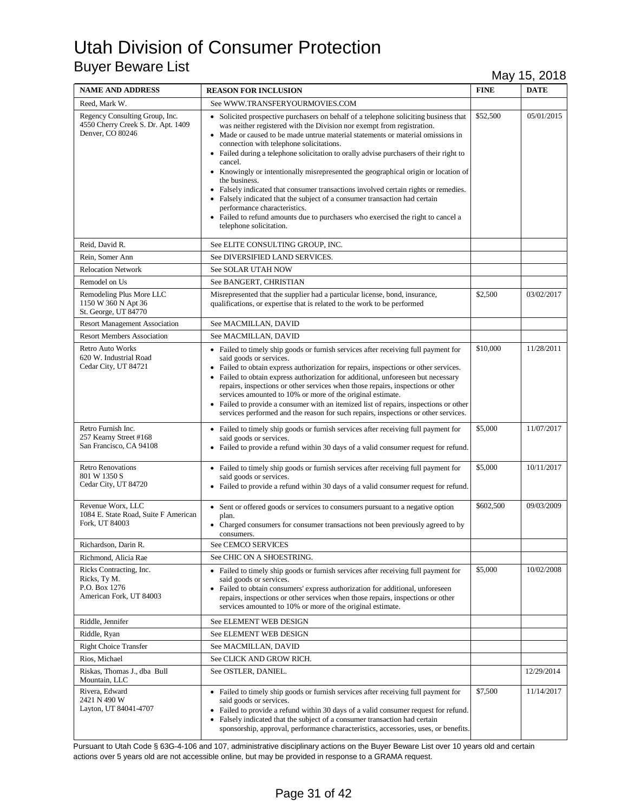| <b>NAME AND ADDRESS</b>                                                                  | <b>REASON FOR INCLUSION</b>                                                                                                                                                                                                                                                                                                                                                                                                                                                                                                                                                                                                                                                                                                                                                                                                   | <b>FINE</b> | <b>DATE</b> |
|------------------------------------------------------------------------------------------|-------------------------------------------------------------------------------------------------------------------------------------------------------------------------------------------------------------------------------------------------------------------------------------------------------------------------------------------------------------------------------------------------------------------------------------------------------------------------------------------------------------------------------------------------------------------------------------------------------------------------------------------------------------------------------------------------------------------------------------------------------------------------------------------------------------------------------|-------------|-------------|
| Reed, Mark W.                                                                            | See WWW.TRANSFERYOURMOVIES.COM                                                                                                                                                                                                                                                                                                                                                                                                                                                                                                                                                                                                                                                                                                                                                                                                |             |             |
| Regency Consulting Group, Inc.<br>4550 Cherry Creek S. Dr. Apt. 1409<br>Denver, CO 80246 | • Solicited prospective purchasers on behalf of a telephone soliciting business that<br>was neither registered with the Division nor exempt from registration.<br>• Made or caused to be made untrue material statements or material omissions in<br>connection with telephone solicitations.<br>• Failed during a telephone solicitation to orally advise purchasers of their right to<br>cancel.<br>• Knowingly or intentionally misrepresented the geographical origin or location of<br>the business.<br>• Falsely indicated that consumer transactions involved certain rights or remedies.<br>• Falsely indicated that the subject of a consumer transaction had certain<br>performance characteristics.<br>• Failed to refund amounts due to purchasers who exercised the right to cancel a<br>telephone solicitation. | \$52,500    | 05/01/2015  |
| Reid, David R.                                                                           | See ELITE CONSULTING GROUP, INC.                                                                                                                                                                                                                                                                                                                                                                                                                                                                                                                                                                                                                                                                                                                                                                                              |             |             |
| Rein, Somer Ann                                                                          | See DIVERSIFIED LAND SERVICES.                                                                                                                                                                                                                                                                                                                                                                                                                                                                                                                                                                                                                                                                                                                                                                                                |             |             |
| <b>Relocation Network</b>                                                                | See SOLAR UTAH NOW                                                                                                                                                                                                                                                                                                                                                                                                                                                                                                                                                                                                                                                                                                                                                                                                            |             |             |
| Remodel on Us                                                                            | See BANGERT, CHRISTIAN                                                                                                                                                                                                                                                                                                                                                                                                                                                                                                                                                                                                                                                                                                                                                                                                        |             |             |
| Remodeling Plus More LLC<br>1150 W 360 N Apt 36<br>St. George, UT 84770                  | Misrepresented that the supplier had a particular license, bond, insurance,<br>qualifications, or expertise that is related to the work to be performed                                                                                                                                                                                                                                                                                                                                                                                                                                                                                                                                                                                                                                                                       | \$2,500     | 03/02/2017  |
| <b>Resort Management Association</b>                                                     | See MACMILLAN, DAVID                                                                                                                                                                                                                                                                                                                                                                                                                                                                                                                                                                                                                                                                                                                                                                                                          |             |             |
| <b>Resort Members Association</b>                                                        | See MACMILLAN, DAVID                                                                                                                                                                                                                                                                                                                                                                                                                                                                                                                                                                                                                                                                                                                                                                                                          |             |             |
| <b>Retro Auto Works</b><br>620 W. Industrial Road<br>Cedar City, UT 84721                | • Failed to timely ship goods or furnish services after receiving full payment for<br>said goods or services.<br>• Failed to obtain express authorization for repairs, inspections or other services.<br>• Failed to obtain express authorization for additional, unforeseen but necessary<br>repairs, inspections or other services when those repairs, inspections or other<br>services amounted to 10% or more of the original estimate.<br>• Failed to provide a consumer with an itemized list of repairs, inspections or other<br>services performed and the reason for such repairs, inspections or other services.                                                                                                                                                                                                    | \$10,000    | 11/28/2011  |
| Retro Furnish Inc.<br>257 Kearny Street #168<br>San Francisco, CA 94108                  | • Failed to timely ship goods or furnish services after receiving full payment for<br>said goods or services.<br>• Failed to provide a refund within 30 days of a valid consumer request for refund.                                                                                                                                                                                                                                                                                                                                                                                                                                                                                                                                                                                                                          | \$5,000     | 11/07/2017  |
| <b>Retro Renovations</b><br>801 W 1350 S<br>Cedar City, UT 84720                         | • Failed to timely ship goods or furnish services after receiving full payment for<br>said goods or services.<br>• Failed to provide a refund within 30 days of a valid consumer request for refund.                                                                                                                                                                                                                                                                                                                                                                                                                                                                                                                                                                                                                          | \$5,000     | 10/11/2017  |
| Revenue Worx, LLC<br>1084 E. State Road, Suite F American<br>Fork, UT 84003              | • Sent or offered goods or services to consumers pursuant to a negative option<br>plan.<br>• Charged consumers for consumer transactions not been previously agreed to by<br>consumers.                                                                                                                                                                                                                                                                                                                                                                                                                                                                                                                                                                                                                                       | \$602,500   | 09/03/2009  |
| Richardson, Darin R.                                                                     | <b>See CEMCO SERVICES</b>                                                                                                                                                                                                                                                                                                                                                                                                                                                                                                                                                                                                                                                                                                                                                                                                     |             |             |
| Richmond, Alicia Rae                                                                     | See CHIC ON A SHOESTRING.                                                                                                                                                                                                                                                                                                                                                                                                                                                                                                                                                                                                                                                                                                                                                                                                     |             |             |
| Ricks Contracting, Inc.<br>Ricks, Ty M.<br>P.O. Box 1276<br>American Fork, UT 84003      | • Failed to timely ship goods or furnish services after receiving full payment for<br>said goods or services.<br>• Failed to obtain consumers' express authorization for additional, unforeseen<br>repairs, inspections or other services when those repairs, inspections or other<br>services amounted to 10% or more of the original estimate.                                                                                                                                                                                                                                                                                                                                                                                                                                                                              | \$5,000     | 10/02/2008  |
| Riddle, Jennifer                                                                         | See ELEMENT WEB DESIGN                                                                                                                                                                                                                                                                                                                                                                                                                                                                                                                                                                                                                                                                                                                                                                                                        |             |             |
| Riddle, Ryan                                                                             | See ELEMENT WEB DESIGN                                                                                                                                                                                                                                                                                                                                                                                                                                                                                                                                                                                                                                                                                                                                                                                                        |             |             |
| <b>Right Choice Transfer</b>                                                             | See MACMILLAN, DAVID                                                                                                                                                                                                                                                                                                                                                                                                                                                                                                                                                                                                                                                                                                                                                                                                          |             |             |
| Rios, Michael                                                                            | See CLICK AND GROW RICH.                                                                                                                                                                                                                                                                                                                                                                                                                                                                                                                                                                                                                                                                                                                                                                                                      |             |             |
| Riskas, Thomas J., dba Bull<br>Mountain, LLC                                             | See OSTLER, DANIEL.                                                                                                                                                                                                                                                                                                                                                                                                                                                                                                                                                                                                                                                                                                                                                                                                           |             | 12/29/2014  |
| Rivera, Edward<br>2421 N 490 W<br>Layton, UT 84041-4707                                  | • Failed to timely ship goods or furnish services after receiving full payment for<br>said goods or services.<br>• Failed to provide a refund within 30 days of a valid consumer request for refund.<br>• Falsely indicated that the subject of a consumer transaction had certain<br>sponsorship, approval, performance characteristics, accessories, uses, or benefits.                                                                                                                                                                                                                                                                                                                                                                                                                                                     | \$7,500     | 11/14/2017  |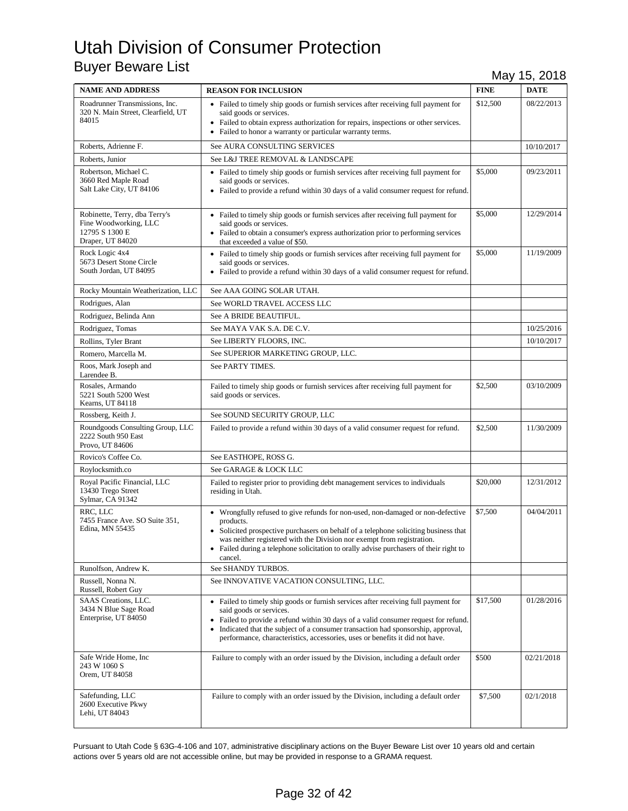| <b>NAME AND ADDRESS</b>                                                                      | <b>REASON FOR INCLUSION</b>                                                                                                                                                                                                                                                                                                                                                          | <b>FINE</b> | <b>DATE</b> |
|----------------------------------------------------------------------------------------------|--------------------------------------------------------------------------------------------------------------------------------------------------------------------------------------------------------------------------------------------------------------------------------------------------------------------------------------------------------------------------------------|-------------|-------------|
| Roadrunner Transmissions, Inc.<br>320 N. Main Street, Clearfield, UT<br>84015                | • Failed to timely ship goods or furnish services after receiving full payment for<br>said goods or services.<br>• Failed to obtain express authorization for repairs, inspections or other services.<br>• Failed to honor a warranty or particular warranty terms.                                                                                                                  | \$12,500    | 08/22/2013  |
| Roberts, Adrienne F.                                                                         | See AURA CONSULTING SERVICES                                                                                                                                                                                                                                                                                                                                                         |             | 10/10/2017  |
| Roberts, Junior                                                                              | See L&J TREE REMOVAL & LANDSCAPE                                                                                                                                                                                                                                                                                                                                                     |             |             |
| Robertson, Michael C.<br>3660 Red Maple Road<br>Salt Lake City, UT 84106                     | • Failed to timely ship goods or furnish services after receiving full payment for<br>said goods or services.<br>• Failed to provide a refund within 30 days of a valid consumer request for refund.                                                                                                                                                                                 | \$5,000     | 09/23/2011  |
| Robinette, Terry, dba Terry's<br>Fine Woodworking, LLC<br>12795 S 1300 E<br>Draper, UT 84020 | • Failed to timely ship goods or furnish services after receiving full payment for<br>said goods or services.<br>• Failed to obtain a consumer's express authorization prior to performing services<br>that exceeded a value of \$50.                                                                                                                                                | \$5,000     | 12/29/2014  |
| Rock Logic 4x4<br>5673 Desert Stone Circle<br>South Jordan, UT 84095                         | • Failed to timely ship goods or furnish services after receiving full payment for<br>said goods or services.<br>• Failed to provide a refund within 30 days of a valid consumer request for refund.                                                                                                                                                                                 | \$5,000     | 11/19/2009  |
| Rocky Mountain Weatherization, LLC                                                           | See AAA GOING SOLAR UTAH.                                                                                                                                                                                                                                                                                                                                                            |             |             |
| Rodrigues, Alan                                                                              | See WORLD TRAVEL ACCESS LLC                                                                                                                                                                                                                                                                                                                                                          |             |             |
| Rodriguez, Belinda Ann                                                                       | See A BRIDE BEAUTIFUL.                                                                                                                                                                                                                                                                                                                                                               |             |             |
| Rodriguez, Tomas                                                                             | See MAYA VAK S.A. DE C.V.                                                                                                                                                                                                                                                                                                                                                            |             | 10/25/2016  |
| Rollins, Tyler Brant                                                                         | See LIBERTY FLOORS, INC.                                                                                                                                                                                                                                                                                                                                                             |             | 10/10/2017  |
| Romero, Marcella M.                                                                          | See SUPERIOR MARKETING GROUP, LLC.                                                                                                                                                                                                                                                                                                                                                   |             |             |
| Roos, Mark Joseph and<br>Larendee B.                                                         | See PARTY TIMES.                                                                                                                                                                                                                                                                                                                                                                     |             |             |
| Rosales, Armando<br>5221 South 5200 West<br>Kearns, UT 84118                                 | Failed to timely ship goods or furnish services after receiving full payment for<br>said goods or services.                                                                                                                                                                                                                                                                          | \$2,500     | 03/10/2009  |
| Rossberg, Keith J.                                                                           | See SOUND SECURITY GROUP, LLC                                                                                                                                                                                                                                                                                                                                                        |             |             |
| Roundgoods Consulting Group, LLC<br>2222 South 950 East<br>Provo, UT 84606                   | Failed to provide a refund within 30 days of a valid consumer request for refund.                                                                                                                                                                                                                                                                                                    | \$2,500     | 11/30/2009  |
| Rovico's Coffee Co.                                                                          | See EASTHOPE, ROSS G.                                                                                                                                                                                                                                                                                                                                                                |             |             |
| Roylocksmith.co                                                                              | See GARAGE & LOCK LLC                                                                                                                                                                                                                                                                                                                                                                |             |             |
| Royal Pacific Financial, LLC<br>13430 Trego Street<br>Sylmar, CA 91342                       | Failed to register prior to providing debt management services to individuals<br>residing in Utah.                                                                                                                                                                                                                                                                                   | \$20,000    | 12/31/2012  |
| RRC, LLC<br>7455 France Ave. SO Suite 351,<br>Edina, MN 55435                                | • Wrongfully refused to give refunds for non-used, non-damaged or non-defective<br>products.<br>• Solicited prospective purchasers on behalf of a telephone soliciting business that<br>was neither registered with the Division nor exempt from registration.<br>• Failed during a telephone solicitation to orally advise purchasers of their right to<br>cancel.                  | \$7,500     | 04/04/2011  |
| Runolfson, Andrew K.                                                                         | See SHANDY TURBOS.                                                                                                                                                                                                                                                                                                                                                                   |             |             |
| Russell, Nonna N.<br>Russell, Robert Guy                                                     | See INNOVATIVE VACATION CONSULTING, LLC.                                                                                                                                                                                                                                                                                                                                             |             |             |
| SAAS Creations, LLC.<br>3434 N Blue Sage Road<br>Enterprise, UT 84050                        | • Failed to timely ship goods or furnish services after receiving full payment for<br>said goods or services.<br>• Failed to provide a refund within 30 days of a valid consumer request for refund.<br>Indicated that the subject of a consumer transaction had sponsorship, approval,<br>$\bullet$<br>performance, characteristics, accessories, uses or benefits it did not have. | \$17,500    | 01/28/2016  |
| Safe Wride Home, Inc.<br>243 W 1060 S<br>Orem, UT 84058                                      | Failure to comply with an order issued by the Division, including a default order                                                                                                                                                                                                                                                                                                    | \$500       | 02/21/2018  |
| Safefunding, LLC<br>2600 Executive Pkwy<br>Lehi, UT 84043                                    | Failure to comply with an order issued by the Division, including a default order                                                                                                                                                                                                                                                                                                    | \$7,500     | 02/1/2018   |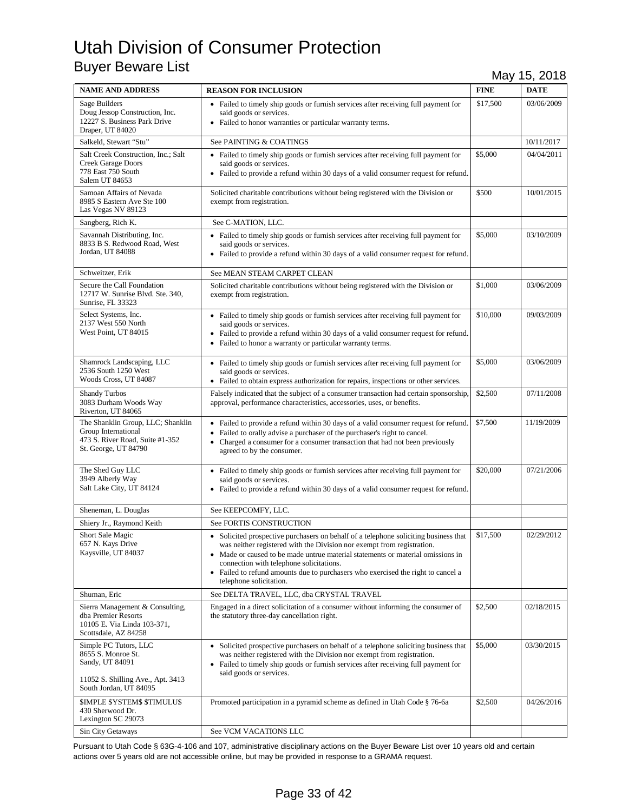| <b>NAME AND ADDRESS</b>                                                                                                       | <b>REASON FOR INCLUSION</b>                                                                                                                                                                                                                                                                                                                                                                                  | <b>FINE</b> | <b>DATE</b> |
|-------------------------------------------------------------------------------------------------------------------------------|--------------------------------------------------------------------------------------------------------------------------------------------------------------------------------------------------------------------------------------------------------------------------------------------------------------------------------------------------------------------------------------------------------------|-------------|-------------|
| Sage Builders<br>Doug Jessop Construction, Inc.<br>12227 S. Business Park Drive<br>Draper, UT 84020                           | • Failed to timely ship goods or furnish services after receiving full payment for<br>said goods or services.<br>• Failed to honor warranties or particular warranty terms.                                                                                                                                                                                                                                  | \$17,500    | 03/06/2009  |
| Salkeld, Stewart "Stu"                                                                                                        | See PAINTING & COATINGS                                                                                                                                                                                                                                                                                                                                                                                      |             | 10/11/2017  |
| Salt Creek Construction, Inc.; Salt<br><b>Creek Garage Doors</b><br>778 East 750 South<br>Salem UT 84653                      | • Failed to timely ship goods or furnish services after receiving full payment for<br>said goods or services.<br>• Failed to provide a refund within 30 days of a valid consumer request for refund.                                                                                                                                                                                                         | \$5,000     | 04/04/2011  |
| Samoan Affairs of Nevada<br>8985 S Eastern Ave Ste 100<br>Las Vegas NV 89123                                                  | Solicited charitable contributions without being registered with the Division or<br>exempt from registration.                                                                                                                                                                                                                                                                                                | \$500       | 10/01/2015  |
| Sangberg, Rich K.                                                                                                             | See C-MATION, LLC.                                                                                                                                                                                                                                                                                                                                                                                           |             |             |
| Savannah Distributing, Inc.<br>8833 B S. Redwood Road, West<br>Jordan, UT 84088                                               | • Failed to timely ship goods or furnish services after receiving full payment for<br>said goods or services.<br>• Failed to provide a refund within 30 days of a valid consumer request for refund.                                                                                                                                                                                                         | \$5,000     | 03/10/2009  |
| Schweitzer, Erik                                                                                                              | See MEAN STEAM CARPET CLEAN                                                                                                                                                                                                                                                                                                                                                                                  |             |             |
| Secure the Call Foundation<br>12717 W. Sunrise Blvd. Ste. 340,<br>Sunrise, FL 33323                                           | Solicited charitable contributions without being registered with the Division or<br>exempt from registration.                                                                                                                                                                                                                                                                                                | \$1,000     | 03/06/2009  |
| Select Systems, Inc.<br>2137 West 550 North<br>West Point, UT 84015                                                           | • Failed to timely ship goods or furnish services after receiving full payment for<br>said goods or services.<br>• Failed to provide a refund within 30 days of a valid consumer request for refund.<br>• Failed to honor a warranty or particular warranty terms.                                                                                                                                           | \$10,000    | 09/03/2009  |
| Shamrock Landscaping, LLC<br>2536 South 1250 West<br>Woods Cross, UT 84087                                                    | • Failed to timely ship goods or furnish services after receiving full payment for<br>said goods or services.<br>• Failed to obtain express authorization for repairs, inspections or other services.                                                                                                                                                                                                        | \$5,000     | 03/06/2009  |
| <b>Shandy Turbos</b><br>3083 Durham Woods Way<br>Riverton, UT 84065                                                           | Falsely indicated that the subject of a consumer transaction had certain sponsorship,<br>approval, performance characteristics, accessories, uses, or benefits.                                                                                                                                                                                                                                              | \$2,500     | 07/11/2008  |
| The Shanklin Group, LLC; Shanklin<br>Group International<br>473 S. River Road, Suite #1-352<br>St. George, UT 84790           | • Failed to provide a refund within 30 days of a valid consumer request for refund.<br>• Failed to orally advise a purchaser of the purchaser's right to cancel.<br>• Charged a consumer for a consumer transaction that had not been previously<br>agreed to by the consumer.                                                                                                                               | \$7,500     | 11/19/2009  |
| The Shed Guy LLC<br>3949 Alberly Way<br>Salt Lake City, UT 84124                                                              | • Failed to timely ship goods or furnish services after receiving full payment for<br>said goods or services.<br>• Failed to provide a refund within 30 days of a valid consumer request for refund.                                                                                                                                                                                                         | \$20,000    | 07/21/2006  |
| Sheneman, L. Douglas                                                                                                          | See KEEPCOMFY, LLC.                                                                                                                                                                                                                                                                                                                                                                                          |             |             |
| Shiery Jr., Raymond Keith                                                                                                     | <b>See FORTIS CONSTRUCTION</b>                                                                                                                                                                                                                                                                                                                                                                               |             |             |
| Short Sale Magic<br>657 N. Kays Drive<br>Kaysville, UT 84037                                                                  | • Solicited prospective purchasers on behalf of a telephone soliciting business that<br>was neither registered with the Division nor exempt from registration.<br>• Made or caused to be made untrue material statements or material omissions in<br>connection with telephone solicitations.<br>• Failed to refund amounts due to purchasers who exercised the right to cancel a<br>telephone solicitation. | \$17,500    | 02/29/2012  |
| Shuman, Eric                                                                                                                  | See DELTA TRAVEL, LLC, dba CRYSTAL TRAVEL                                                                                                                                                                                                                                                                                                                                                                    |             |             |
| Sierra Management & Consulting,<br>dba Premier Resorts<br>10105 E. Via Linda 103-371,<br>Scottsdale, AZ 84258                 | Engaged in a direct solicitation of a consumer without informing the consumer of<br>the statutory three-day cancellation right.                                                                                                                                                                                                                                                                              | \$2,500     | 02/18/2015  |
| Simple PC Tutors, LLC<br>8655 S. Monroe St.<br>Sandy, UT 84091<br>11052 S. Shilling Ave., Apt. 3413<br>South Jordan, UT 84095 | • Solicited prospective purchasers on behalf of a telephone soliciting business that<br>was neither registered with the Division nor exempt from registration.<br>• Failed to timely ship goods or furnish services after receiving full payment for<br>said goods or services.                                                                                                                              | \$5,000     | 03/30/2015  |
| <b>SIMPLE SYSTEMS STIMULUS</b><br>430 Sherwood Dr.<br>Lexington SC 29073                                                      | Promoted participation in a pyramid scheme as defined in Utah Code § 76-6a                                                                                                                                                                                                                                                                                                                                   | \$2,500     | 04/26/2016  |
| Sin City Getaways                                                                                                             | See VCM VACATIONS LLC                                                                                                                                                                                                                                                                                                                                                                                        |             |             |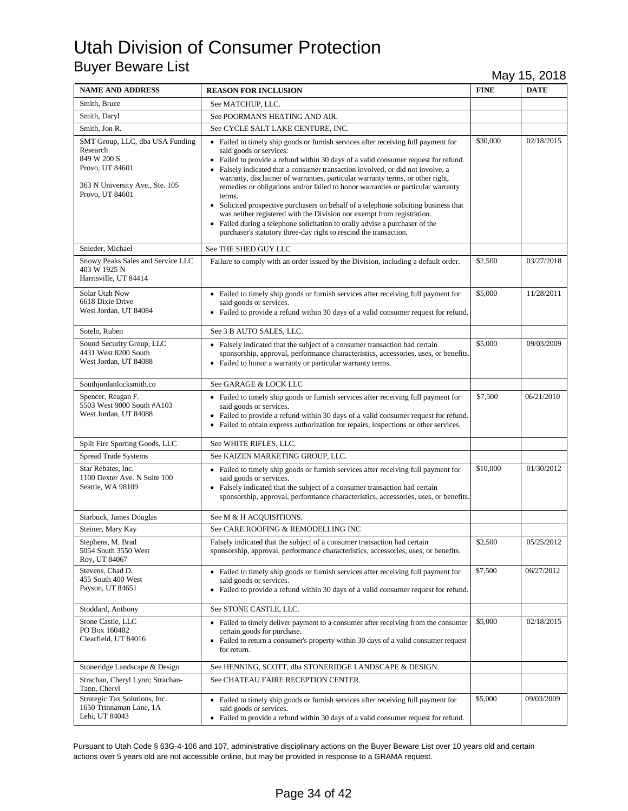| <b>NAME AND ADDRESS</b>                                                                                                             | <b>REASON FOR INCLUSION</b>                                                                                                                                                                                                                                                                                                                                                                                                                                                                                                                                                                                                                                                                                                                                                                    | <b>FINE</b> | <b>DATE</b> |
|-------------------------------------------------------------------------------------------------------------------------------------|------------------------------------------------------------------------------------------------------------------------------------------------------------------------------------------------------------------------------------------------------------------------------------------------------------------------------------------------------------------------------------------------------------------------------------------------------------------------------------------------------------------------------------------------------------------------------------------------------------------------------------------------------------------------------------------------------------------------------------------------------------------------------------------------|-------------|-------------|
| Smith, Bruce                                                                                                                        | See MATCHUP, LLC.                                                                                                                                                                                                                                                                                                                                                                                                                                                                                                                                                                                                                                                                                                                                                                              |             |             |
| Smith, Daryl                                                                                                                        | See POORMAN'S HEATING AND AIR.                                                                                                                                                                                                                                                                                                                                                                                                                                                                                                                                                                                                                                                                                                                                                                 |             |             |
| Smith, Jon R.                                                                                                                       | See CYCLE SALT LAKE CENTURE, INC.                                                                                                                                                                                                                                                                                                                                                                                                                                                                                                                                                                                                                                                                                                                                                              |             |             |
| SMT Group, LLC, dba USA Funding<br>Research<br>849 W 200 S<br>Provo, UT 84601<br>363 N University Ave., Ste. 105<br>Provo, UT 84601 | • Failed to timely ship goods or furnish services after receiving full payment for<br>said goods or services.<br>• Failed to provide a refund within 30 days of a valid consumer request for refund.<br>• Falsely indicated that a consumer transaction involved, or did not involve, a<br>warranty, disclaimer of warranties, particular warranty terms, or other right,<br>remedies or obligations and/or failed to honor warranties or particular warranty<br>terms.<br>• Solicited prospective purchasers on behalf of a telephone soliciting business that<br>was neither registered with the Division nor exempt from registration.<br>• Failed during a telephone solicitation to orally advise a purchaser of the<br>purchaser's statutory three-day right to rescind the transaction. | \$30,000    | 02/18/2015  |
| Snieder, Michael                                                                                                                    | See THE SHED GUY LLC                                                                                                                                                                                                                                                                                                                                                                                                                                                                                                                                                                                                                                                                                                                                                                           |             |             |
| Snowy Peaks Sales and Service LLC<br>403 W 1925 N<br>Harrisville, UT 84414                                                          | Failure to comply with an order issued by the Division, including a default order.                                                                                                                                                                                                                                                                                                                                                                                                                                                                                                                                                                                                                                                                                                             | \$2,500     | 03/27/2018  |
| Solar Utah Now<br>6618 Dixie Drive<br>West Jordan, UT 84084                                                                         | • Failed to timely ship goods or furnish services after receiving full payment for<br>said goods or services.<br>• Failed to provide a refund within 30 days of a valid consumer request for refund.                                                                                                                                                                                                                                                                                                                                                                                                                                                                                                                                                                                           | \$5,000     | 11/28/2011  |
| Sotelo, Ruben                                                                                                                       | See 3 B AUTO SALES, LLC.                                                                                                                                                                                                                                                                                                                                                                                                                                                                                                                                                                                                                                                                                                                                                                       |             |             |
| Sound Security Group, LLC<br>4431 West 8200 South<br>West Jordan, UT 84088                                                          | • Falsely indicated that the subject of a consumer transaction had certain<br>sponsorship, approval, performance characteristics, accessories, uses, or benefits.<br>• Failed to honor a warranty or particular warranty terms.                                                                                                                                                                                                                                                                                                                                                                                                                                                                                                                                                                | \$5,000     | 09/03/2009  |
| Southjordanlocksmith.co                                                                                                             | See GARAGE & LOCK LLC                                                                                                                                                                                                                                                                                                                                                                                                                                                                                                                                                                                                                                                                                                                                                                          |             |             |
| Spencer, Reagan F.<br>5503 West 9000 South #A103<br>West Jordan, UT 84088                                                           | • Failed to timely ship goods or furnish services after receiving full payment for<br>said goods or services.<br>• Failed to provide a refund within 30 days of a valid consumer request for refund.<br>• Failed to obtain express authorization for repairs, inspections or other services.                                                                                                                                                                                                                                                                                                                                                                                                                                                                                                   | \$7,500     | 06/21/2010  |
| Split Fire Sporting Goods, LLC                                                                                                      | See WHITE RIFLES, LLC.                                                                                                                                                                                                                                                                                                                                                                                                                                                                                                                                                                                                                                                                                                                                                                         |             |             |
| <b>Spread Trade Systems</b>                                                                                                         | See KAIZEN MARKETING GROUP, LLC.                                                                                                                                                                                                                                                                                                                                                                                                                                                                                                                                                                                                                                                                                                                                                               |             |             |
| Star Rebates, Inc.<br>1100 Dexter Ave. N Suite 100<br>Seattle, WA 98109                                                             | • Failed to timely ship goods or furnish services after receiving full payment for<br>said goods or services.<br>• Falsely indicated that the subject of a consumer transaction had certain<br>sponsorship, approval, performance characteristics, accessories, uses, or benefits.                                                                                                                                                                                                                                                                                                                                                                                                                                                                                                             | \$10,000    | 01/30/2012  |
| Starbuck, James Douglas                                                                                                             | See M & H ACQUISITIONS.                                                                                                                                                                                                                                                                                                                                                                                                                                                                                                                                                                                                                                                                                                                                                                        |             |             |
| Steiner, Mary Kay                                                                                                                   | See CARE ROOFING & REMODELLING INC                                                                                                                                                                                                                                                                                                                                                                                                                                                                                                                                                                                                                                                                                                                                                             |             |             |
| Stephens, M. Brad<br>5054 South 3550 West<br>Roy, UT 84067                                                                          | Falsely indicated that the subject of a consumer transaction had certain<br>sponsorship, approval, performance characteristics, accessories, uses, or benefits.                                                                                                                                                                                                                                                                                                                                                                                                                                                                                                                                                                                                                                | \$2,500     | 05/25/2012  |
| Stevens, Chad D.<br>455 South 400 West<br>Payson, UT 84651                                                                          | • Failed to timely ship goods or furnish services after receiving full payment for<br>said goods or services.<br>• Failed to provide a refund within 30 days of a valid consumer request for refund.                                                                                                                                                                                                                                                                                                                                                                                                                                                                                                                                                                                           | \$7,500     | 06/27/2012  |
| Stoddard, Anthony                                                                                                                   | See STONE CASTLE, LLC.                                                                                                                                                                                                                                                                                                                                                                                                                                                                                                                                                                                                                                                                                                                                                                         |             |             |
| Stone Castle, LLC<br>PO Box 160482<br>Clearfield, UT 84016                                                                          | • Failed to timely deliver payment to a consumer after receiving from the consumer<br>certain goods for purchase.<br>• Failed to return a consumer's property within 30 days of a valid consumer request<br>for return.                                                                                                                                                                                                                                                                                                                                                                                                                                                                                                                                                                        | \$5,000     | 02/18/2015  |
| Stoneridge Landscape & Design                                                                                                       | See HENNING, SCOTT, dba STONERIDGE LANDSCAPE & DESIGN.                                                                                                                                                                                                                                                                                                                                                                                                                                                                                                                                                                                                                                                                                                                                         |             |             |
| Strachan, Cheryl Lynn; Strachan-<br>Tapp, Cheryl                                                                                    | See CHATEAU FAIRE RECEPTION CENTER.                                                                                                                                                                                                                                                                                                                                                                                                                                                                                                                                                                                                                                                                                                                                                            |             |             |
| Strategic Tax Solutions, Inc.<br>1650 Trinnaman Lane, 1A<br>Lehi, UT 84043                                                          | • Failed to timely ship goods or furnish services after receiving full payment for<br>said goods or services.<br>• Failed to provide a refund within 30 days of a valid consumer request for refund.                                                                                                                                                                                                                                                                                                                                                                                                                                                                                                                                                                                           | \$5,000     | 09/03/2009  |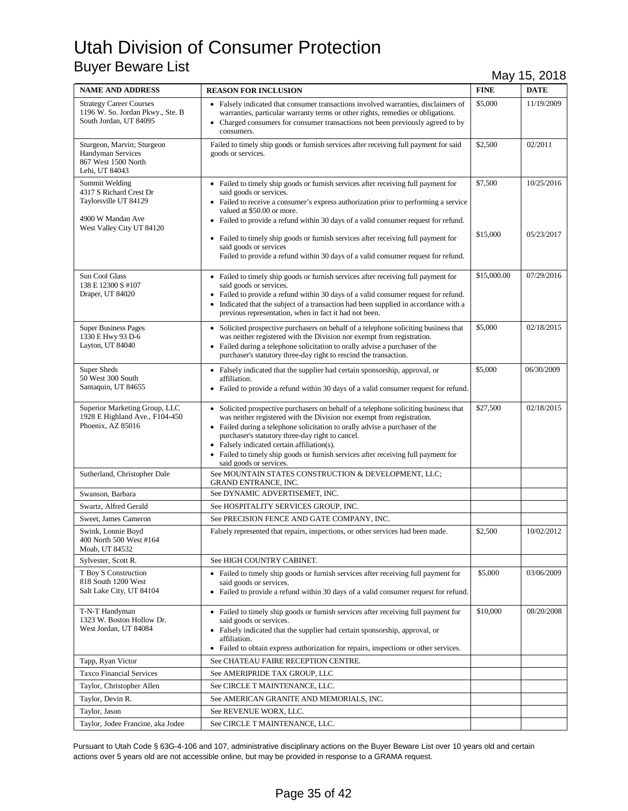| <b>NAME AND ADDRESS</b>                                                                                              | <b>REASON FOR INCLUSION</b>                                                                                                                                                                                                                                                                                                                                                                                                                                        | <b>FINE</b>         | <b>DATE</b>              |
|----------------------------------------------------------------------------------------------------------------------|--------------------------------------------------------------------------------------------------------------------------------------------------------------------------------------------------------------------------------------------------------------------------------------------------------------------------------------------------------------------------------------------------------------------------------------------------------------------|---------------------|--------------------------|
| <b>Strategy Career Courses</b><br>1196 W. So. Jordan Pkwy., Ste. B<br>South Jordan, UT 84095                         | • Falsely indicated that consumer transactions involved warranties, disclaimers of<br>warranties, particular warranty terms or other rights, remedies or obligations.<br>Charged consumers for consumer transactions not been previously agreed to by<br>consumers.                                                                                                                                                                                                | \$5,000             | 11/19/2009               |
| Sturgeon, Marvin; Sturgeon<br><b>Handyman Services</b><br>867 West 1500 North<br>Lehi, UT 84043                      | Failed to timely ship goods or furnish services after receiving full payment for said<br>goods or services.                                                                                                                                                                                                                                                                                                                                                        | \$2,500             | 02/2011                  |
| Summit Welding<br>4317 S Richard Crest Dr<br>Taylorsville UT 84129<br>4900 W Mandan Ave<br>West Valley City UT 84120 | • Failed to timely ship goods or furnish services after receiving full payment for<br>said goods or services.<br>• Failed to receive a consumer's express authorization prior to performing a service<br>valued at \$50.00 or more.<br>• Failed to provide a refund within 30 days of a valid consumer request for refund.<br>• Failed to timely ship goods or furnish services after receiving full payment for<br>said goods or services                         | \$7,500<br>\$15,000 | 10/25/2016<br>05/23/2017 |
| Sun Cool Glass<br>138 E 12300 S #107<br>Draper, UT 84020                                                             | Failed to provide a refund within 30 days of a valid consumer request for refund.<br>• Failed to timely ship goods or furnish services after receiving full payment for<br>said goods or services.<br>Failed to provide a refund within 30 days of a valid consumer request for refund.<br>Indicated that the subject of a transaction had been supplied in accordance with a<br>previous representation, when in fact it had not been.                            | \$15,000.00         | 07/29/2016               |
| <b>Super Business Pages</b><br>1330 E Hwy 93 D-6<br>Layton, UT 84040                                                 | • Solicited prospective purchasers on behalf of a telephone soliciting business that<br>was neither registered with the Division nor exempt from registration.<br>• Failed during a telephone solicitation to orally advise a purchaser of the<br>purchaser's statutory three-day right to rescind the transaction.                                                                                                                                                | \$5,000             | 02/18/2015               |
| Super Sheds<br>50 West 300 South<br>Santaquin, UT 84655                                                              | • Falsely indicated that the supplier had certain sponsorship, approval, or<br>affiliation.<br>• Failed to provide a refund within 30 days of a valid consumer request for refund.                                                                                                                                                                                                                                                                                 | \$5,000             | 06/30/2009               |
| Superior Marketing Group, LLC<br>1928 E Highland Ave., F104-450<br>Phoenix, AZ 85016                                 | • Solicited prospective purchasers on behalf of a telephone soliciting business that<br>was neither registered with the Division nor exempt from registration.<br>• Failed during a telephone solicitation to orally advise a purchaser of the<br>purchaser's statutory three-day right to cancel.<br>• Falsely indicated certain affiliation(s).<br>• Failed to timely ship goods or furnish services after receiving full payment for<br>said goods or services. | \$27,500            | 02/18/2015               |
| Sutherland, Christopher Dale                                                                                         | See MOUNTAIN STATES CONSTRUCTION & DEVELOPMENT, LLC;<br>GRAND ENTRANCE, INC.                                                                                                                                                                                                                                                                                                                                                                                       |                     |                          |
| Swanson, Barbara                                                                                                     | See DYNAMIC ADVERTISEMET, INC.                                                                                                                                                                                                                                                                                                                                                                                                                                     |                     |                          |
| Swartz, Alfred Gerald                                                                                                | See HOSPITALITY SERVICES GROUP, INC.                                                                                                                                                                                                                                                                                                                                                                                                                               |                     |                          |
| Sweet, James Cameron                                                                                                 | See PRECISION FENCE AND GATE COMPANY, INC.                                                                                                                                                                                                                                                                                                                                                                                                                         |                     |                          |
| Swink, Lonnie Boyd<br>400 North 500 West #164<br>Moab, UT 84532                                                      | Falsely represented that repairs, inspections, or other services had been made.                                                                                                                                                                                                                                                                                                                                                                                    | \$2,500             | 10/02/2012               |
| Sylvester, Scott R.                                                                                                  | See HIGH COUNTRY CABINET.                                                                                                                                                                                                                                                                                                                                                                                                                                          |                     |                          |
| T Boy S Construction<br>818 South 1200 West<br>Salt Lake City, UT 84104                                              | • Failed to timely ship goods or furnish services after receiving full payment for<br>said goods or services.<br>• Failed to provide a refund within 30 days of a valid consumer request for refund.                                                                                                                                                                                                                                                               | \$5,000             | 03/06/2009               |
| T-N-T Handyman<br>1323 W. Boston Hollow Dr.<br>West Jordan, UT 84084                                                 | • Failed to timely ship goods or furnish services after receiving full payment for<br>said goods or services.<br>• Falsely indicated that the supplier had certain sponsorship, approval, or<br>affiliation.<br>• Failed to obtain express authorization for repairs, inspections or other services.                                                                                                                                                               | \$10,000            | 08/20/2008               |
| Tapp, Ryan Victor                                                                                                    | See CHATEAU FAIRE RECEPTION CENTRE.                                                                                                                                                                                                                                                                                                                                                                                                                                |                     |                          |
| <b>Taxco Financial Services</b>                                                                                      | See AMERIPRIDE TAX GROUP, LLC                                                                                                                                                                                                                                                                                                                                                                                                                                      |                     |                          |
| Taylor, Christopher Allen                                                                                            | See CIRCLE T MAINTENANCE, LLC.                                                                                                                                                                                                                                                                                                                                                                                                                                     |                     |                          |
| Taylor, Devin R.                                                                                                     | See AMERICAN GRANITE AND MEMORIALS, INC.                                                                                                                                                                                                                                                                                                                                                                                                                           |                     |                          |
| Taylor, Jason                                                                                                        | See REVENUE WORX, LLC.                                                                                                                                                                                                                                                                                                                                                                                                                                             |                     |                          |
| Taylor, Jodee Francine, aka Jodee                                                                                    | See CIRCLE T MAINTENANCE, LLC.                                                                                                                                                                                                                                                                                                                                                                                                                                     |                     |                          |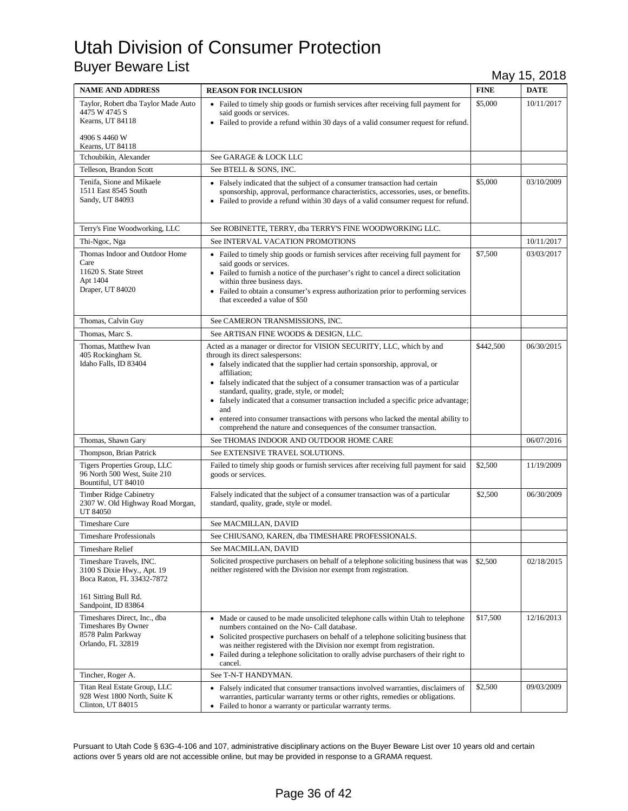| <b>NAME AND ADDRESS</b>                                                                                                           | <b>REASON FOR INCLUSION</b>                                                                                                                                                                                                                                                                                                                                                                                                                                                                                                                                                                            | <b>FINE</b> | <b>DATE</b> |
|-----------------------------------------------------------------------------------------------------------------------------------|--------------------------------------------------------------------------------------------------------------------------------------------------------------------------------------------------------------------------------------------------------------------------------------------------------------------------------------------------------------------------------------------------------------------------------------------------------------------------------------------------------------------------------------------------------------------------------------------------------|-------------|-------------|
| Taylor, Robert dba Taylor Made Auto<br>4475 W 4745 S<br>Kearns, UT 84118<br>4906 S 4460 W                                         | • Failed to timely ship goods or furnish services after receiving full payment for<br>said goods or services.<br>• Failed to provide a refund within 30 days of a valid consumer request for refund.                                                                                                                                                                                                                                                                                                                                                                                                   | \$5,000     | 10/11/2017  |
| Kearns, UT 84118                                                                                                                  |                                                                                                                                                                                                                                                                                                                                                                                                                                                                                                                                                                                                        |             |             |
| Tchoubikin, Alexander                                                                                                             | See GARAGE & LOCK LLC                                                                                                                                                                                                                                                                                                                                                                                                                                                                                                                                                                                  |             |             |
| Telleson, Brandon Scott                                                                                                           | See BTELL & SONS, INC.                                                                                                                                                                                                                                                                                                                                                                                                                                                                                                                                                                                 |             |             |
| Tenifa, Sione and Mikaele<br>1511 East 8545 South<br>Sandy, UT 84093                                                              | • Falsely indicated that the subject of a consumer transaction had certain<br>sponsorship, approval, performance characteristics, accessories, uses, or benefits.<br>• Failed to provide a refund within 30 days of a valid consumer request for refund.                                                                                                                                                                                                                                                                                                                                               | \$5,000     | 03/10/2009  |
| Terry's Fine Woodworking, LLC                                                                                                     | See ROBINETTE, TERRY, dba TERRY'S FINE WOODWORKING LLC.                                                                                                                                                                                                                                                                                                                                                                                                                                                                                                                                                |             |             |
| Thi-Ngoc, Nga                                                                                                                     | See INTERVAL VACATION PROMOTIONS                                                                                                                                                                                                                                                                                                                                                                                                                                                                                                                                                                       |             | 10/11/2017  |
| Thomas Indoor and Outdoor Home<br>Care<br>11620 S. State Street<br>Apt 1404<br>Draper, UT 84020                                   | • Failed to timely ship goods or furnish services after receiving full payment for<br>said goods or services.<br>• Failed to furnish a notice of the purchaser's right to cancel a direct solicitation<br>within three business days.<br>• Failed to obtain a consumer's express authorization prior to performing services<br>that exceeded a value of \$50                                                                                                                                                                                                                                           | \$7,500     | 03/03/2017  |
| Thomas, Calvin Guy                                                                                                                | See CAMERON TRANSMISSIONS, INC.                                                                                                                                                                                                                                                                                                                                                                                                                                                                                                                                                                        |             |             |
| Thomas, Marc S.                                                                                                                   | See ARTISAN FINE WOODS & DESIGN, LLC.                                                                                                                                                                                                                                                                                                                                                                                                                                                                                                                                                                  |             |             |
| Thomas, Matthew Ivan<br>405 Rockingham St.<br>Idaho Falls, ID 83404                                                               | Acted as a manager or director for VISION SECURITY, LLC, which by and<br>through its direct salespersons:<br>• falsely indicated that the supplier had certain sponsorship, approval, or<br>affiliation;<br>• falsely indicated that the subject of a consumer transaction was of a particular<br>standard, quality, grade, style, or model;<br>• falsely indicated that a consumer transaction included a specific price advantage;<br>and<br>entered into consumer transactions with persons who lacked the mental ability to<br>comprehend the nature and consequences of the consumer transaction. | \$442,500   | 06/30/2015  |
| Thomas, Shawn Gary                                                                                                                | See THOMAS INDOOR AND OUTDOOR HOME CARE                                                                                                                                                                                                                                                                                                                                                                                                                                                                                                                                                                |             | 06/07/2016  |
| Thompson, Brian Patrick                                                                                                           | See EXTENSIVE TRAVEL SOLUTIONS.                                                                                                                                                                                                                                                                                                                                                                                                                                                                                                                                                                        |             |             |
| Tigers Properties Group, LLC<br>96 North 500 West, Suite 210<br>Bountiful, UT 84010                                               | Failed to timely ship goods or furnish services after receiving full payment for said<br>goods or services.                                                                                                                                                                                                                                                                                                                                                                                                                                                                                            | \$2,500     | 11/19/2009  |
| Timber Ridge Cabinetry<br>2307 W. Old Highway Road Morgan,<br>UT 84050                                                            | Falsely indicated that the subject of a consumer transaction was of a particular<br>standard, quality, grade, style or model.                                                                                                                                                                                                                                                                                                                                                                                                                                                                          | \$2,500     | 06/30/2009  |
| <b>Timeshare Cure</b>                                                                                                             | See MACMILLAN, DAVID                                                                                                                                                                                                                                                                                                                                                                                                                                                                                                                                                                                   |             |             |
| Timeshare Professionals                                                                                                           | See CHIUSANO, KAREN, dba TIMESHARE PROFESSIONALS.                                                                                                                                                                                                                                                                                                                                                                                                                                                                                                                                                      |             |             |
| <b>Timeshare Relief</b>                                                                                                           | See MACMILLAN, DAVID                                                                                                                                                                                                                                                                                                                                                                                                                                                                                                                                                                                   |             |             |
| Timeshare Travels, INC.<br>3100 S Dixie Hwy., Apt. 19<br>Boca Raton, FL 33432-7872<br>161 Sitting Bull Rd.<br>Sandpoint, ID 83864 | Solicited prospective purchasers on behalf of a telephone soliciting business that was<br>neither registered with the Division nor exempt from registration.                                                                                                                                                                                                                                                                                                                                                                                                                                           | \$2,500     | 02/18/2015  |
| Timeshares Direct, Inc., dba<br>Timeshares By Owner<br>8578 Palm Parkway<br>Orlando, FL 32819                                     | • Made or caused to be made unsolicited telephone calls within Utah to telephone<br>numbers contained on the No- Call database.<br>• Solicited prospective purchasers on behalf of a telephone soliciting business that<br>was neither registered with the Division nor exempt from registration.<br>• Failed during a telephone solicitation to orally advise purchasers of their right to<br>cancel.                                                                                                                                                                                                 | \$17,500    | 12/16/2013  |
| Tincher, Roger A.                                                                                                                 | See T-N-T HANDYMAN.                                                                                                                                                                                                                                                                                                                                                                                                                                                                                                                                                                                    |             |             |
| Titan Real Estate Group, LLC<br>928 West 1800 North, Suite K<br>Clinton, UT 84015                                                 | • Falsely indicated that consumer transactions involved warranties, disclaimers of<br>warranties, particular warranty terms or other rights, remedies or obligations.<br>• Failed to honor a warranty or particular warranty terms.                                                                                                                                                                                                                                                                                                                                                                    | \$2,500     | 09/03/2009  |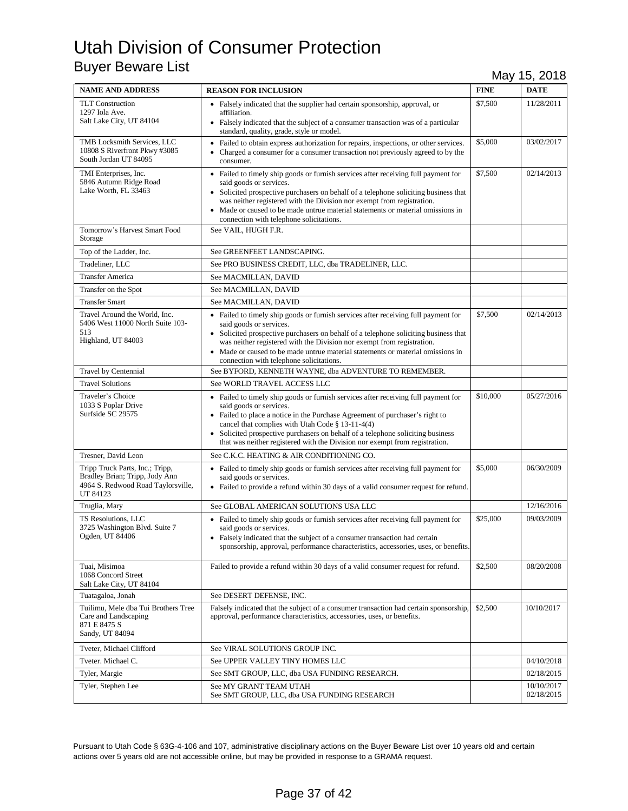| <b>NAME AND ADDRESS</b>                                                                                             | <b>REASON FOR INCLUSION</b>                                                                                                                                                                                                                                                                                                                                                                                         | <b>FINE</b> | <b>DATE</b>              |
|---------------------------------------------------------------------------------------------------------------------|---------------------------------------------------------------------------------------------------------------------------------------------------------------------------------------------------------------------------------------------------------------------------------------------------------------------------------------------------------------------------------------------------------------------|-------------|--------------------------|
| <b>TLT</b> Construction<br>1297 Iola Ave.<br>Salt Lake City, UT 84104                                               | • Falsely indicated that the supplier had certain sponsorship, approval, or<br>affiliation.<br>• Falsely indicated that the subject of a consumer transaction was of a particular<br>standard, quality, grade, style or model.                                                                                                                                                                                      | \$7,500     | 11/28/2011               |
| TMB Locksmith Services, LLC<br>10808 S Riverfront Pkwy #3085<br>South Jordan UT 84095                               | • Failed to obtain express authorization for repairs, inspections, or other services.<br>• Charged a consumer for a consumer transaction not previously agreed to by the<br>consumer.                                                                                                                                                                                                                               | \$5,000     | 03/02/2017               |
| TMI Enterprises, Inc.<br>5846 Autumn Ridge Road<br>Lake Worth, FL 33463                                             | • Failed to timely ship goods or furnish services after receiving full payment for<br>said goods or services.<br>• Solicited prospective purchasers on behalf of a telephone soliciting business that<br>was neither registered with the Division nor exempt from registration.<br>Made or caused to be made untrue material statements or material omissions in<br>connection with telephone solicitations.        | \$7,500     | 02/14/2013               |
| Tomorrow's Harvest Smart Food<br>Storage                                                                            | See VAIL, HUGH F.R.                                                                                                                                                                                                                                                                                                                                                                                                 |             |                          |
| Top of the Ladder, Inc.                                                                                             | See GREENFEET LANDSCAPING.                                                                                                                                                                                                                                                                                                                                                                                          |             |                          |
| Tradeliner, LLC                                                                                                     | See PRO BUSINESS CREDIT, LLC, dba TRADELINER, LLC.                                                                                                                                                                                                                                                                                                                                                                  |             |                          |
| <b>Transfer America</b>                                                                                             | See MACMILLAN, DAVID                                                                                                                                                                                                                                                                                                                                                                                                |             |                          |
| Transfer on the Spot                                                                                                | See MACMILLAN, DAVID                                                                                                                                                                                                                                                                                                                                                                                                |             |                          |
| <b>Transfer Smart</b>                                                                                               | See MACMILLAN, DAVID                                                                                                                                                                                                                                                                                                                                                                                                |             |                          |
| Travel Around the World, Inc.<br>5406 West 11000 North Suite 103-<br>513<br>Highland, UT 84003                      | • Failed to timely ship goods or furnish services after receiving full payment for<br>said goods or services.<br>• Solicited prospective purchasers on behalf of a telephone soliciting business that<br>was neither registered with the Division nor exempt from registration.<br>Made or caused to be made untrue material statements or material omissions in<br>connection with telephone solicitations.        | \$7,500     | 02/14/2013               |
| Travel by Centennial                                                                                                | See BYFORD, KENNETH WAYNE, dba ADVENTURE TO REMEMBER.                                                                                                                                                                                                                                                                                                                                                               |             |                          |
| <b>Travel Solutions</b>                                                                                             | See WORLD TRAVEL ACCESS LLC                                                                                                                                                                                                                                                                                                                                                                                         |             |                          |
| Traveler's Choice<br>1033 S Poplar Drive<br>Surfside SC 29575                                                       | • Failed to timely ship goods or furnish services after receiving full payment for<br>said goods or services.<br>• Failed to place a notice in the Purchase Agreement of purchaser's right to<br>cancel that complies with Utah Code § 13-11-4(4)<br>• Solicited prospective purchasers on behalf of a telephone soliciting business<br>that was neither registered with the Division nor exempt from registration. | \$10,000    | 05/27/2016               |
| Tresner, David Leon                                                                                                 | See C.K.C. HEATING & AIR CONDITIONING CO.                                                                                                                                                                                                                                                                                                                                                                           |             |                          |
| Tripp Truck Parts, Inc.; Tripp,<br>Bradley Brian; Tripp, Jody Ann<br>4964 S. Redwood Road Taylorsville,<br>UT 84123 | • Failed to timely ship goods or furnish services after receiving full payment for<br>said goods or services.<br>• Failed to provide a refund within 30 days of a valid consumer request for refund.                                                                                                                                                                                                                | \$5,000     | 06/30/2009               |
| Truglia, Mary                                                                                                       | See GLOBAL AMERICAN SOLUTIONS USA LLC                                                                                                                                                                                                                                                                                                                                                                               |             | 12/16/2016               |
| TS Resolutions, LLC<br>3725 Washington Blvd. Suite 7<br>Ogden, UT 84406                                             | • Failed to timely ship goods or furnish services after receiving full payment for<br>said goods or services.<br>• Falsely indicated that the subject of a consumer transaction had certain<br>sponsorship, approval, performance characteristics, accessories, uses, or benefits.                                                                                                                                  | \$25,000    | 09/03/2009               |
| Tuai, Misimoa<br>1068 Concord Street<br>Salt Lake City, UT 84104                                                    | Failed to provide a refund within 30 days of a valid consumer request for refund.                                                                                                                                                                                                                                                                                                                                   | \$2,500     | 08/20/2008               |
| Tuatagaloa, Jonah                                                                                                   | See DESERT DEFENSE, INC.                                                                                                                                                                                                                                                                                                                                                                                            |             |                          |
| Tuilimu, Mele dba Tui Brothers Tree<br>Care and Landscaping<br>871 E 8475 S<br>Sandy, UT 84094                      | Falsely indicated that the subject of a consumer transaction had certain sponsorship,<br>approval, performance characteristics, accessories, uses, or benefits.                                                                                                                                                                                                                                                     | \$2,500     | 10/10/2017               |
| Tveter, Michael Clifford                                                                                            | See VIRAL SOLUTIONS GROUP INC.                                                                                                                                                                                                                                                                                                                                                                                      |             |                          |
| Tveter. Michael C.                                                                                                  | See UPPER VALLEY TINY HOMES LLC                                                                                                                                                                                                                                                                                                                                                                                     |             | 04/10/2018               |
| Tyler, Margie                                                                                                       | See SMT GROUP, LLC, dba USA FUNDING RESEARCH.                                                                                                                                                                                                                                                                                                                                                                       |             | 02/18/2015               |
| Tyler, Stephen Lee                                                                                                  | See MY GRANT TEAM UTAH<br>See SMT GROUP, LLC, dba USA FUNDING RESEARCH                                                                                                                                                                                                                                                                                                                                              |             | 10/10/2017<br>02/18/2015 |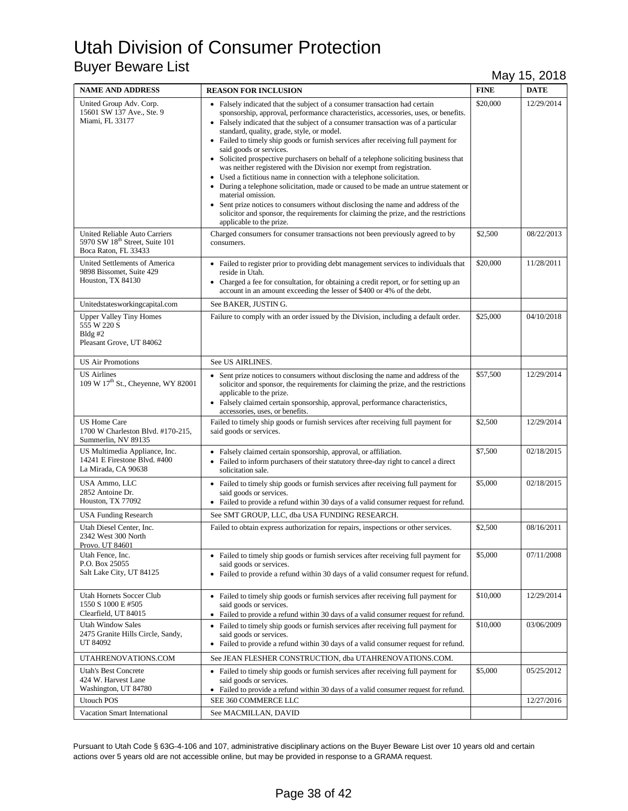| <b>NAME AND ADDRESS</b>                                                                             | <b>REASON FOR INCLUSION</b>                                                                                                                                                                                                                                                                                                                                                                                                                                                                                                                                                                                                                                                                                                                                                                                                                                                                                                                                                            | <b>FINE</b> | <b>DATE</b> |
|-----------------------------------------------------------------------------------------------------|----------------------------------------------------------------------------------------------------------------------------------------------------------------------------------------------------------------------------------------------------------------------------------------------------------------------------------------------------------------------------------------------------------------------------------------------------------------------------------------------------------------------------------------------------------------------------------------------------------------------------------------------------------------------------------------------------------------------------------------------------------------------------------------------------------------------------------------------------------------------------------------------------------------------------------------------------------------------------------------|-------------|-------------|
| United Group Adv. Corp.<br>15601 SW 137 Ave., Ste. 9<br>Miami, FL 33177                             | • Falsely indicated that the subject of a consumer transaction had certain<br>sponsorship, approval, performance characteristics, accessories, uses, or benefits.<br>• Falsely indicated that the subject of a consumer transaction was of a particular<br>standard, quality, grade, style, or model.<br>• Failed to timely ship goods or furnish services after receiving full payment for<br>said goods or services.<br>• Solicited prospective purchasers on behalf of a telephone soliciting business that<br>was neither registered with the Division nor exempt from registration.<br>• Used a fictitious name in connection with a telephone solicitation.<br>• During a telephone solicitation, made or caused to be made an untrue statement or<br>material omission.<br>• Sent prize notices to consumers without disclosing the name and address of the<br>solicitor and sponsor, the requirements for claiming the prize, and the restrictions<br>applicable to the prize. | \$20,000    | 12/29/2014  |
| United Reliable Auto Carriers<br>5970 SW 18 <sup>th</sup> Street, Suite 101<br>Boca Raton, FL 33433 | Charged consumers for consumer transactions not been previously agreed to by<br>consumers.                                                                                                                                                                                                                                                                                                                                                                                                                                                                                                                                                                                                                                                                                                                                                                                                                                                                                             | \$2,500     | 08/22/2013  |
| United Settlements of America<br>9898 Bissomet, Suite 429<br>Houston, TX 84130                      | • Failed to register prior to providing debt management services to individuals that<br>reside in Utah.<br>• Charged a fee for consultation, for obtaining a credit report, or for setting up an<br>account in an amount exceeding the lesser of \$400 or 4% of the debt.                                                                                                                                                                                                                                                                                                                                                                                                                                                                                                                                                                                                                                                                                                              | \$20,000    | 11/28/2011  |
| Unitedstatesworkingcapital.com                                                                      | See BAKER, JUSTIN G.                                                                                                                                                                                                                                                                                                                                                                                                                                                                                                                                                                                                                                                                                                                                                                                                                                                                                                                                                                   |             |             |
| <b>Upper Valley Tiny Homes</b><br>555 W 220 S<br>$Bldg \#2$<br>Pleasant Grove, UT 84062             | Failure to comply with an order issued by the Division, including a default order.                                                                                                                                                                                                                                                                                                                                                                                                                                                                                                                                                                                                                                                                                                                                                                                                                                                                                                     | \$25,000    | 04/10/2018  |
| <b>US Air Promotions</b>                                                                            | See US AIRLINES.                                                                                                                                                                                                                                                                                                                                                                                                                                                                                                                                                                                                                                                                                                                                                                                                                                                                                                                                                                       |             |             |
| <b>US</b> Airlines<br>109 W 17 <sup>th</sup> St., Cheyenne, WY 82001                                | • Sent prize notices to consumers without disclosing the name and address of the<br>solicitor and sponsor, the requirements for claiming the prize, and the restrictions<br>applicable to the prize.<br>• Falsely claimed certain sponsorship, approval, performance characteristics,<br>accessories, uses, or benefits.                                                                                                                                                                                                                                                                                                                                                                                                                                                                                                                                                                                                                                                               | \$57,500    | 12/29/2014  |
| <b>US Home Care</b><br>1700 W Charleston Blvd. #170-215,<br>Summerlin, NV 89135                     | Failed to timely ship goods or furnish services after receiving full payment for<br>said goods or services.                                                                                                                                                                                                                                                                                                                                                                                                                                                                                                                                                                                                                                                                                                                                                                                                                                                                            | \$2,500     | 12/29/2014  |
| US Multimedia Appliance, Inc.<br>14241 E Firestone Blvd. #400<br>La Mirada, CA 90638                | • Falsely claimed certain sponsorship, approval, or affiliation.<br>• Failed to inform purchasers of their statutory three-day right to cancel a direct<br>solicitation sale.                                                                                                                                                                                                                                                                                                                                                                                                                                                                                                                                                                                                                                                                                                                                                                                                          | \$7,500     | 02/18/2015  |
| USA Ammo, LLC<br>2852 Antoine Dr.<br>Houston, TX 77092                                              | • Failed to timely ship goods or furnish services after receiving full payment for<br>said goods or services.<br>• Failed to provide a refund within 30 days of a valid consumer request for refund.                                                                                                                                                                                                                                                                                                                                                                                                                                                                                                                                                                                                                                                                                                                                                                                   | \$5,000     | 02/18/2015  |
| <b>USA Funding Research</b>                                                                         | See SMT GROUP, LLC, dba USA FUNDING RESEARCH.                                                                                                                                                                                                                                                                                                                                                                                                                                                                                                                                                                                                                                                                                                                                                                                                                                                                                                                                          |             |             |
| Utah Diesel Center, Inc.<br>2342 West 300 North<br>Provo. UT 84601                                  | Failed to obtain express authorization for repairs, inspections or other services.                                                                                                                                                                                                                                                                                                                                                                                                                                                                                                                                                                                                                                                                                                                                                                                                                                                                                                     | \$2,500     | 08/16/2011  |
| Utah Fence, Inc.<br>P.O. Box 25055<br>Salt Lake City, UT 84125                                      | • Failed to timely ship goods or furnish services after receiving full payment for<br>said goods or services.<br>• Failed to provide a refund within 30 days of a valid consumer request for refund.                                                                                                                                                                                                                                                                                                                                                                                                                                                                                                                                                                                                                                                                                                                                                                                   | \$5,000     | 07/11/2008  |
| Utah Hornets Soccer Club<br>1550 S 1000 E #505<br>Clearfield, UT 84015                              | • Failed to timely ship goods or furnish services after receiving full payment for<br>said goods or services.<br>• Failed to provide a refund within 30 days of a valid consumer request for refund.                                                                                                                                                                                                                                                                                                                                                                                                                                                                                                                                                                                                                                                                                                                                                                                   | \$10,000    | 12/29/2014  |
| <b>Utah Window Sales</b><br>2475 Granite Hills Circle, Sandy,<br>UT 84092                           | • Failed to timely ship goods or furnish services after receiving full payment for<br>said goods or services.<br>• Failed to provide a refund within 30 days of a valid consumer request for refund.                                                                                                                                                                                                                                                                                                                                                                                                                                                                                                                                                                                                                                                                                                                                                                                   | \$10,000    | 03/06/2009  |
| UTAHRENOVATIONS.COM                                                                                 | See JEAN FLESHER CONSTRUCTION, dba UTAHRENOVATIONS.COM.                                                                                                                                                                                                                                                                                                                                                                                                                                                                                                                                                                                                                                                                                                                                                                                                                                                                                                                                |             |             |
| <b>Utah's Best Concrete</b><br>424 W. Harvest Lane<br>Washington, UT 84780                          | • Failed to timely ship goods or furnish services after receiving full payment for<br>said goods or services.<br>• Failed to provide a refund within 30 days of a valid consumer request for refund.                                                                                                                                                                                                                                                                                                                                                                                                                                                                                                                                                                                                                                                                                                                                                                                   | \$5,000     | 05/25/2012  |
| <b>Utouch POS</b>                                                                                   | SEE 360 COMMERCE LLC                                                                                                                                                                                                                                                                                                                                                                                                                                                                                                                                                                                                                                                                                                                                                                                                                                                                                                                                                                   |             | 12/27/2016  |
| Vacation Smart International                                                                        | See MACMILLAN, DAVID                                                                                                                                                                                                                                                                                                                                                                                                                                                                                                                                                                                                                                                                                                                                                                                                                                                                                                                                                                   |             |             |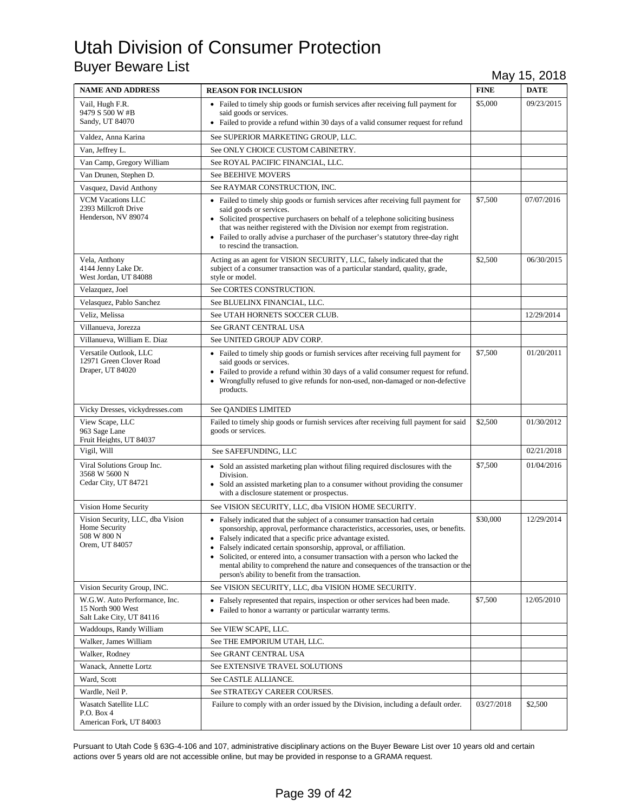| <b>NAME AND ADDRESS</b>                                                            | <b>REASON FOR INCLUSION</b>                                                                                                                                                                                                                                                                                                                                                                                                                                                                                                             | <b>FINE</b> | <b>DATE</b> |
|------------------------------------------------------------------------------------|-----------------------------------------------------------------------------------------------------------------------------------------------------------------------------------------------------------------------------------------------------------------------------------------------------------------------------------------------------------------------------------------------------------------------------------------------------------------------------------------------------------------------------------------|-------------|-------------|
| Vail, Hugh F.R.<br>9479 S 500 W #B<br>Sandy, UT 84070                              | • Failed to timely ship goods or furnish services after receiving full payment for<br>said goods or services.<br>• Failed to provide a refund within 30 days of a valid consumer request for refund                                                                                                                                                                                                                                                                                                                                     | \$5,000     | 09/23/2015  |
| Valdez, Anna Karina                                                                | See SUPERIOR MARKETING GROUP, LLC.                                                                                                                                                                                                                                                                                                                                                                                                                                                                                                      |             |             |
| Van, Jeffrey L.                                                                    | See ONLY CHOICE CUSTOM CABINETRY.                                                                                                                                                                                                                                                                                                                                                                                                                                                                                                       |             |             |
| Van Camp, Gregory William                                                          | See ROYAL PACIFIC FINANCIAL, LLC.                                                                                                                                                                                                                                                                                                                                                                                                                                                                                                       |             |             |
| Van Drunen, Stephen D.                                                             | <b>See BEEHIVE MOVERS</b>                                                                                                                                                                                                                                                                                                                                                                                                                                                                                                               |             |             |
| Vasquez, David Anthony                                                             | See RAYMAR CONSTRUCTION, INC.                                                                                                                                                                                                                                                                                                                                                                                                                                                                                                           |             |             |
| <b>VCM Vacations LLC</b><br>2393 Millcroft Drive<br>Henderson, NV 89074            | • Failed to timely ship goods or furnish services after receiving full payment for<br>said goods or services.<br>• Solicited prospective purchasers on behalf of a telephone soliciting business<br>that was neither registered with the Division nor exempt from registration.<br>• Failed to orally advise a purchaser of the purchaser's statutory three-day right<br>to rescind the transaction.                                                                                                                                    | \$7,500     | 07/07/2016  |
| Vela, Anthony<br>4144 Jenny Lake Dr.<br>West Jordan, UT 84088                      | Acting as an agent for VISION SECURITY, LLC, falsely indicated that the<br>subject of a consumer transaction was of a particular standard, quality, grade,<br>style or model.                                                                                                                                                                                                                                                                                                                                                           | \$2,500     | 06/30/2015  |
| Velazquez, Joel                                                                    | See CORTES CONSTRUCTION.                                                                                                                                                                                                                                                                                                                                                                                                                                                                                                                |             |             |
| Velasquez, Pablo Sanchez                                                           | See BLUELINX FINANCIAL, LLC.                                                                                                                                                                                                                                                                                                                                                                                                                                                                                                            |             |             |
| Veliz, Melissa                                                                     | See UTAH HORNETS SOCCER CLUB.                                                                                                                                                                                                                                                                                                                                                                                                                                                                                                           |             | 12/29/2014  |
| Villanueva, Jorezza                                                                | See GRANT CENTRAL USA                                                                                                                                                                                                                                                                                                                                                                                                                                                                                                                   |             |             |
| Villanueva, William E. Diaz                                                        | See UNITED GROUP ADV CORP.                                                                                                                                                                                                                                                                                                                                                                                                                                                                                                              |             |             |
| Versatile Outlook, LLC<br>12971 Green Clover Road<br>Draper, UT 84020              | • Failed to timely ship goods or furnish services after receiving full payment for<br>said goods or services.<br>• Failed to provide a refund within 30 days of a valid consumer request for refund.<br>• Wrongfully refused to give refunds for non-used, non-damaged or non-defective<br>products.                                                                                                                                                                                                                                    | \$7,500     | 01/20/2011  |
| Vicky Dresses, vickydresses.com                                                    | See QANDIES LIMITED                                                                                                                                                                                                                                                                                                                                                                                                                                                                                                                     |             |             |
| View Scape, LLC<br>963 Sage Lane<br>Fruit Heights, UT 84037                        | Failed to timely ship goods or furnish services after receiving full payment for said<br>goods or services.                                                                                                                                                                                                                                                                                                                                                                                                                             | \$2,500     | 01/30/2012  |
| Vigil, Will                                                                        | See SAFEFUNDING, LLC                                                                                                                                                                                                                                                                                                                                                                                                                                                                                                                    |             | 02/21/2018  |
| Viral Solutions Group Inc.<br>3568 W 5600 N<br>Cedar City, UT 84721                | • Sold an assisted marketing plan without filing required disclosures with the<br>Division.<br>• Sold an assisted marketing plan to a consumer without providing the consumer<br>with a disclosure statement or prospectus.                                                                                                                                                                                                                                                                                                             | \$7,500     | 01/04/2016  |
| Vision Home Security                                                               | See VISION SECURITY, LLC, dba VISION HOME SECURITY.                                                                                                                                                                                                                                                                                                                                                                                                                                                                                     |             |             |
| Vision Security, LLC, dba Vision<br>Home Security<br>508 W 800 N<br>Orem, UT 84057 | • Falsely indicated that the subject of a consumer transaction had certain<br>sponsorship, approval, performance characteristics, accessories, uses, or benefits.<br>• Falsely indicated that a specific price advantage existed.<br>• Falsely indicated certain sponsorship, approval, or affiliation.<br>• Solicited, or entered into, a consumer transaction with a person who lacked the<br>mental ability to comprehend the nature and consequences of the transaction or the<br>person's ability to benefit from the transaction. | \$30,000    | 12/29/2014  |
| Vision Security Group, INC.                                                        | See VISION SECURITY, LLC, dba VISION HOME SECURITY.                                                                                                                                                                                                                                                                                                                                                                                                                                                                                     |             |             |
| W.G.W. Auto Performance, Inc.<br>15 North 900 West<br>Salt Lake City, UT 84116     | • Falsely represented that repairs, inspection or other services had been made.<br>• Failed to honor a warranty or particular warranty terms.                                                                                                                                                                                                                                                                                                                                                                                           | \$7,500     | 12/05/2010  |
| Waddoups, Randy William                                                            | See VIEW SCAPE, LLC.                                                                                                                                                                                                                                                                                                                                                                                                                                                                                                                    |             |             |
| Walker, James William                                                              | See THE EMPORIUM UTAH, LLC.                                                                                                                                                                                                                                                                                                                                                                                                                                                                                                             |             |             |
| Walker, Rodney                                                                     | See GRANT CENTRAL USA                                                                                                                                                                                                                                                                                                                                                                                                                                                                                                                   |             |             |
| Wanack, Annette Lortz                                                              | See EXTENSIVE TRAVEL SOLUTIONS                                                                                                                                                                                                                                                                                                                                                                                                                                                                                                          |             |             |
| Ward, Scott                                                                        | See CASTLE ALLIANCE.                                                                                                                                                                                                                                                                                                                                                                                                                                                                                                                    |             |             |
| Wardle, Neil P.                                                                    | See STRATEGY CAREER COURSES.                                                                                                                                                                                                                                                                                                                                                                                                                                                                                                            |             |             |
| Wasatch Satellite LLC<br>P.O. Box 4<br>American Fork, UT 84003                     | Failure to comply with an order issued by the Division, including a default order.                                                                                                                                                                                                                                                                                                                                                                                                                                                      | 03/27/2018  | \$2,500     |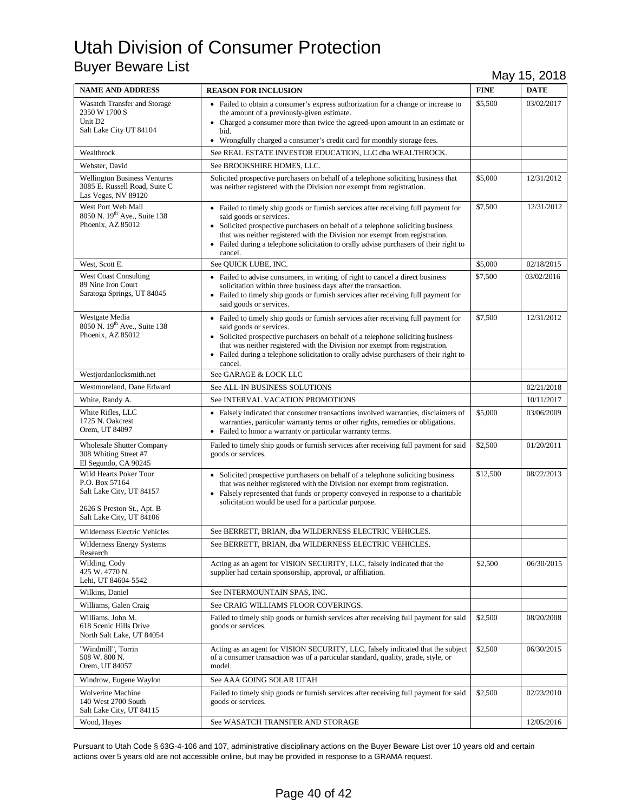| <b>NAME AND ADDRESS</b>                                                                                                        | <b>REASON FOR INCLUSION</b>                                                                                                                                                                                                                                                                                                                                                          | <b>FINE</b> | <b>DATE</b> |
|--------------------------------------------------------------------------------------------------------------------------------|--------------------------------------------------------------------------------------------------------------------------------------------------------------------------------------------------------------------------------------------------------------------------------------------------------------------------------------------------------------------------------------|-------------|-------------|
| <b>Wasatch Transfer and Storage</b><br>2350 W 1700 S<br>Unit D <sub>2</sub><br>Salt Lake City UT 84104                         | • Failed to obtain a consumer's express authorization for a change or increase to<br>the amount of a previously-given estimate.<br>• Charged a consumer more than twice the agreed-upon amount in an estimate or<br>bid.<br>• Wrongfully charged a consumer's credit card for monthly storage fees.                                                                                  | \$5,500     | 03/02/2017  |
| Wealthrock                                                                                                                     | See REAL ESTATE INVESTOR EDUCATION, LLC dba WEALTHROCK.                                                                                                                                                                                                                                                                                                                              |             |             |
| Webster, David                                                                                                                 | See BROOKSHIRE HOMES, LLC.                                                                                                                                                                                                                                                                                                                                                           |             |             |
| <b>Wellington Business Ventures</b><br>3085 E. Russell Road, Suite C<br>Las Vegas, NV 89120                                    | Solicited prospective purchasers on behalf of a telephone soliciting business that<br>was neither registered with the Division nor exempt from registration.                                                                                                                                                                                                                         | \$5,000     | 12/31/2012  |
| West Port Web Mall<br>8050 N. 19 <sup>th</sup> Ave., Suite 138<br>Phoenix, AZ 85012                                            | • Failed to timely ship goods or furnish services after receiving full payment for<br>said goods or services.<br>• Solicited prospective purchasers on behalf of a telephone soliciting business<br>that was neither registered with the Division nor exempt from registration.<br>• Failed during a telephone solicitation to orally advise purchasers of their right to<br>cancel. | \$7,500     | 12/31/2012  |
| West, Scott E.                                                                                                                 | See QUICK LUBE, INC.                                                                                                                                                                                                                                                                                                                                                                 | \$5,000     | 02/18/2015  |
| <b>West Coast Consulting</b><br>89 Nine Iron Court<br>Saratoga Springs, UT 84045                                               | • Failed to advise consumers, in writing, of right to cancel a direct business<br>solicitation within three business days after the transaction.<br>• Failed to timely ship goods or furnish services after receiving full payment for<br>said goods or services.                                                                                                                    | \$7,500     | 03/02/2016  |
| Westgate Media<br>8050 N. 19th Ave., Suite 138<br>Phoenix, AZ 85012                                                            | • Failed to timely ship goods or furnish services after receiving full payment for<br>said goods or services.<br>• Solicited prospective purchasers on behalf of a telephone soliciting business<br>that was neither registered with the Division nor exempt from registration.<br>• Failed during a telephone solicitation to orally advise purchasers of their right to<br>cancel. | \$7,500     | 12/31/2012  |
| Westjordanlocksmith.net                                                                                                        | See GARAGE & LOCK LLC                                                                                                                                                                                                                                                                                                                                                                |             |             |
| Westmoreland, Dane Edward                                                                                                      | See ALL-IN BUSINESS SOLUTIONS                                                                                                                                                                                                                                                                                                                                                        |             | 02/21/2018  |
| White, Randy A.                                                                                                                | See INTERVAL VACATION PROMOTIONS                                                                                                                                                                                                                                                                                                                                                     |             | 10/11/2017  |
| White Rifles, LLC<br>1725 N. Oakcrest<br>Orem, UT 84097                                                                        | • Falsely indicated that consumer transactions involved warranties, disclaimers of<br>warranties, particular warranty terms or other rights, remedies or obligations.<br>• Failed to honor a warranty or particular warranty terms.                                                                                                                                                  | \$5,000     | 03/06/2009  |
| <b>Wholesale Shutter Company</b><br>308 Whiting Street #7<br>El Segundo, CA 90245                                              | Failed to timely ship goods or furnish services after receiving full payment for said<br>goods or services.                                                                                                                                                                                                                                                                          | \$2,500     | 01/20/2011  |
| Wild Hearts Poker Tour<br>P.O. Box 57164<br>Salt Lake City, UT 84157<br>2626 S Preston St., Apt. B<br>Salt Lake City, UT 84106 | • Solicited prospective purchasers on behalf of a telephone soliciting business<br>that was neither registered with the Division nor exempt from registration.<br>• Falsely represented that funds or property conveyed in response to a charitable<br>solicitation would be used for a particular purpose.                                                                          | \$12,500    | 08/22/2013  |
| Wilderness Electric Vehicles                                                                                                   | See BERRETT, BRIAN, dba WILDERNESS ELECTRIC VEHICLES.                                                                                                                                                                                                                                                                                                                                |             |             |
| <b>Wilderness Energy Systems</b><br>Research                                                                                   | See BERRETT, BRIAN, dba WILDERNESS ELECTRIC VEHICLES.                                                                                                                                                                                                                                                                                                                                |             |             |
| Wilding, Cody<br>425 W. 4770 N.<br>Lehi, UT 84604-5542                                                                         | Acting as an agent for VISION SECURITY, LLC, falsely indicated that the<br>supplier had certain sponsorship, approval, or affiliation.                                                                                                                                                                                                                                               | \$2,500     | 06/30/2015  |
| Wilkins, Daniel                                                                                                                | See INTERMOUNTAIN SPAS, INC.                                                                                                                                                                                                                                                                                                                                                         |             |             |
| Williams, Galen Craig                                                                                                          | See CRAIG WILLIAMS FLOOR COVERINGS.                                                                                                                                                                                                                                                                                                                                                  |             |             |
| Williams, John M.<br>618 Scenic Hills Drive<br>North Salt Lake, UT 84054                                                       | Failed to timely ship goods or furnish services after receiving full payment for said<br>goods or services.                                                                                                                                                                                                                                                                          | \$2,500     | 08/20/2008  |
| "Windmill", Torrin<br>508 W. 800 N.<br>Orem, UT 84057                                                                          | Acting as an agent for VISION SECURITY, LLC, falsely indicated that the subject<br>of a consumer transaction was of a particular standard, quality, grade, style, or<br>model.                                                                                                                                                                                                       | \$2,500     | 06/30/2015  |
| Windrow, Eugene Waylon                                                                                                         | See AAA GOING SOLAR UTAH                                                                                                                                                                                                                                                                                                                                                             |             |             |
| Wolverine Machine<br>140 West 2700 South<br>Salt Lake City, UT 84115                                                           | Failed to timely ship goods or furnish services after receiving full payment for said<br>goods or services.                                                                                                                                                                                                                                                                          | \$2,500     | 02/23/2010  |
| Wood, Hayes                                                                                                                    | See WASATCH TRANSFER AND STORAGE                                                                                                                                                                                                                                                                                                                                                     |             | 12/05/2016  |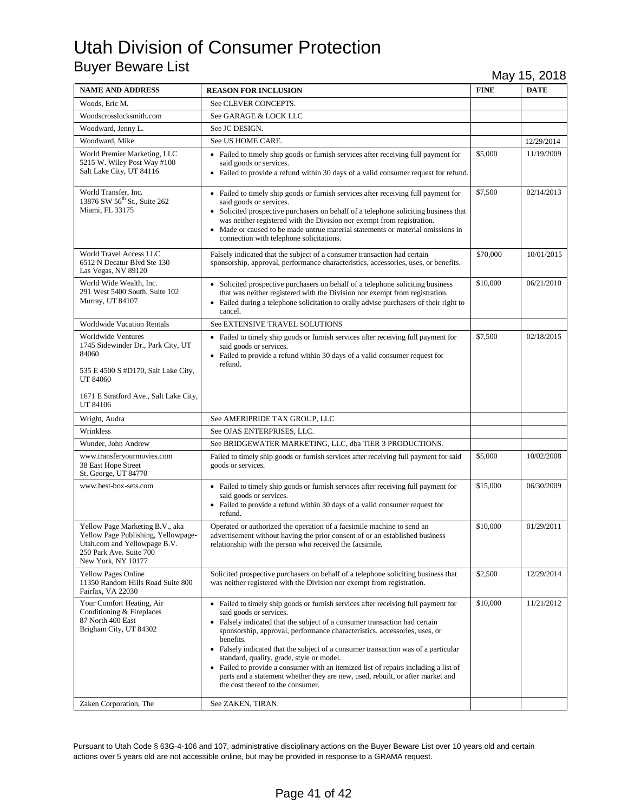| <b>NAME AND ADDRESS</b>                                                                                                                                        | <b>REASON FOR INCLUSION</b>                                                                                                                                                                                                                                                                                                                                                                                                                                                                                                                                                                                                            | <b>FINE</b> | <b>DATE</b> |
|----------------------------------------------------------------------------------------------------------------------------------------------------------------|----------------------------------------------------------------------------------------------------------------------------------------------------------------------------------------------------------------------------------------------------------------------------------------------------------------------------------------------------------------------------------------------------------------------------------------------------------------------------------------------------------------------------------------------------------------------------------------------------------------------------------------|-------------|-------------|
| Woods, Eric M.                                                                                                                                                 | See CLEVER CONCEPTS.                                                                                                                                                                                                                                                                                                                                                                                                                                                                                                                                                                                                                   |             |             |
| Woodscrosslocksmith.com                                                                                                                                        | See GARAGE & LOCK LLC                                                                                                                                                                                                                                                                                                                                                                                                                                                                                                                                                                                                                  |             |             |
| Woodward, Jenny L.                                                                                                                                             | See JC DESIGN.                                                                                                                                                                                                                                                                                                                                                                                                                                                                                                                                                                                                                         |             |             |
| Woodward, Mike                                                                                                                                                 | See US HOME CARE.                                                                                                                                                                                                                                                                                                                                                                                                                                                                                                                                                                                                                      |             | 12/29/2014  |
| World Premier Marketing, LLC<br>5215 W. Wiley Post Way #100<br>Salt Lake City, UT 84116                                                                        | • Failed to timely ship goods or furnish services after receiving full payment for<br>said goods or services.<br>• Failed to provide a refund within 30 days of a valid consumer request for refund.                                                                                                                                                                                                                                                                                                                                                                                                                                   | \$5,000     | 11/19/2009  |
| World Transfer, Inc.<br>13876 SW 56 <sup>th</sup> St., Suite 262<br>Miami, FL 33175                                                                            | • Failed to timely ship goods or furnish services after receiving full payment for<br>said goods or services.<br>• Solicited prospective purchasers on behalf of a telephone soliciting business that<br>was neither registered with the Division nor exempt from registration.<br>• Made or caused to be made untrue material statements or material omissions in<br>connection with telephone solicitations.                                                                                                                                                                                                                         | \$7,500     | 02/14/2013  |
| World Travel Access LLC<br>6512 N Decatur Blvd Ste 130<br>Las Vegas, NV 89120                                                                                  | Falsely indicated that the subject of a consumer transaction had certain<br>sponsorship, approval, performance characteristics, accessories, uses, or benefits.                                                                                                                                                                                                                                                                                                                                                                                                                                                                        | \$70,000    | 10/01/2015  |
| World Wide Wealth, Inc.<br>291 West 5400 South, Suite 102<br>Murray, UT 84107                                                                                  | • Solicited prospective purchasers on behalf of a telephone soliciting business<br>that was neither registered with the Division nor exempt from registration.<br>• Failed during a telephone solicitation to orally advise purchasers of their right to<br>cancel.                                                                                                                                                                                                                                                                                                                                                                    | \$10,000    | 06/21/2010  |
| <b>Worldwide Vacation Rentals</b>                                                                                                                              | See EXTENSIVE TRAVEL SOLUTIONS                                                                                                                                                                                                                                                                                                                                                                                                                                                                                                                                                                                                         |             |             |
| Worldwide Ventures<br>1745 Sidewinder Dr., Park City, UT<br>84060<br>535 E 4500 S #D170, Salt Lake City,<br>UT 84060<br>1671 E Stratford Ave., Salt Lake City, | • Failed to timely ship goods or furnish services after receiving full payment for<br>said goods or services.<br>• Failed to provide a refund within 30 days of a valid consumer request for<br>refund.                                                                                                                                                                                                                                                                                                                                                                                                                                | \$7,500     | 02/18/2015  |
| UT 84106                                                                                                                                                       |                                                                                                                                                                                                                                                                                                                                                                                                                                                                                                                                                                                                                                        |             |             |
| Wright, Audra                                                                                                                                                  | See AMERIPRIDE TAX GROUP, LLC                                                                                                                                                                                                                                                                                                                                                                                                                                                                                                                                                                                                          |             |             |
| Wrinkless                                                                                                                                                      | See OJAS ENTERPRISES, LLC.                                                                                                                                                                                                                                                                                                                                                                                                                                                                                                                                                                                                             |             |             |
| Wunder, John Andrew<br>www.transferyourmovies.com<br>38 East Hope Street<br>St. George, UT 84770                                                               | See BRIDGEWATER MARKETING, LLC, dba TIER 3 PRODUCTIONS.<br>Failed to timely ship goods or furnish services after receiving full payment for said<br>goods or services.                                                                                                                                                                                                                                                                                                                                                                                                                                                                 | \$5,000     | 10/02/2008  |
| www.best-box-sets.com                                                                                                                                          | • Failed to timely ship goods or furnish services after receiving full payment for<br>said goods or services.<br>• Failed to provide a refund within 30 days of a valid consumer request for<br>refund.                                                                                                                                                                                                                                                                                                                                                                                                                                | \$15,000    | 06/30/2009  |
| Yellow Page Marketing B.V., aka<br>Yellow Page Publishing, Yellowpage-<br>Utah.com and Yellowpage B.V.<br>250 Park Ave. Suite 700<br>New York, NY 10177        | Operated or authorized the operation of a facsimile machine to send an<br>advertisement without having the prior consent of or an established business<br>relationship with the person who received the facsimile.                                                                                                                                                                                                                                                                                                                                                                                                                     | \$10,000    | 01/29/2011  |
| <b>Yellow Pages Online</b><br>11350 Random Hills Road Suite 800<br>Fairfax, VA 22030                                                                           | Solicited prospective purchasers on behalf of a telephone soliciting business that<br>was neither registered with the Division nor exempt from registration.                                                                                                                                                                                                                                                                                                                                                                                                                                                                           | \$2,500     | 12/29/2014  |
| Your Comfort Heating, Air<br>Conditioning & Fireplaces<br>87 North 400 East<br>Brigham City, UT 84302                                                          | • Failed to timely ship goods or furnish services after receiving full payment for<br>said goods or services.<br>• Falsely indicated that the subject of a consumer transaction had certain<br>sponsorship, approval, performance characteristics, accessories, uses, or<br>benefits.<br>• Falsely indicated that the subject of a consumer transaction was of a particular<br>standard, quality, grade, style or model.<br>• Failed to provide a consumer with an itemized list of repairs including a list of<br>parts and a statement whether they are new, used, rebuilt, or after market and<br>the cost thereof to the consumer. | \$10,000    | 11/21/2012  |
| Zaken Corporation, The                                                                                                                                         | See ZAKEN, TIRAN.                                                                                                                                                                                                                                                                                                                                                                                                                                                                                                                                                                                                                      |             |             |